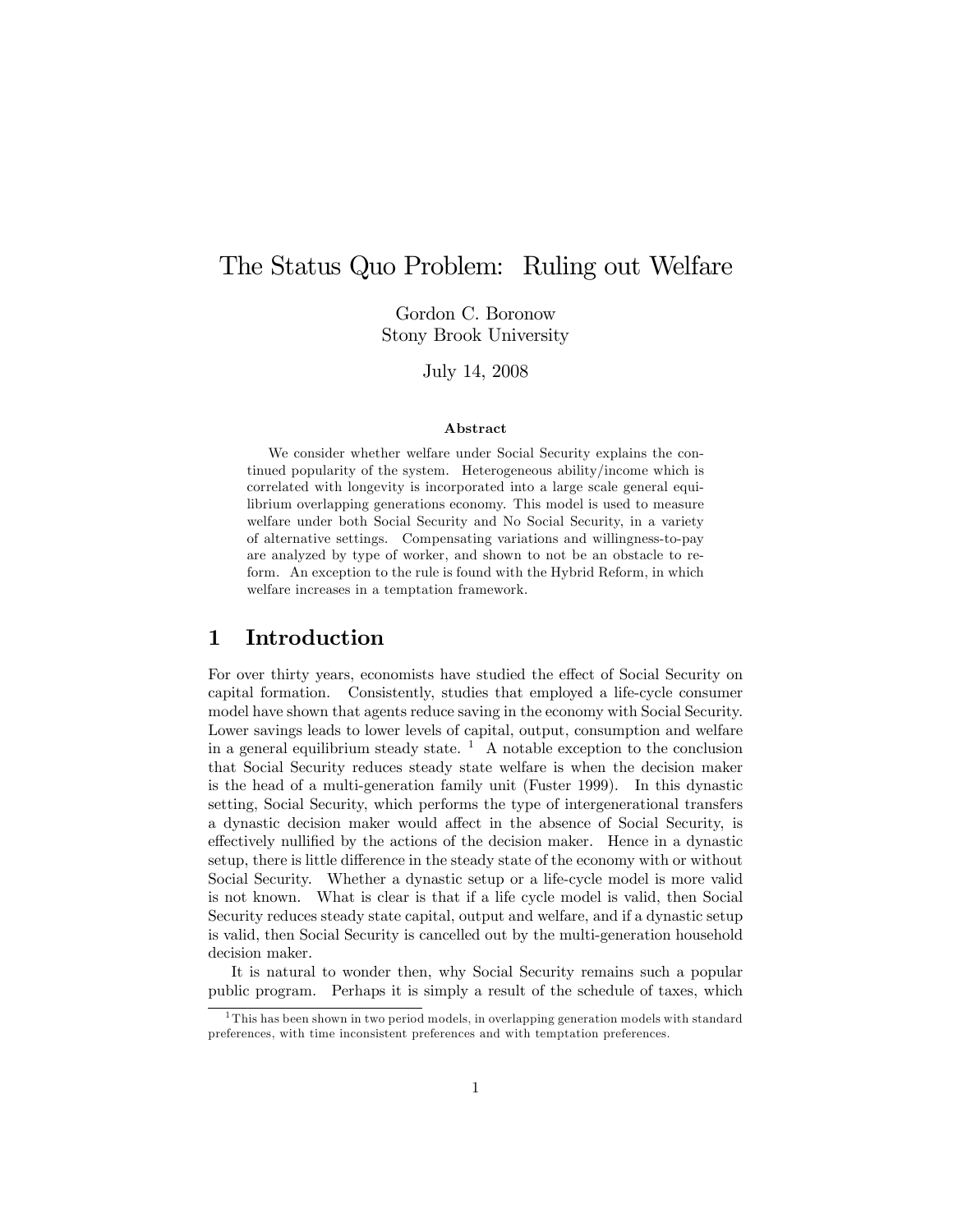# The Status Quo Problem: Ruling out Welfare

Gordon C. Boronow Stony Brook University

July 14, 2008

#### Abstract

We consider whether welfare under Social Security explains the continued popularity of the system. Heterogeneous ability/income which is correlated with longevity is incorporated into a large scale general equilibrium overlapping generations economy. This model is used to measure welfare under both Social Security and No Social Security, in a variety of alternative settings. Compensating variations and willingness-to-pay are analyzed by type of worker, and shown to not be an obstacle to reform. An exception to the rule is found with the Hybrid Reform, in which welfare increases in a temptation framework.

## 1 Introduction

For over thirty years, economists have studied the effect of Social Security on capital formation. Consistently, studies that employed a life-cycle consumer model have shown that agents reduce saving in the economy with Social Security. Lower savings leads to lower levels of capital, output, consumption and welfare in a general equilibrium steady state.  $\frac{1}{1}$  A notable exception to the conclusion that Social Security reduces steady state welfare is when the decision maker is the head of a multi-generation family unit (Fuster 1999). In this dynastic setting, Social Security, which performs the type of intergenerational transfers a dynastic decision maker would affect in the absence of Social Security, is effectively nullified by the actions of the decision maker. Hence in a dynastic setup, there is little difference in the steady state of the economy with or without Social Security. Whether a dynastic setup or a life-cycle model is more valid is not known. What is clear is that if a life cycle model is valid, then Social Security reduces steady state capital, output and welfare, and if a dynastic setup is valid, then Social Security is cancelled out by the multi-generation household decision maker.

It is natural to wonder then, why Social Security remains such a popular public program. Perhaps it is simply a result of the schedule of taxes, which

<sup>&</sup>lt;sup>1</sup>This has been shown in two period models, in overlapping generation models with standard preferences, with time inconsistent preferences and with temptation preferences.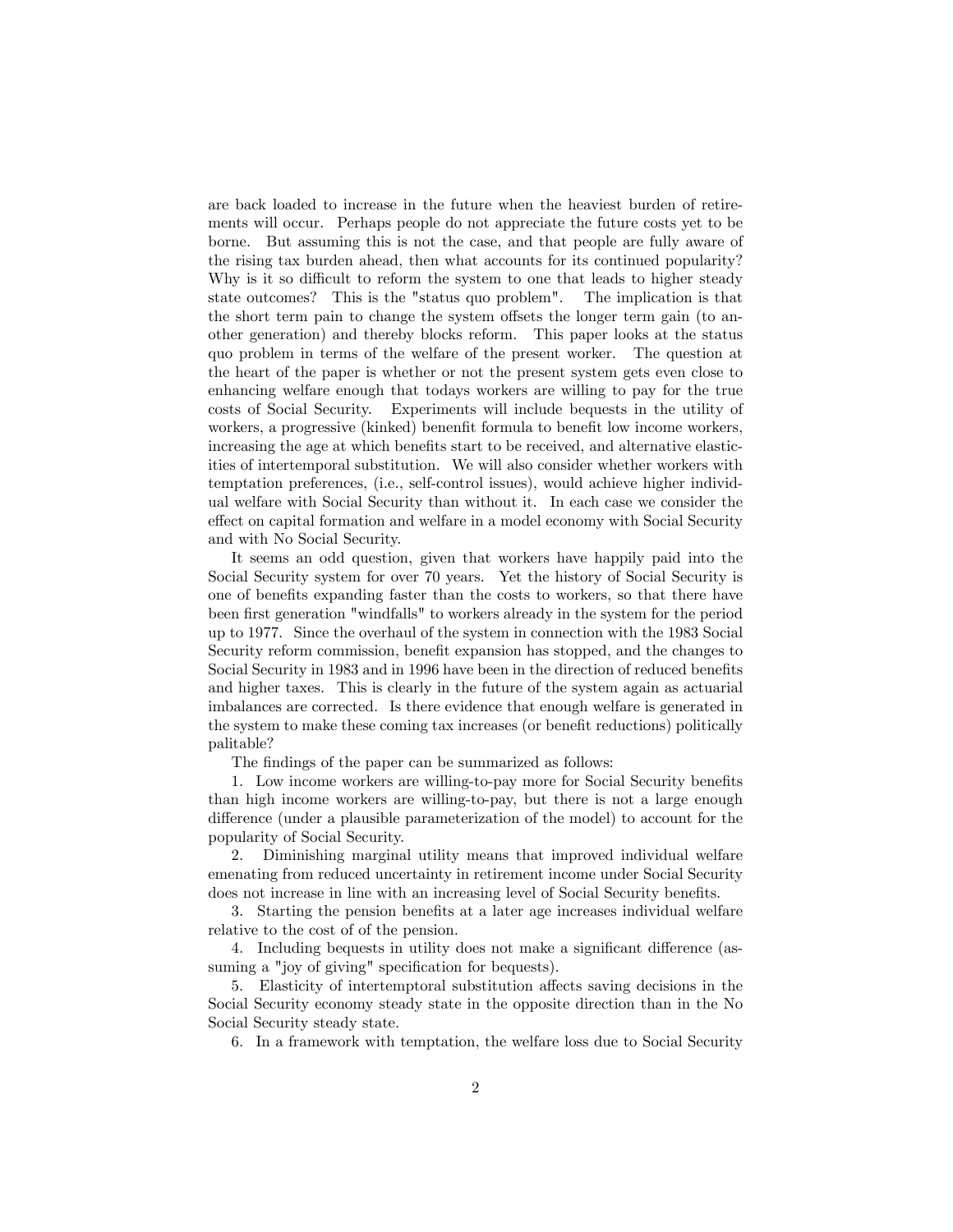are back loaded to increase in the future when the heaviest burden of retirements will occur. Perhaps people do not appreciate the future costs yet to be borne. But assuming this is not the case, and that people are fully aware of the rising tax burden ahead, then what accounts for its continued popularity? Why is it so difficult to reform the system to one that leads to higher steady state outcomes? This is the "status quo problem". The implication is that the short term pain to change the system offsets the longer term gain (to another generation) and thereby blocks reform. This paper looks at the status quo problem in terms of the welfare of the present worker. The question at the heart of the paper is whether or not the present system gets even close to enhancing welfare enough that todays workers are willing to pay for the true costs of Social Security. Experiments will include bequests in the utility of workers, a progressive (kinked) benenfit formula to benefit low income workers, increasing the age at which benefits start to be received, and alternative elasticities of intertemporal substitution. We will also consider whether workers with temptation preferences, (i.e., self-control issues), would achieve higher individual welfare with Social Security than without it. In each case we consider the effect on capital formation and welfare in a model economy with Social Security and with No Social Security.

It seems an odd question, given that workers have happily paid into the Social Security system for over 70 years. Yet the history of Social Security is one of benefits expanding faster than the costs to workers, so that there have been first generation "windfalls" to workers already in the system for the period up to 1977. Since the overhaul of the system in connection with the 1983 Social Security reform commission, benefit expansion has stopped, and the changes to Social Security in 1983 and in 1996 have been in the direction of reduced benefits and higher taxes. This is clearly in the future of the system again as actuarial imbalances are corrected. Is there evidence that enough welfare is generated in the system to make these coming tax increases (or benefit reductions) politically palitable?

The findings of the paper can be summarized as follows:

1. Low income workers are willing-to-pay more for Social Security benefits than high income workers are willing-to-pay, but there is not a large enough difference (under a plausible parameterization of the model) to account for the popularity of Social Security.

2. Diminishing marginal utility means that improved individual welfare emenating from reduced uncertainty in retirement income under Social Security does not increase in line with an increasing level of Social Security benefits.

3. Starting the pension benefits at a later age increases individual welfare relative to the cost of of the pension.

4. Including bequests in utility does not make a significant difference (assuming a "joy of giving" specification for bequests).

5. Elasticity of intertemptoral substitution affects saving decisions in the Social Security economy steady state in the opposite direction than in the No Social Security steady state.

6. In a framework with temptation, the welfare loss due to Social Security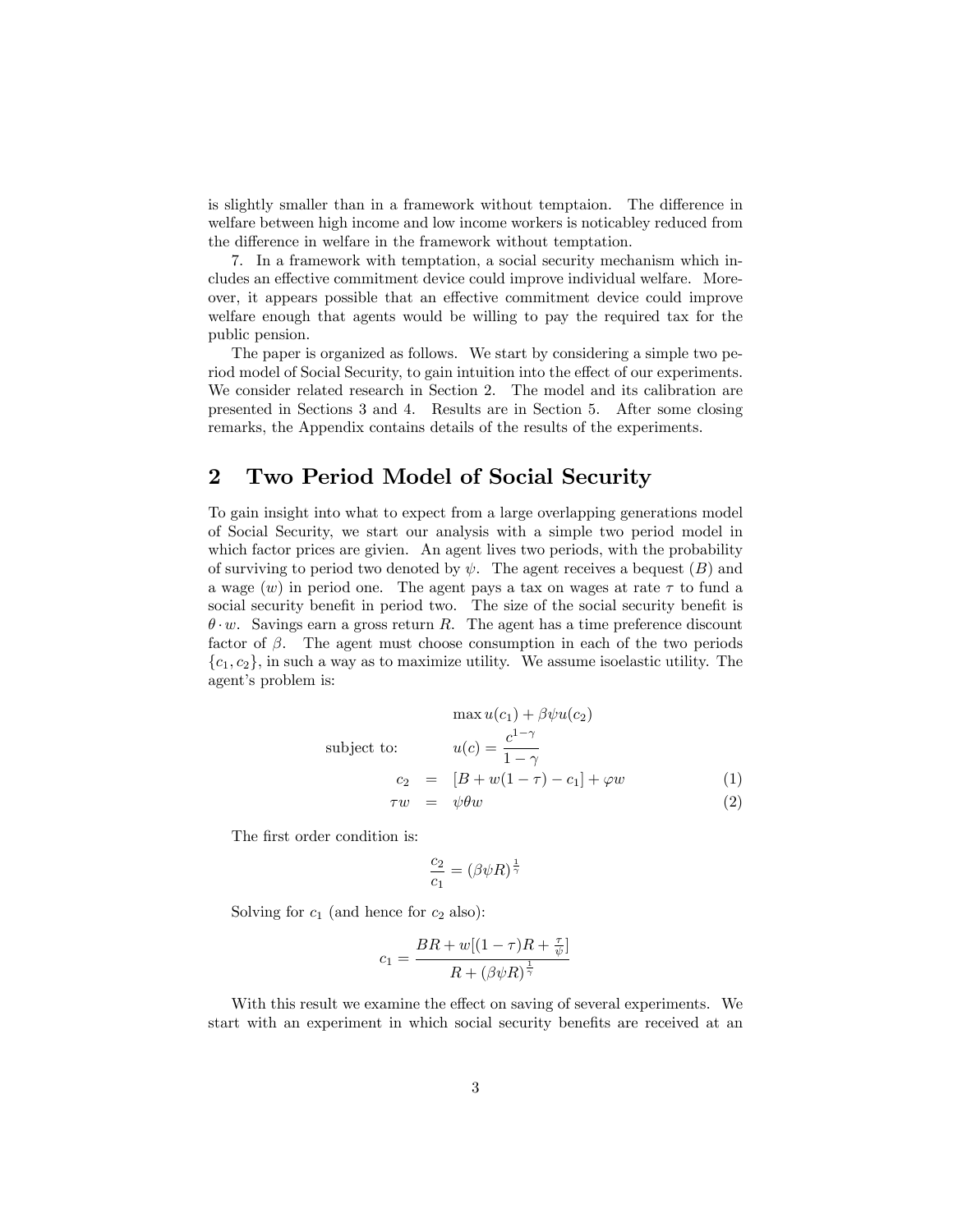is slightly smaller than in a framework without temptaion. The difference in welfare between high income and low income workers is noticabley reduced from the difference in welfare in the framework without temptation.

7. In a framework with temptation, a social security mechanism which includes an effective commitment device could improve individual welfare. Moreover, it appears possible that an effective commitment device could improve welfare enough that agents would be willing to pay the required tax for the public pension.

The paper is organized as follows. We start by considering a simple two period model of Social Security, to gain intuition into the effect of our experiments. We consider related research in Section 2. The model and its calibration are presented in Sections 3 and 4. Results are in Section 5. After some closing remarks, the Appendix contains details of the results of the experiments.

## 2 Two Period Model of Social Security

To gain insight into what to expect from a large overlapping generations model of Social Security, we start our analysis with a simple two period model in which factor prices are givien. An agent lives two periods, with the probability of surviving to period two denoted by  $\psi$ . The agent receives a bequest  $(B)$  and a wage  $(w)$  in period one. The agent pays a tax on wages at rate  $\tau$  to fund a social security benefit in period two. The size of the social security benefit is  $\theta \cdot w$ . Savings earn a gross return R. The agent has a time preference discount factor of  $\beta$ . The agent must choose consumption in each of the two periods  $\{c_1, c_2\}$ , in such a way as to maximize utility. We assume isoelastic utility. The agent's problem is:

$$
\max u(c_1) + \beta \psi u(c_2)
$$
  
subject to: 
$$
u(c) = \frac{c^{1-\gamma}}{1-\gamma}
$$

$$
c_2 = [B+w(1-\tau)-c_1] + \varphi w \qquad (1)
$$

$$
\tau w = \psi \theta w \qquad (2)
$$

The first order condition is:

$$
\frac{c_2}{c_1} = (\beta \psi R)^{\frac{1}{\gamma}}
$$

Solving for  $c_1$  (and hence for  $c_2$  also):

$$
c_1 = \frac{BR + w[(1 - \tau)R + \frac{\tau}{\psi}]}{R + (\beta\psi R)^{\frac{1}{\gamma}}}
$$

With this result we examine the effect on saving of several experiments. We start with an experiment in which social security benefits are received at an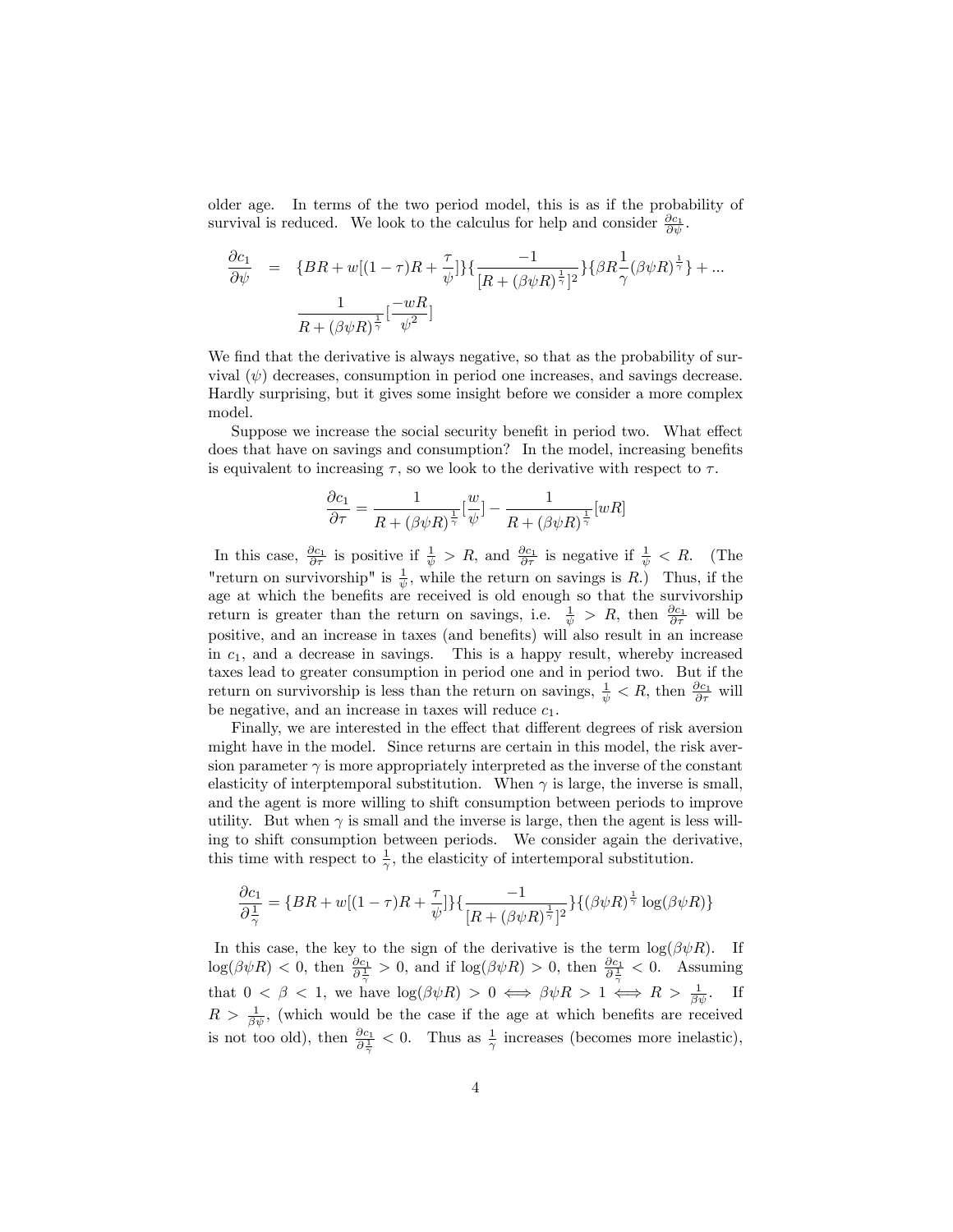older age. In terms of the two period model, this is as if the probability of survival is reduced. We look to the calculus for help and consider  $\frac{\partial c_1}{\partial \psi}$ .

$$
\frac{\partial c_1}{\partial \psi} = \{BR + w[(1 - \tau)R + \frac{\tau}{\psi}]\} \{ \frac{-1}{[R + (\beta \psi R)^{\frac{1}{\gamma}}]^2} \} \{ \beta R \frac{1}{\gamma} (\beta \psi R)^{\frac{1}{\gamma}} \} + \dots \n\frac{1}{R + (\beta \psi R)^{\frac{1}{\gamma}}} [\frac{-wR}{\psi^2}]
$$

We find that the derivative is always negative, so that as the probability of survival  $(\psi)$  decreases, consumption in period one increases, and savings decrease. Hardly surprising, but it gives some insight before we consider a more complex model.

Suppose we increase the social security benefit in period two. What effect does that have on savings and consumption? In the model, increasing benefits is equivalent to increasing  $\tau$ , so we look to the derivative with respect to  $\tau$ .

$$
\frac{\partial c_1}{\partial \tau} = \frac{1}{R + (\beta \psi R)^{\frac{1}{\gamma}}} \left[\frac{w}{\psi}\right] - \frac{1}{R + (\beta \psi R)^{\frac{1}{\gamma}}} [wR]
$$

In this case,  $\frac{\partial c_1}{\partial \tau}$  is positive if  $\frac{1}{\psi} > R$ , and  $\frac{\partial c_1}{\partial \tau}$  is negative if  $\frac{1}{\psi} < R$ . (The "return on survivorship" is  $\frac{1}{\psi}$ , while the return on savings is R.) Thus, if the age at which the benefits are received is old enough so that the survivorship return is greater than the return on savings, i.e.  $\frac{1}{\psi} > R$ , then  $\frac{\partial c_1}{\partial \tau}$  will be positive, and an increase in taxes (and benefits) will also result in an increase in  $c_1$ , and a decrease in savings. This is a happy result, whereby increased taxes lead to greater consumption in period one and in period two. But if the return on survivorship is less than the return on savings,  $\frac{1}{\psi} < R$ , then  $\frac{\partial c_1}{\partial \tau}$  will be negative, and an increase in taxes will reduce  $c_1$ .

Finally, we are interested in the effect that different degrees of risk aversion might have in the model. Since returns are certain in this model, the risk aversion parameter  $\gamma$  is more appropriately interpreted as the inverse of the constant elasticity of interptemporal substitution. When  $\gamma$  is large, the inverse is small, and the agent is more willing to shift consumption between periods to improve utility. But when  $\gamma$  is small and the inverse is large, then the agent is less willing to shift consumption between periods. We consider again the derivative, this time with respect to  $\frac{1}{\gamma}$ , the elasticity of intertemporal substitution.

$$
\frac{\partial c_1}{\partial \frac{1}{\gamma}} = \{BR + w[(1 - \tau)R + \frac{\tau}{\psi}]\}\{\frac{-1}{[R + (\beta\psi R)^{\frac{1}{\gamma}}]^2}\}\{(\beta\psi R)^{\frac{1}{\gamma}}\log(\beta\psi R)\}\
$$

In this case, the key to the sign of the derivative is the term  $\log(\beta \psi R)$ . If  $\log(\beta \psi R) < 0$ , then  $\frac{\partial c_1}{\partial \frac{1}{\gamma}} > 0$ , and if  $\log(\beta \psi R) > 0$ , then  $\frac{\partial c_1}{\partial \frac{1}{\gamma}} < 0$ . Assuming that  $0 < \beta < 1$ , we have  $\log(\beta \psi R) > 0 \iff \beta \psi R > 1 \iff R > \frac{1}{\beta \psi}$ . If  $R > \frac{1}{\beta \psi}$ , (which would be the case if the age at which benefits are received is not too old), then  $\frac{\partial c_1}{\partial \frac{1}{\gamma}} < 0$ . Thus as  $\frac{1}{\gamma}$  increases (becomes more inelastic),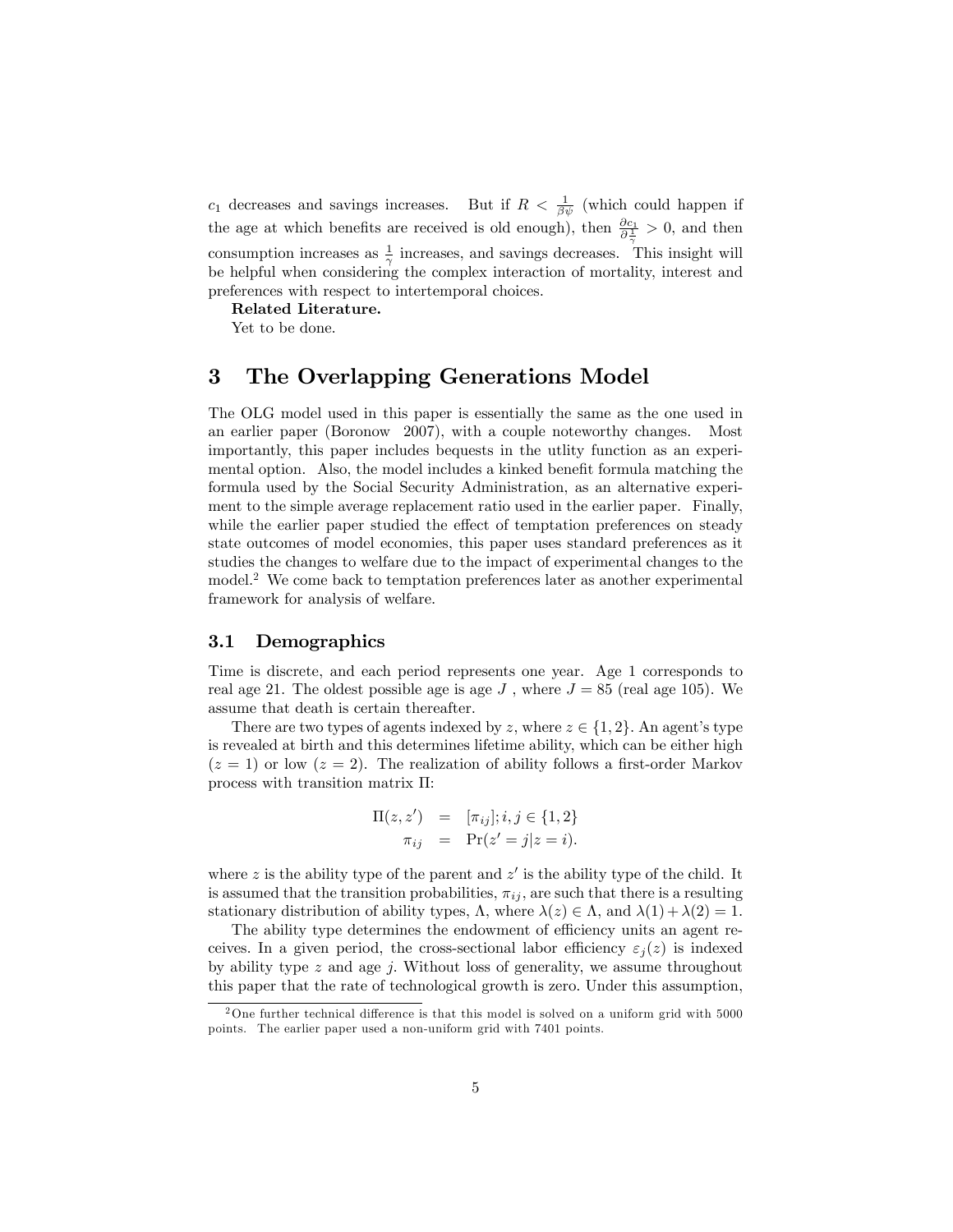$c_1$  decreases and savings increases. But if  $R < \frac{1}{\beta \psi}$  (which could happen if the age at which benefits are received is old enough), then  $\frac{\partial c_1}{\partial \frac{1}{\gamma}} > 0$ , and then consumption increases as  $\frac{1}{\gamma}$  increases, and savings decreases. This insight will be helpful when considering the complex interaction of mortality, interest and preferences with respect to intertemporal choices.

Related Literature.

Yet to be done.

## 3 The Overlapping Generations Model

The OLG model used in this paper is essentially the same as the one used in an earlier paper (Boronow 2007), with a couple noteworthy changes. Most importantly, this paper includes bequests in the utlity function as an experimental option. Also, the model includes a kinked benefit formula matching the formula used by the Social Security Administration, as an alternative experiment to the simple average replacement ratio used in the earlier paper. Finally, while the earlier paper studied the effect of temptation preferences on steady state outcomes of model economies, this paper uses standard preferences as it studies the changes to welfare due to the impact of experimental changes to the model.<sup>2</sup> We come back to temptation preferences later as another experimental framework for analysis of welfare.

### 3.1 Demographics

Time is discrete, and each period represents one year. Age 1 corresponds to real age 21. The oldest possible age is age J, where  $J = 85$  (real age 105). We assume that death is certain thereafter.

There are two types of agents indexed by z, where  $z \in \{1, 2\}$ . An agent's type is revealed at birth and this determines lifetime ability, which can be either high  $(z = 1)$  or low  $(z = 2)$ . The realization of ability follows a first-order Markov process with transition matrix  $\Pi$ :

$$
\Pi(z, z') = [\pi_{ij}]; i, j \in \{1, 2\} \n\pi_{ij} = \Pr(z' = j | z = i).
$$

where z is the ability type of the parent and  $z'$  is the ability type of the child. It is assumed that the transition probabilities,  $\pi_{ij}$ , are such that there is a resulting stationary distribution of ability types,  $\Lambda$ , where  $\lambda(z) \in \Lambda$ , and  $\lambda(1) + \lambda(2) = 1$ .

The ability type determines the endowment of efficiency units an agent receives. In a given period, the cross-sectional labor efficiency  $\varepsilon_i(z)$  is indexed by ability type  $z$  and age  $j$ . Without loss of generality, we assume throughout this paper that the rate of technological growth is zero. Under this assumption,

<sup>&</sup>lt;sup>2</sup>One further technical difference is that this model is solved on a uniform grid with  $5000$ points. The earlier paper used a non-uniform grid with 7401 points.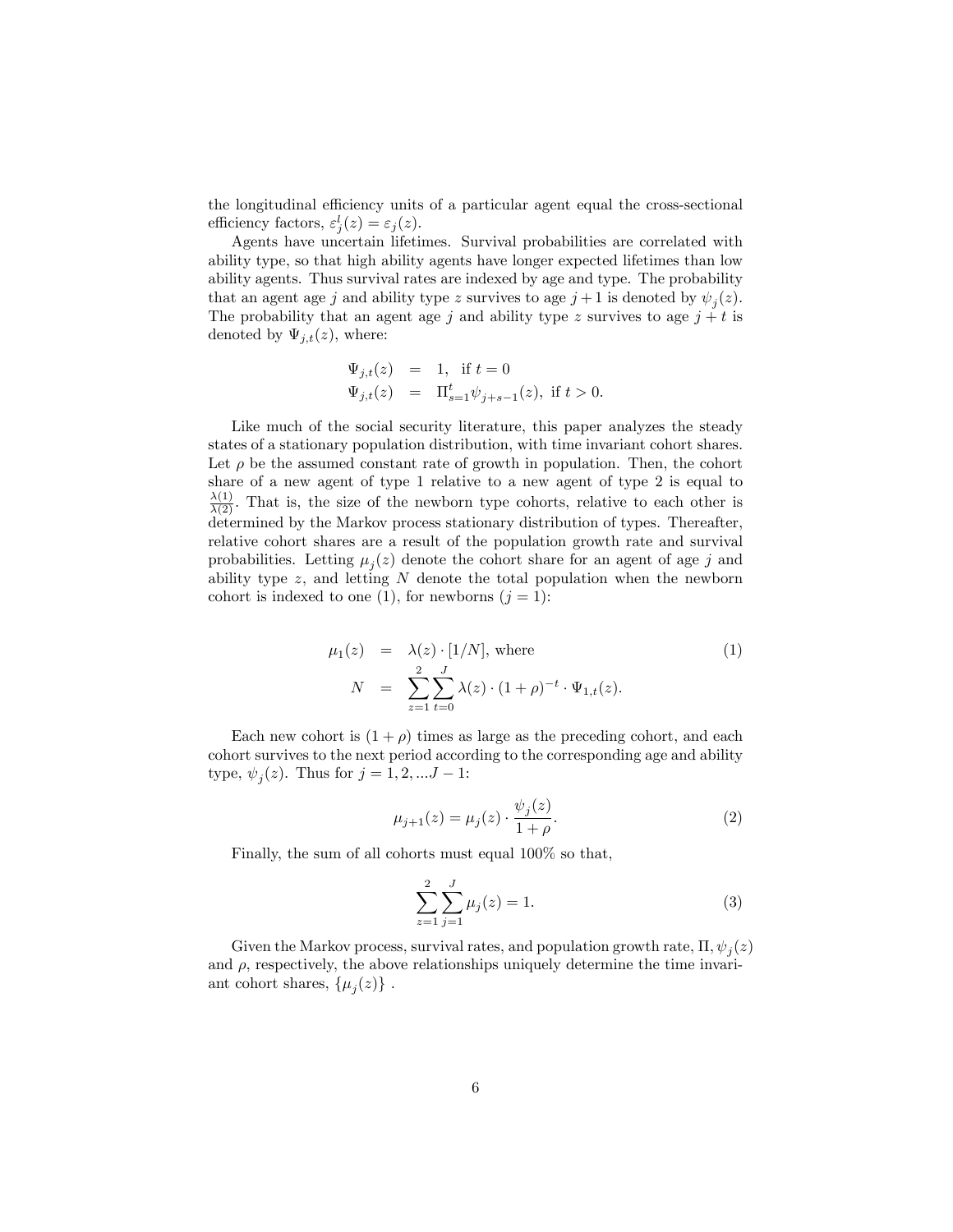the longitudinal efficiency units of a particular agent equal the cross-sectional efficiency factors,  $\varepsilon_j^l(z) = \varepsilon_j(z)$ .

Agents have uncertain lifetimes. Survival probabilities are correlated with ability type, so that high ability agents have longer expected lifetimes than low ability agents. Thus survival rates are indexed by age and type. The probability that an agent age j and ability type z survives to age  $j+1$  is denoted by  $\psi_j(z)$ . The probability that an agent age j and ability type z survives to age  $j + t$  is denoted by  $\Psi_{i,t}(z)$ , where:

$$
\Psi_{j,t}(z) = 1, \text{ if } t = 0
$$
  

$$
\Psi_{j,t}(z) = \Pi_{s=1}^t \psi_{j+s-1}(z), \text{ if } t > 0.
$$

Like much of the social security literature, this paper analyzes the steady states of a stationary population distribution, with time invariant cohort shares. Let  $\rho$  be the assumed constant rate of growth in population. Then, the cohort share of a new agent of type 1 relative to a new agent of type 2 is equal to  $\frac{\lambda(1)}{\lambda(2)}$ . That is, the size of the newborn type cohorts, relative to each other is determined by the Markov process stationary distribution of types. Thereafter, relative cohort shares are a result of the population growth rate and survival probabilities. Letting  $\mu_j(z)$  denote the cohort share for an agent of age j and ability type  $z$ , and letting  $N$  denote the total population when the newborn cohort is indexed to one (1), for newborns  $(j = 1)$ :

$$
\mu_1(z) = \lambda(z) \cdot [1/N], \text{ where}
$$
\n
$$
N = \sum_{z=1}^{2} \sum_{t=0}^{J} \lambda(z) \cdot (1+\rho)^{-t} \cdot \Psi_{1,t}(z).
$$
\n(1)

Each new cohort is  $(1 + \rho)$  times as large as the preceding cohort, and each cohort survives to the next period according to the corresponding age and ability type,  $\psi_j(z)$ . Thus for  $j = 1, 2, ... J - 1$ :

$$
\mu_{j+1}(z) = \mu_j(z) \cdot \frac{\psi_j(z)}{1+\rho}.
$$
\n(2)

Finally, the sum of all cohorts must equal 100% so that,

$$
\sum_{z=1}^{2} \sum_{j=1}^{J} \mu_j(z) = 1.
$$
 (3)

Given the Markov process, survival rates, and population growth rate,  $\Pi$ ,  $\psi_j(z)$ and  $\rho$ , respectively, the above relationships uniquely determine the time invariant cohort shares,  $\{\mu_j(z)\}\.$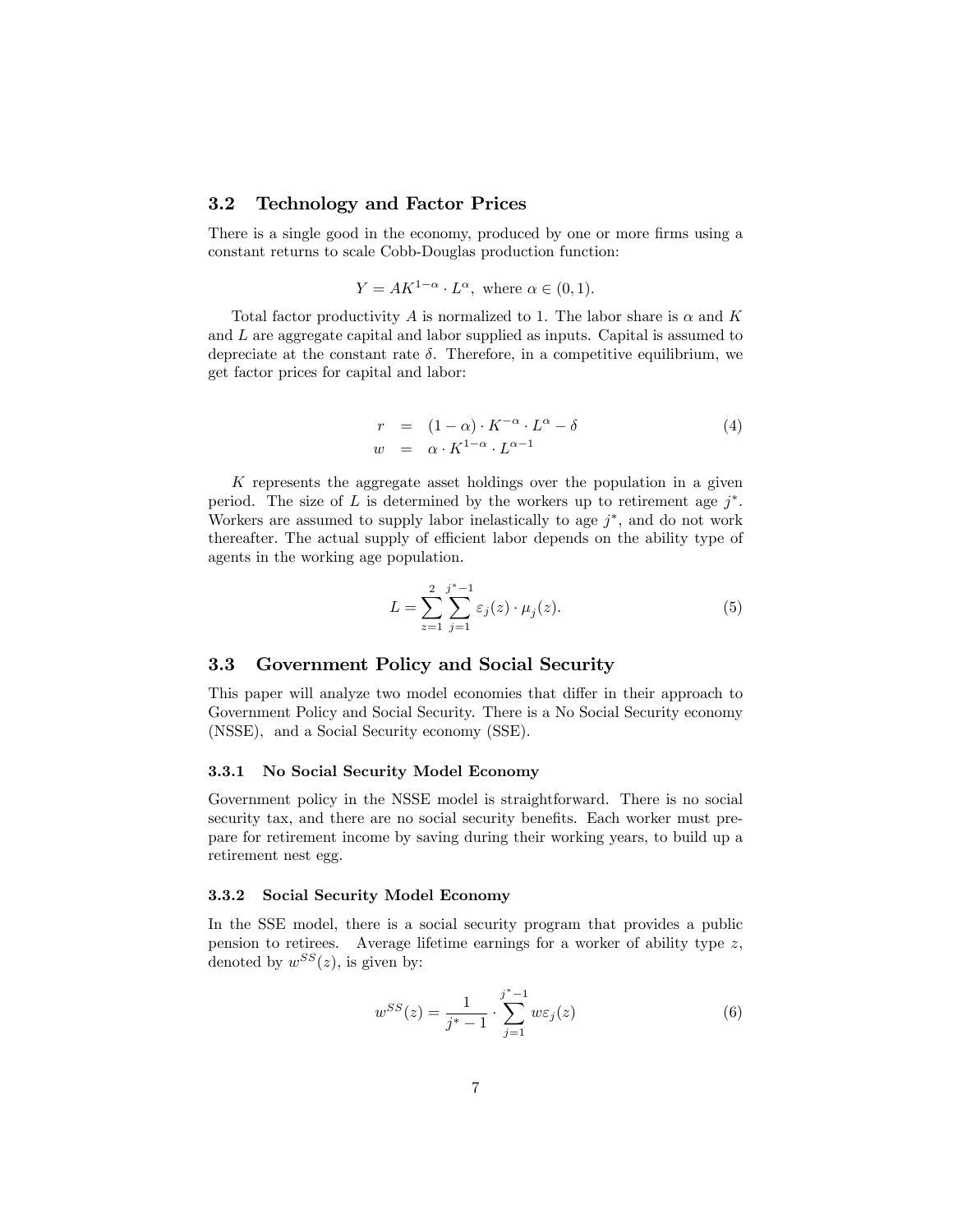### 3.2 Technology and Factor Prices

There is a single good in the economy, produced by one or more firms using a constant returns to scale Cobb-Douglas production function:

$$
Y = AK^{1-\alpha} \cdot L^{\alpha}, \text{ where } \alpha \in (0,1).
$$

Total factor productivity  $A$  is normalized to 1. The labor share is  $\alpha$  and  $K$ and L are aggregate capital and labor supplied as inputs. Capital is assumed to depreciate at the constant rate  $\delta$ . Therefore, in a competitive equilibrium, we get factor prices for capital and labor:

$$
r = (1 - \alpha) \cdot K^{-\alpha} \cdot L^{\alpha} - \delta
$$
  
\n
$$
w = \alpha \cdot K^{1 - \alpha} \cdot L^{\alpha - 1}
$$
\n(4)

K represents the aggregate asset holdings over the population in a given period. The size of L is determined by the workers up to retirement age  $j^*$ . Workers are assumed to supply labor inelastically to age  $j^*$ , and do not work thereafter. The actual supply of efficient labor depends on the ability type of agents in the working age population.

$$
L = \sum_{z=1}^{2} \sum_{j=1}^{j^{*}-1} \varepsilon_{j}(z) \cdot \mu_{j}(z).
$$
 (5)

### 3.3 Government Policy and Social Security

This paper will analyze two model economies that differ in their approach to Government Policy and Social Security. There is a No Social Security economy (NSSE), and a Social Security economy (SSE).

#### 3.3.1 No Social Security Model Economy

Government policy in the NSSE model is straightforward. There is no social security tax, and there are no social security benefits. Each worker must prepare for retirement income by saving during their working years, to build up a retirement nest egg.

### 3.3.2 Social Security Model Economy

In the SSE model, there is a social security program that provides a public pension to retirees. Average lifetime earnings for a worker of ability type  $z$ , denoted by  $w^{SS}(z)$ , is given by:

$$
w^{SS}(z) = \frac{1}{j^*-1} \cdot \sum_{j=1}^{j^*-1} w\varepsilon_j(z)
$$
 (6)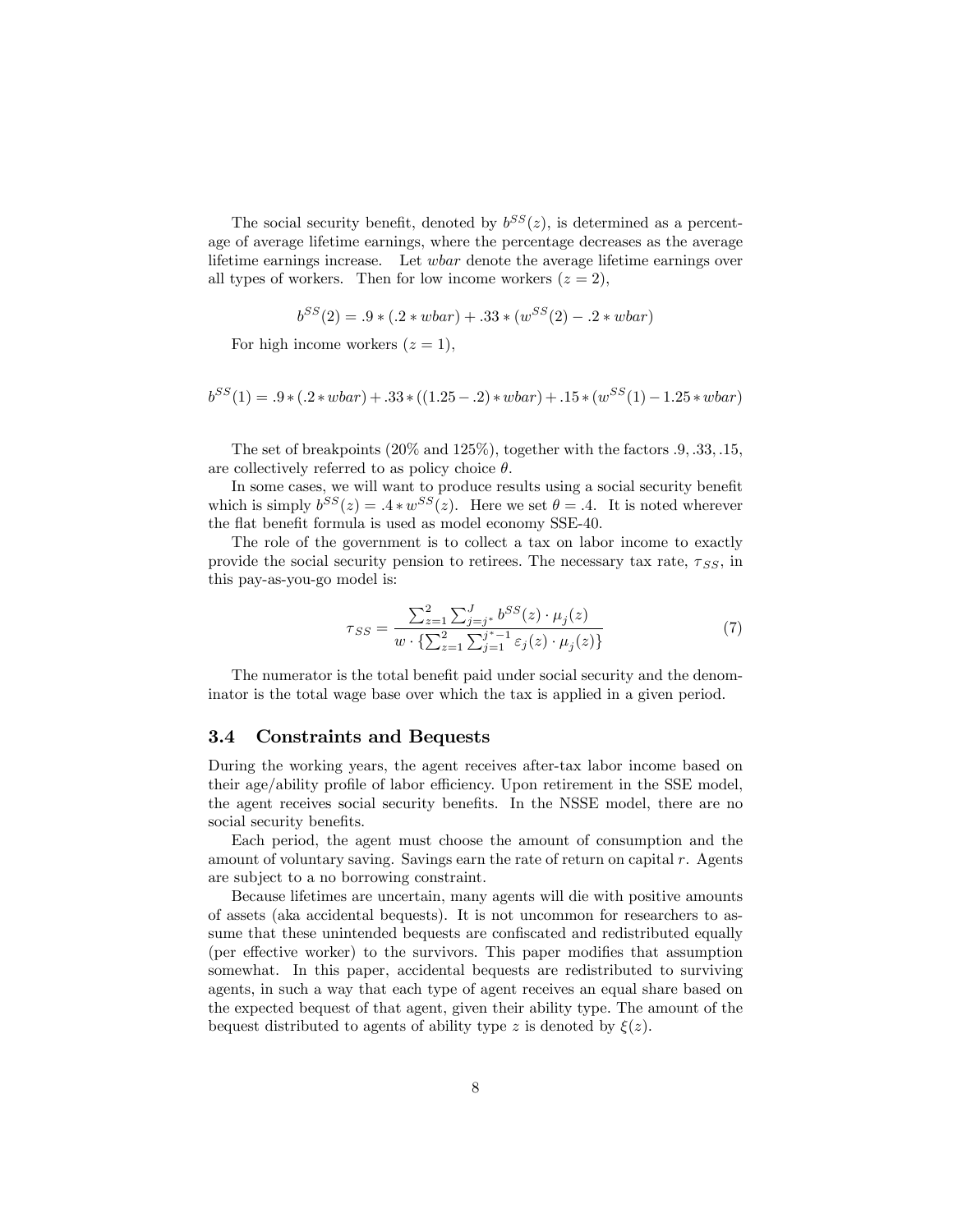The social security benefit, denoted by  $b^{SS}(z)$ , is determined as a percentage of average lifetime earnings, where the percentage decreases as the average lifetime earnings increase. Let wbar denote the average lifetime earnings over all types of workers. Then for low income workers  $(z = 2)$ ,

$$
b^{SS}(2) = .9 * (.2 * wbar) + .33 * (w^{SS}(2) - .2 * wbar)
$$

For high income workers  $(z = 1)$ ,

$$
b^{SS}(1) = .9 * (.2 * wbar) + .33 * ((1.25 - .2) * wbar) + .15 * (w^{SS}(1) - 1.25 * wbar)
$$

The set of breakpoints  $(20\% \text{ and } 125\%)$ , together with the factors  $.9, .33, .15,$ are collectively referred to as policy choice  $\theta$ .

In some cases, we will want to produce results using a social security benefit which is simply  $b^{SS}(z) = 0.4 * w^{SS}(z)$ . Here we set  $\theta = 0.4$ . It is noted wherever the flat benefit formula is used as model economy SSE-40.

The role of the government is to collect a tax on labor income to exactly provide the social security pension to retirees. The necessary tax rate,  $\tau_{SS}$ , in this pay-as-you-go model is:

$$
\tau_{SS} = \frac{\sum_{z=1}^{2} \sum_{j=j^*}^{J} b^{SS}(z) \cdot \mu_j(z)}{w \cdot \left\{ \sum_{z=1}^{2} \sum_{j=1}^{j^*-1} \varepsilon_j(z) \cdot \mu_j(z) \right\}}
$$
(7)

The numerator is the total benefit paid under social security and the denominator is the total wage base over which the tax is applied in a given period.

### 3.4 Constraints and Bequests

During the working years, the agent receives after-tax labor income based on their age/ability profile of labor efficiency. Upon retirement in the SSE model, the agent receives social security benefits. In the NSSE model, there are no social security benefits.

Each period, the agent must choose the amount of consumption and the amount of voluntary saving. Savings earn the rate of return on capital r. Agents are subject to a no borrowing constraint.

Because lifetimes are uncertain, many agents will die with positive amounts of assets (aka accidental bequests). It is not uncommon for researchers to assume that these unintended bequests are confiscated and redistributed equally (per effective worker) to the survivors. This paper modifies that assumption somewhat. In this paper, accidental bequests are redistributed to surviving agents, in such a way that each type of agent receives an equal share based on the expected bequest of that agent, given their ability type. The amount of the bequest distributed to agents of ability type z is denoted by  $\xi(z)$ .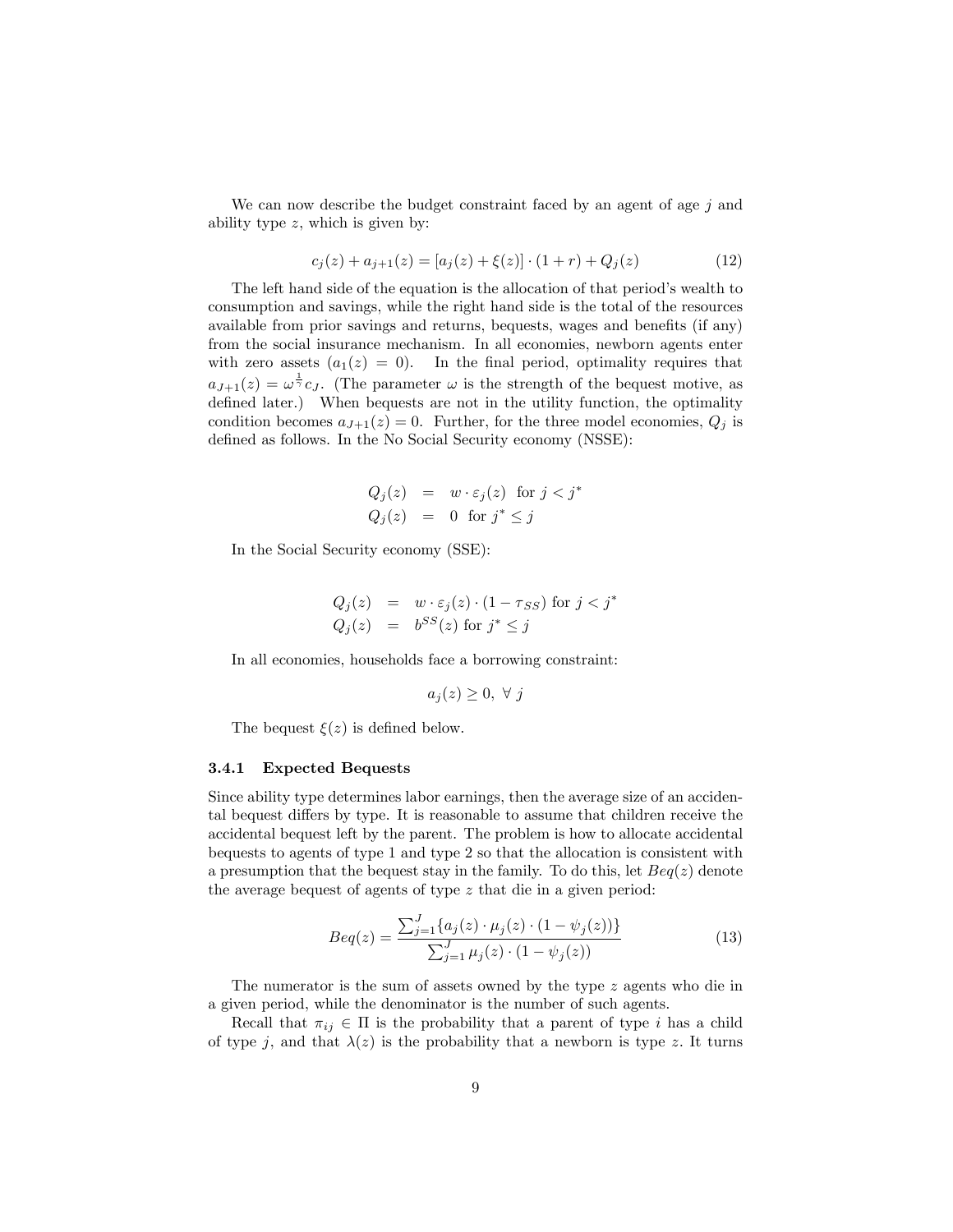We can now describe the budget constraint faced by an agent of age  $j$  and ability type  $z$ , which is given by:

$$
c_j(z) + a_{j+1}(z) = [a_j(z) + \xi(z)] \cdot (1+r) + Q_j(z)
$$
\n(12)

The left hand side of the equation is the allocation of that period's wealth to consumption and savings, while the right hand side is the total of the resources available from prior savings and returns, bequests, wages and benefits (if any) from the social insurance mechanism. In all economies, newborn agents enter with zero assets  $(a_1(z) = 0)$ . In the final period, optimality requires that  $a_{J+1}(z) = \omega^{\frac{1}{\gamma}} c_J$ . (The parameter  $\omega$  is the strength of the bequest motive, as defined later.) When bequests are not in the utility function, the optimality condition becomes  $a_{J+1}(z) = 0$ . Further, for the three model economies,  $Q_i$  is defined as follows. In the No Social Security economy (NSSE):

$$
Q_j(z) = w \cdot \varepsilon_j(z) \text{ for } j < j^*
$$
  

$$
Q_j(z) = 0 \text{ for } j^* \le j
$$

In the Social Security economy (SSE):

$$
Q_j(z) = w \cdot \varepsilon_j(z) \cdot (1 - \tau_{SS}) \text{ for } j < j^*
$$
  

$$
Q_j(z) = b^{SS}(z) \text{ for } j^* \le j
$$

In all economies, households face a borrowing constraint:

$$
a_j(z) \geq 0, \ \forall \ j
$$

The bequest  $\xi(z)$  is defined below.

#### 3.4.1 Expected Bequests

Since ability type determines labor earnings, then the average size of an accidental bequest differs by type. It is reasonable to assume that children receive the accidental bequest left by the parent. The problem is how to allocate accidental bequests to agents of type 1 and type 2 so that the allocation is consistent with a presumption that the bequest stay in the family. To do this, let  $Beq(z)$  denote the average bequest of agents of type z that die in a given period:

$$
Beq(z) = \frac{\sum_{j=1}^{J} \{a_j(z) \cdot \mu_j(z) \cdot (1 - \psi_j(z))\}}{\sum_{j=1}^{J} \mu_j(z) \cdot (1 - \psi_j(z))}
$$
(13)

The numerator is the sum of assets owned by the type  $z$  agents who die in a given period, while the denominator is the number of such agents.

Recall that  $\pi_{ij} \in \Pi$  is the probability that a parent of type i has a child of type j, and that  $\lambda(z)$  is the probability that a newborn is type z. It turns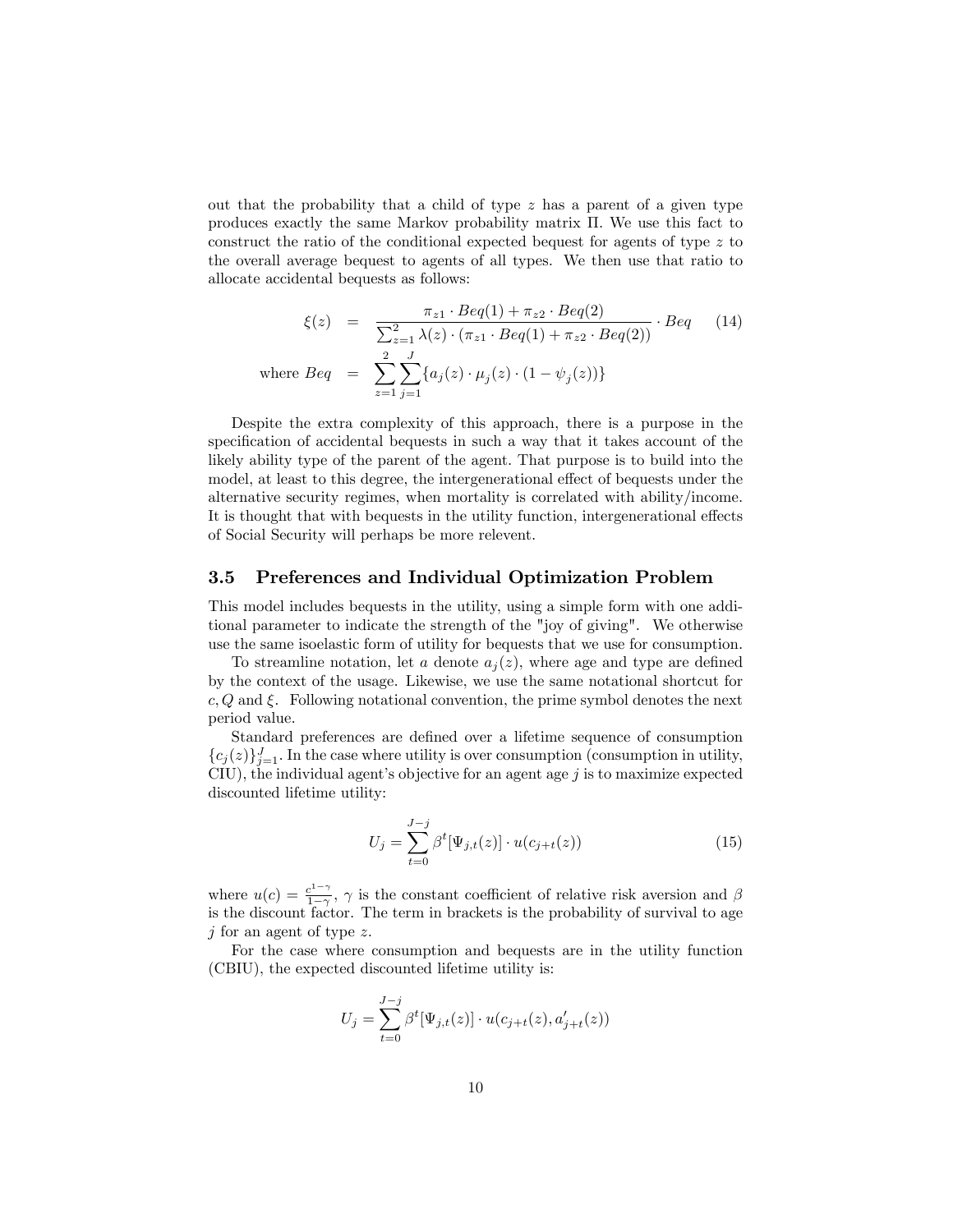out that the probability that a child of type  $z$  has a parent of a given type produces exactly the same Markov probability matrix  $\Pi$ . We use this fact to construct the ratio of the conditional expected bequest for agents of type z to the overall average bequest to agents of all types. We then use that ratio to allocate accidental bequests as follows:

$$
\xi(z) = \frac{\pi_{z1} \cdot Beq(1) + \pi_{z2} \cdot Beq(2)}{\sum_{z=1}^{2} \lambda(z) \cdot (\pi_{z1} \cdot Beq(1) + \pi_{z2} \cdot Beq(2))} \cdot Beq \quad (14)
$$
  
where  $Beq = \sum_{z=1}^{2} \sum_{j=1}^{J} \{a_j(z) \cdot \mu_j(z) \cdot (1 - \psi_j(z))\}$ 

Despite the extra complexity of this approach, there is a purpose in the specification of accidental bequests in such a way that it takes account of the likely ability type of the parent of the agent. That purpose is to build into the model, at least to this degree, the intergenerational effect of bequests under the alternative security regimes, when mortality is correlated with ability/income. It is thought that with bequests in the utility function, intergenerational effects of Social Security will perhaps be more relevent.

### 3.5 Preferences and Individual Optimization Problem

This model includes bequests in the utility, using a simple form with one additional parameter to indicate the strength of the "joy of giving". We otherwise use the same isoelastic form of utility for bequests that we use for consumption.

To streamline notation, let a denote  $a_i(z)$ , where age and type are defined by the context of the usage. Likewise, we use the same notational shortcut for  $c, Q$  and  $\xi$ . Following notational convention, the prime symbol denotes the next period value.

Standard preferences are defined over a lifetime sequence of consumption  ${c_j(z)}_{j=1}^J$ . In the case where utility is over consumption (consumption in utility, CIU), the individual agent's objective for an agent age  $j$  is to maximize expected discounted lifetime utility:

$$
U_j = \sum_{t=0}^{J-j} \beta^t [\Psi_{j,t}(z)] \cdot u(c_{j+t}(z))
$$
\n(15)

where  $u(c) = \frac{c^{1-\gamma}}{1-\gamma}$  $\frac{e^{z-7}}{1-\gamma}$ ,  $\gamma$  is the constant coefficient of relative risk aversion and  $\beta$ is the discount factor. The term in brackets is the probability of survival to age  $j$  for an agent of type z.

For the case where consumption and bequests are in the utility function (CBIU), the expected discounted lifetime utility is:

$$
U_j = \sum_{t=0}^{J-j} \beta^t [\Psi_{j,t}(z)] \cdot u(c_{j+t}(z), a'_{j+t}(z))
$$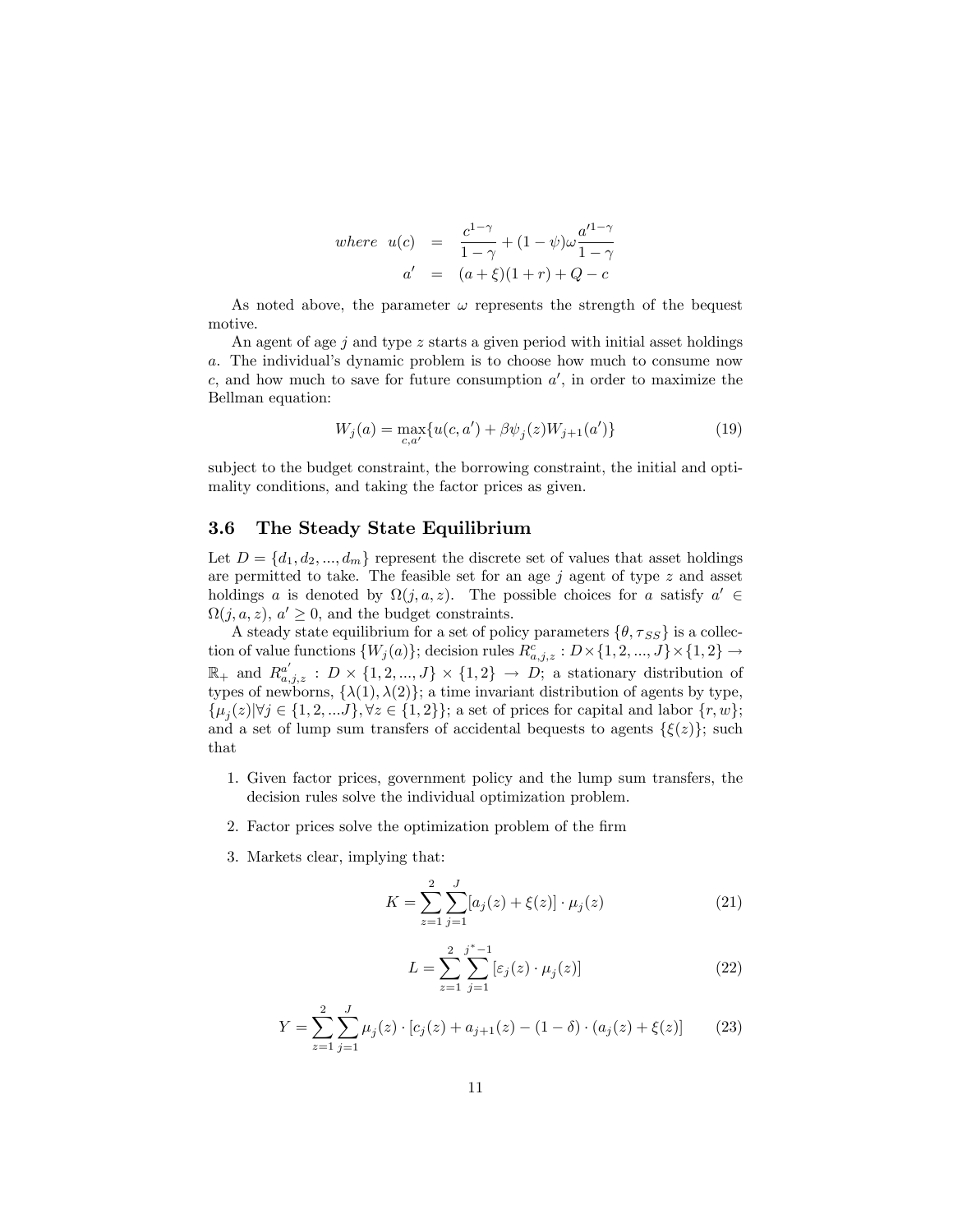where 
$$
u(c) = \frac{c^{1-\gamma}}{1-\gamma} + (1-\psi)\omega \frac{a'^{1-\gamma}}{1-\gamma}
$$
  
 $a' = (a+\xi)(1+r) + Q - c$ 

As noted above, the parameter  $\omega$  represents the strength of the bequest motive.

An agent of age  $j$  and type  $z$  starts a given period with initial asset holdings a. The individualís dynamic problem is to choose how much to consume now  $c$ , and how much to save for future consumption  $a'$ , in order to maximize the Bellman equation:

$$
W_j(a) = \max_{c,a'} \{ u(c,a') + \beta \psi_j(z) W_{j+1}(a') \}
$$
\n(19)

subject to the budget constraint, the borrowing constraint, the initial and optimality conditions, and taking the factor prices as given.

### 3.6 The Steady State Equilibrium

Let  $D = \{d_1, d_2, ..., d_m\}$  represent the discrete set of values that asset holdings are permitted to take. The feasible set for an age  $j$  agent of type  $z$  and asset holdings a is denoted by  $\Omega(j, a, z)$ . The possible choices for a satisfy  $a' \in \Omega(j, a, z)$ .  $\Omega(j, a, z)$ ,  $a' \geq 0$ , and the budget constraints.

A steady state equilibrium for a set of policy parameters  $\{\theta, \tau_{SS}\}$  is a collection of value functions  $\{W_j(a)\}$ ; decision rules  $R^c_{a,j,z}: D \times \{1,2,...,J\} \times \{1,2\} \rightarrow$  $\mathbb{R}_+$  and  $R_{a,j,z}^{a'} : D \times \{1,2,...,J\} \times \{1,2\} \rightarrow D;$  a stationary distribution of types of newborns,  $\{\lambda(1), \lambda(2)\}$ ; a time invariant distribution of agents by type,  $\{\mu_j(z)| \forall j \in \{1, 2, \ldots J\}, \forall z \in \{1, 2\}\};$  a set of prices for capital and labor  $\{r, w\};$ and a set of lump sum transfers of accidental bequests to agents  $\{\xi(z)\}\$ ; such that

- 1. Given factor prices, government policy and the lump sum transfers, the decision rules solve the individual optimization problem.
- 2. Factor prices solve the optimization problem of the firm
- 3. Markets clear, implying that:

$$
K = \sum_{z=1}^{2} \sum_{j=1}^{J} [a_j(z) + \xi(z)] \cdot \mu_j(z)
$$
 (21)

$$
L = \sum_{z=1}^{2} \sum_{j=1}^{j^*-1} [\varepsilon_j(z) \cdot \mu_j(z)] \tag{22}
$$

$$
Y = \sum_{z=1}^{2} \sum_{j=1}^{J} \mu_j(z) \cdot [c_j(z) + a_{j+1}(z) - (1 - \delta) \cdot (a_j(z) + \xi(z))]
$$
(23)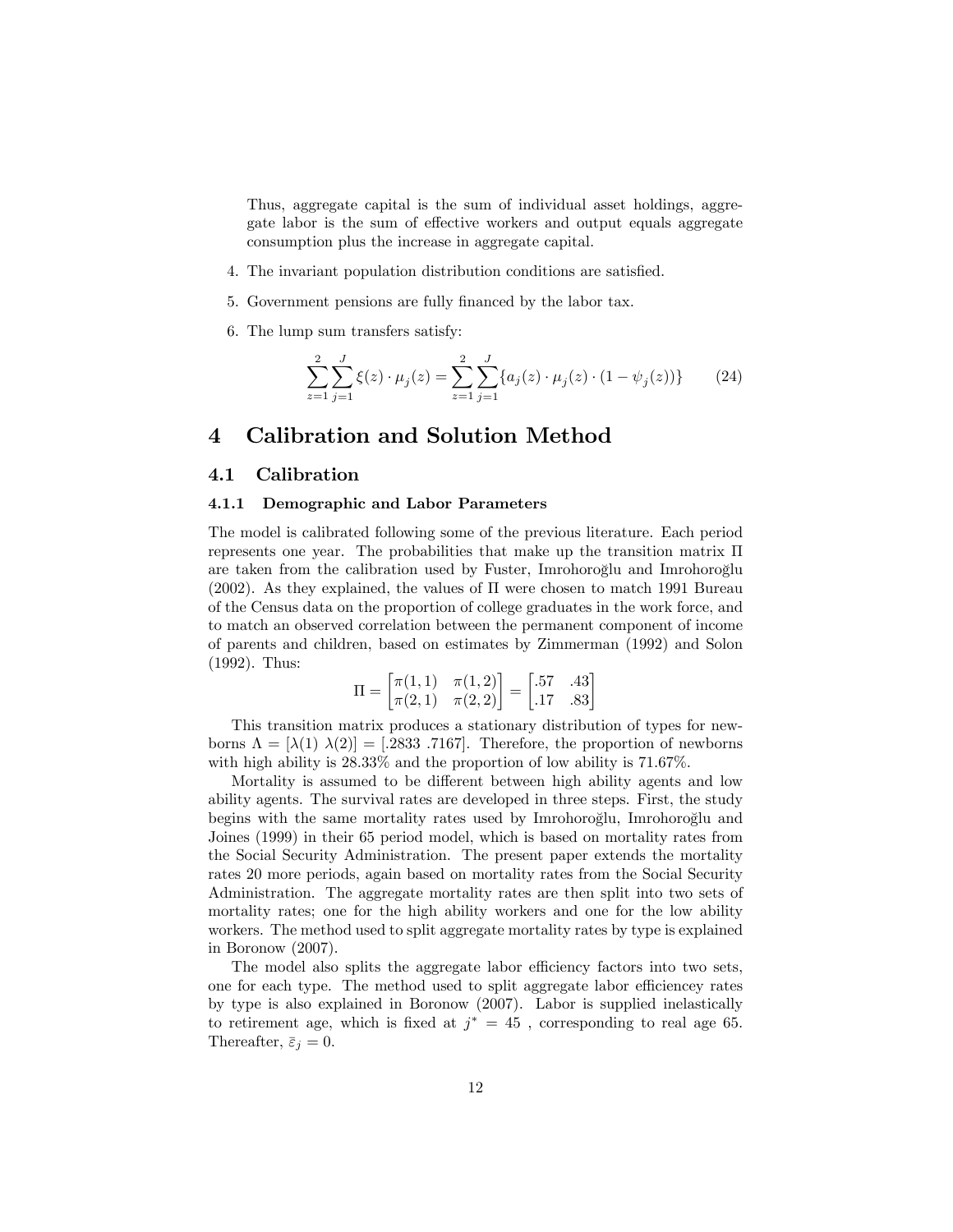Thus, aggregate capital is the sum of individual asset holdings, aggregate labor is the sum of effective workers and output equals aggregate consumption plus the increase in aggregate capital.

- 4. The invariant population distribution conditions are satisfied.
- 5. Government pensions are fully financed by the labor tax.
- 6. The lump sum transfers satisfy:

$$
\sum_{z=1}^{2} \sum_{j=1}^{J} \xi(z) \cdot \mu_j(z) = \sum_{z=1}^{2} \sum_{j=1}^{J} \{ a_j(z) \cdot \mu_j(z) \cdot (1 - \psi_j(z)) \}
$$
(24)

## 4 Calibration and Solution Method

## 4.1 Calibration

#### 4.1.1 Demographic and Labor Parameters

The model is calibrated following some of the previous literature. Each period represents one year. The probabilities that make up the transition matrix  $\Pi$ are taken from the calibration used by Fuster, Imrohoroglu and Imrohoroglu (2002). As they explained, the values of  $\Pi$  were chosen to match 1991 Bureau of the Census data on the proportion of college graduates in the work force, and to match an observed correlation between the permanent component of income of parents and children, based on estimates by Zimmerman (1992) and Solon (1992). Thus:

$$
\Pi = \begin{bmatrix} \pi(1,1) & \pi(1,2) \\ \pi(2,1) & \pi(2,2) \end{bmatrix} = \begin{bmatrix} .57 & .43 \\ .17 & .83 \end{bmatrix}
$$

This transition matrix produces a stationary distribution of types for newborns  $\Lambda = [\lambda(1) \lambda(2)] = [.2833 \ .7167]$ . Therefore, the proportion of newborns with high ability is  $28.33\%$  and the proportion of low ability is 71.67%.

Mortality is assumed to be different between high ability agents and low ability agents. The survival rates are developed in three steps. First, the study begins with the same mortality rates used by Imrohoroglu, Imrohoroglu and Joines (1999) in their 65 period model, which is based on mortality rates from the Social Security Administration. The present paper extends the mortality rates 20 more periods, again based on mortality rates from the Social Security Administration. The aggregate mortality rates are then split into two sets of mortality rates; one for the high ability workers and one for the low ability workers. The method used to split aggregate mortality rates by type is explained in Boronow (2007).

The model also splits the aggregate labor efficiency factors into two sets, one for each type. The method used to split aggregate labor efficiencey rates by type is also explained in Boronow (2007). Labor is supplied inelastically to retirement age, which is fixed at  $j^* = 45$ , corresponding to real age 65. Thereafter,  $\bar{\varepsilon}_j = 0$ .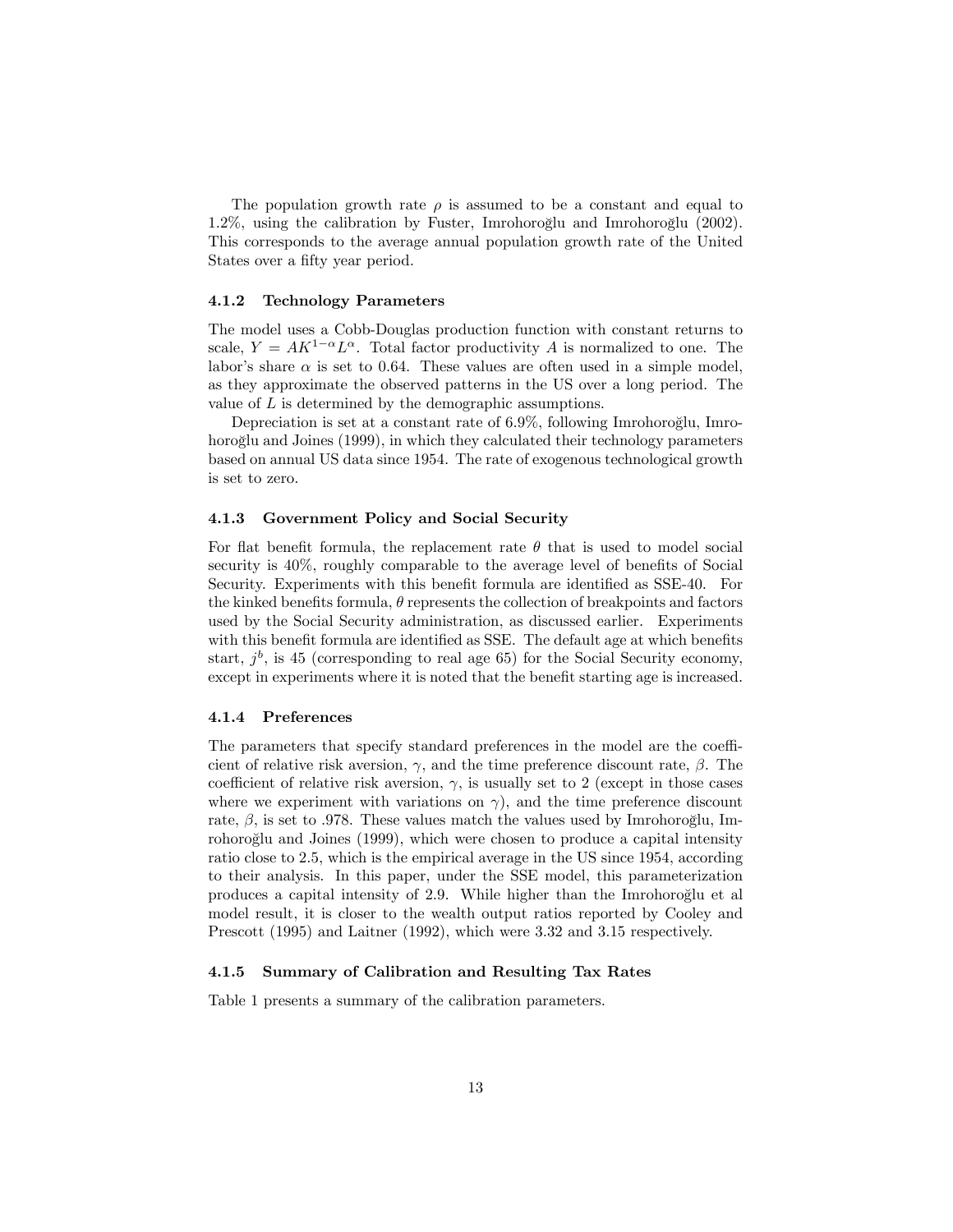The population growth rate  $\rho$  is assumed to be a constant and equal to  $1.2\%$ , using the calibration by Fuster, Imrohoroglu and Imrohoroglu  $(2002)$ . This corresponds to the average annual population growth rate of the United States over a fifty year period.

#### 4.1.2 Technology Parameters

The model uses a Cobb-Douglas production function with constant returns to scale,  $Y = AK^{1-\alpha}L^{\alpha}$ . Total factor productivity A is normalized to one. The labor's share  $\alpha$  is set to 0.64. These values are often used in a simple model, as they approximate the observed patterns in the US over a long period. The value of L is determined by the demographic assumptions.

Depreciation is set at a constant rate of 6.9%, following Imrohoroglu, Imrohoroglu and Joines (1999), in which they calculated their technology parameters based on annual US data since 1954. The rate of exogenous technological growth is set to zero.

#### 4.1.3 Government Policy and Social Security

For flat benefit formula, the replacement rate  $\theta$  that is used to model social security is  $40\%$ , roughly comparable to the average level of benefits of Social Security. Experiments with this benefit formula are identified as SSE-40. For the kinked benefits formula,  $\theta$  represents the collection of breakpoints and factors used by the Social Security administration, as discussed earlier. Experiments with this benefit formula are identified as SSE. The default age at which benefits start,  $j^b$ , is 45 (corresponding to real age 65) for the Social Security economy, except in experiments where it is noted that the benefit starting age is increased.

#### 4.1.4 Preferences

The parameters that specify standard preferences in the model are the coefficient of relative risk aversion,  $\gamma$ , and the time preference discount rate,  $\beta$ . The coefficient of relative risk aversion,  $\gamma$ , is usually set to 2 (except in those cases where we experiment with variations on  $\gamma$ ), and the time preference discount rate,  $\beta$ , is set to .978. These values match the values used by Imrohoroglu, Imrohoroglu and Joines (1999), which were chosen to produce a capital intensity ratio close to 2:5, which is the empirical average in the US since 1954, according to their analysis. In this paper, under the SSE model, this parameterization produces a capital intensity of 2.9. While higher than the Imrohoroglu et al model result, it is closer to the wealth output ratios reported by Cooley and Prescott (1995) and Laitner (1992), which were 3:32 and 3:15 respectively.

#### 4.1.5 Summary of Calibration and Resulting Tax Rates

Table 1 presents a summary of the calibration parameters.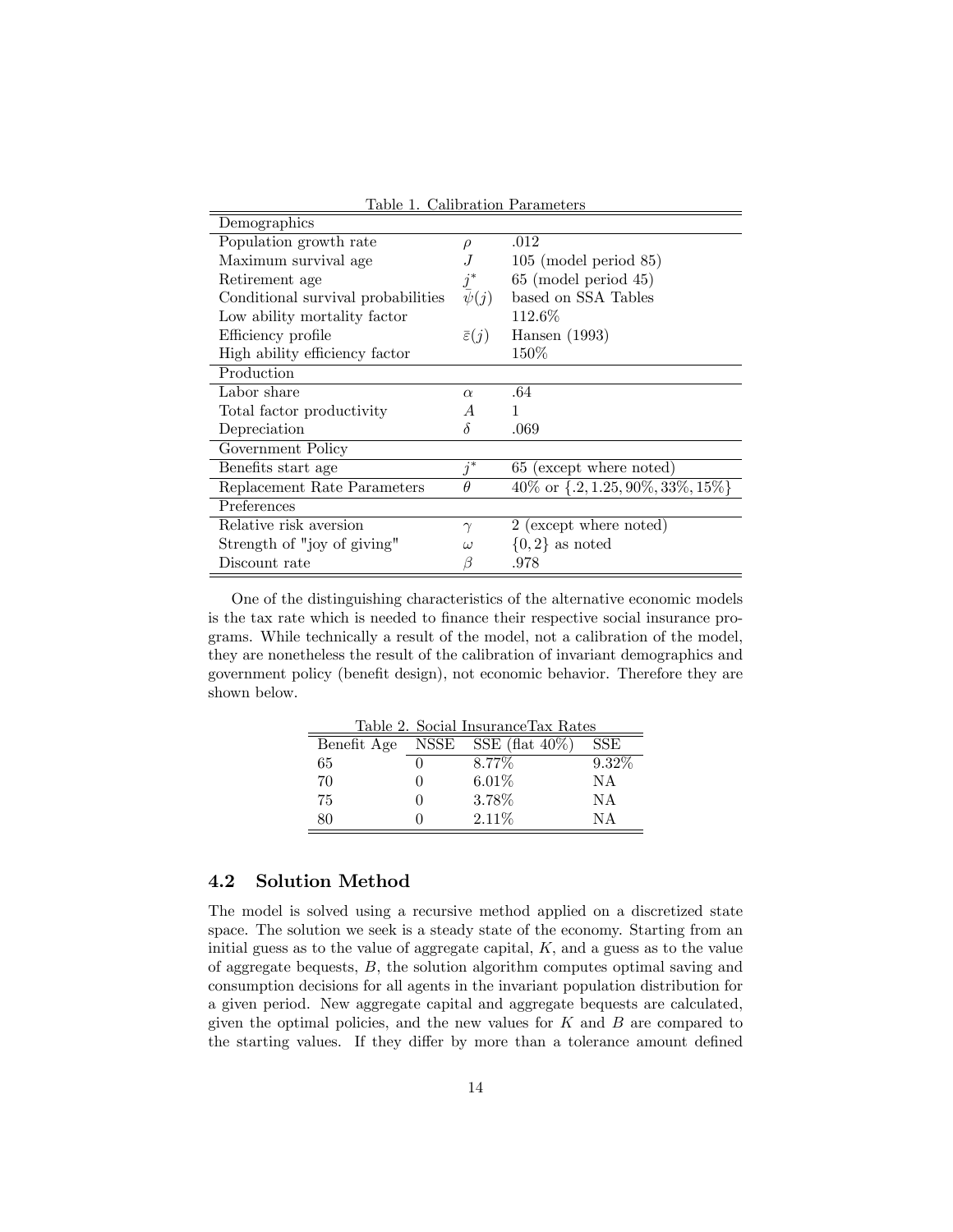| Demographics                       |                        | Canoravion I arameers                              |
|------------------------------------|------------------------|----------------------------------------------------|
|                                    |                        |                                                    |
| Population growth rate             | $\rho$                 | .012                                               |
| Maximum survival age               |                        | $105 \pmod{85}$                                    |
| Retirement age                     | $j^\ast$               | $65 \pmod{45}$                                     |
| Conditional survival probabilities | $\overline{\psi}(j)$   | based on SSA Tables                                |
| Low ability mortality factor       |                        | 112.6\%                                            |
| Efficiency profile                 | $\bar{\varepsilon}(j)$ | Hansen $(1993)$                                    |
| High ability efficiency factor     |                        | 150\%                                              |
| Production                         |                        |                                                    |
| Labor share                        | $\alpha$               | .64                                                |
| Total factor productivity          | A                      |                                                    |
| Depreciation                       | δ                      | .069                                               |
| Government Policy                  |                        |                                                    |
| Benefits start age                 | $j^*$                  | 65 (except where noted)                            |
| Replacement Rate Parameters        | $\theta$               | $40\% \text{ or } \{.2, 1.25, 90\%, 33\%, 15\% \}$ |
| Preferences                        |                        |                                                    |
| Relative risk aversion             | $\gamma$               | 2 (except where noted)                             |
| Strength of "joy of giving"        | $\omega$               | $\{0,2\}$ as noted                                 |
| Discount rate                      | 13                     | .978                                               |

Table 1. Calibration Parameters

One of the distinguishing characteristics of the alternative economic models is the tax rate which is needed to Önance their respective social insurance programs. While technically a result of the model, not a calibration of the model, they are nonetheless the result of the calibration of invariant demographics and government policy (benefit design), not economic behavior. Therefore they are shown below.

|    |        | Table 2. Social Insurance Tax Rates |          |
|----|--------|-------------------------------------|----------|
|    |        | Benefit Age NSSE SSE (flat 40%)     | SSE      |
| 65 |        | 8.77\%                              | $9.32\%$ |
| 70 | $\cup$ | 6.01%                               | NA       |
| 75 | $\cup$ | 3.78%                               | NA       |
| 80 |        | $2.11\%$                            | NΔ       |

## 4.2 Solution Method

The model is solved using a recursive method applied on a discretized state space. The solution we seek is a steady state of the economy. Starting from an initial guess as to the value of aggregate capital,  $K$ , and a guess as to the value of aggregate bequests, B, the solution algorithm computes optimal saving and consumption decisions for all agents in the invariant population distribution for a given period. New aggregate capital and aggregate bequests are calculated, given the optimal policies, and the new values for  $K$  and  $B$  are compared to the starting values. If they differ by more than a tolerance amount defined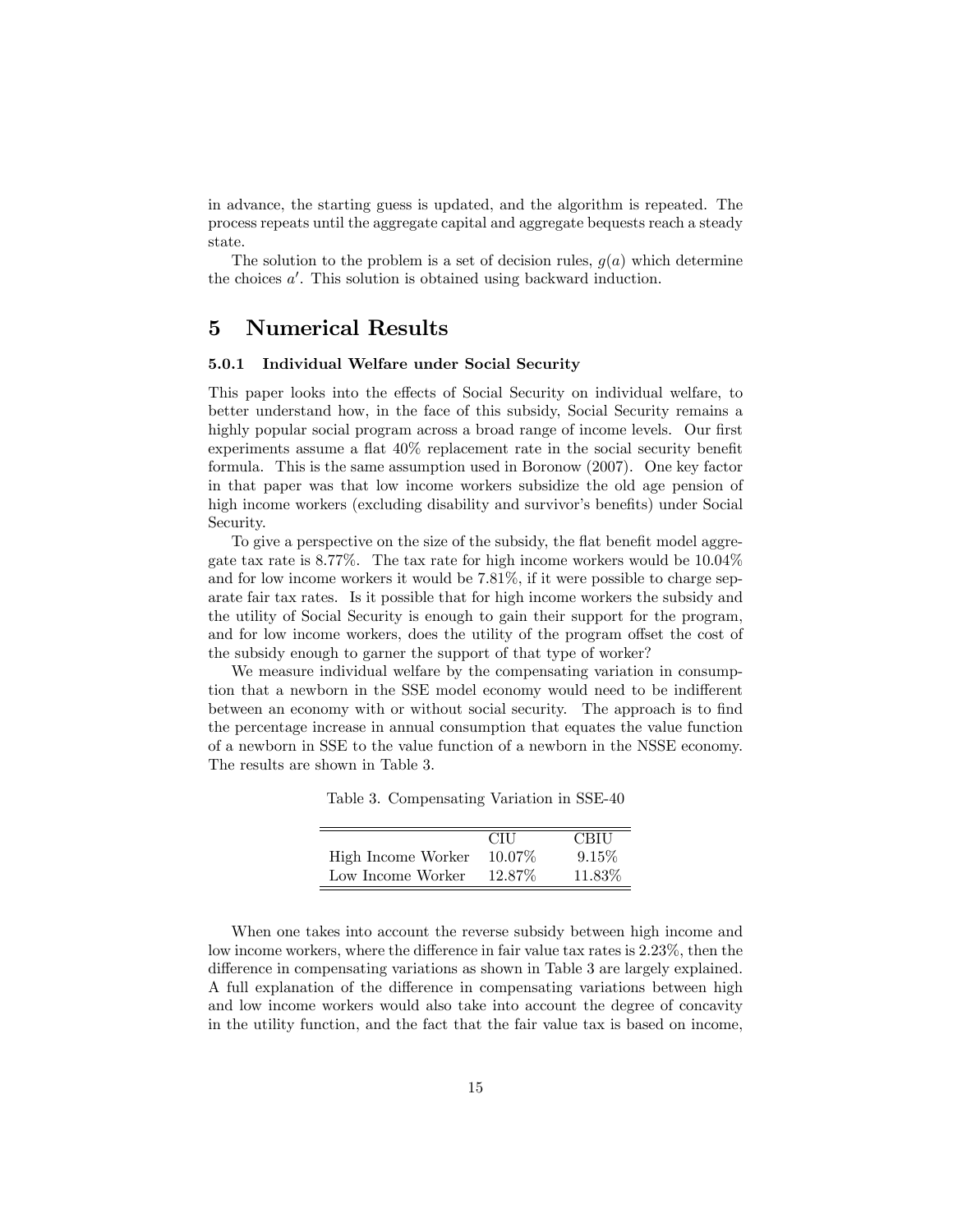in advance, the starting guess is updated, and the algorithm is repeated. The process repeats until the aggregate capital and aggregate bequests reach a steady state.

The solution to the problem is a set of decision rules,  $g(a)$  which determine the choices  $a'$ . This solution is obtained using backward induction.

## 5 Numerical Results

 $\equiv$ 

#### 5.0.1 Individual Welfare under Social Security

This paper looks into the effects of Social Security on individual welfare, to better understand how, in the face of this subsidy, Social Security remains a highly popular social program across a broad range of income levels. Our first experiments assume a flat  $40\%$  replacement rate in the social security benefit formula. This is the same assumption used in Boronow (2007). One key factor in that paper was that low income workers subsidize the old age pension of high income workers (excluding disability and survivor's benefits) under Social Security.

To give a perspective on the size of the subsidy, the flat benefit model aggregate tax rate is 8.77%. The tax rate for high income workers would be 10.04% and for low income workers it would be 7.81%, if it were possible to charge separate fair tax rates. Is it possible that for high income workers the subsidy and the utility of Social Security is enough to gain their support for the program, and for low income workers, does the utility of the program offset the cost of the subsidy enough to garner the support of that type of worker?

We measure individual welfare by the compensating variation in consumption that a newborn in the SSE model economy would need to be indifferent between an economy with or without social security. The approach is to find the percentage increase in annual consumption that equates the value function of a newborn in SSE to the value function of a newborn in the NSSE economy. The results are shown in Table 3.

Table 3. Compensating Variation in SSE-40

|                    | <b>CILL</b> | <b>CBIU</b> |
|--------------------|-------------|-------------|
| High Income Worker | 10.07\%     | 9.15%       |
| Low Income Worker  | 12.87\%     | 11.83%      |

When one takes into account the reverse subsidy between high income and low income workers, where the difference in fair value tax rates is 2.23%, then the difference in compensating variations as shown in Table 3 are largely explained. A full explanation of the difference in compensating variations between high and low income workers would also take into account the degree of concavity in the utility function, and the fact that the fair value tax is based on income,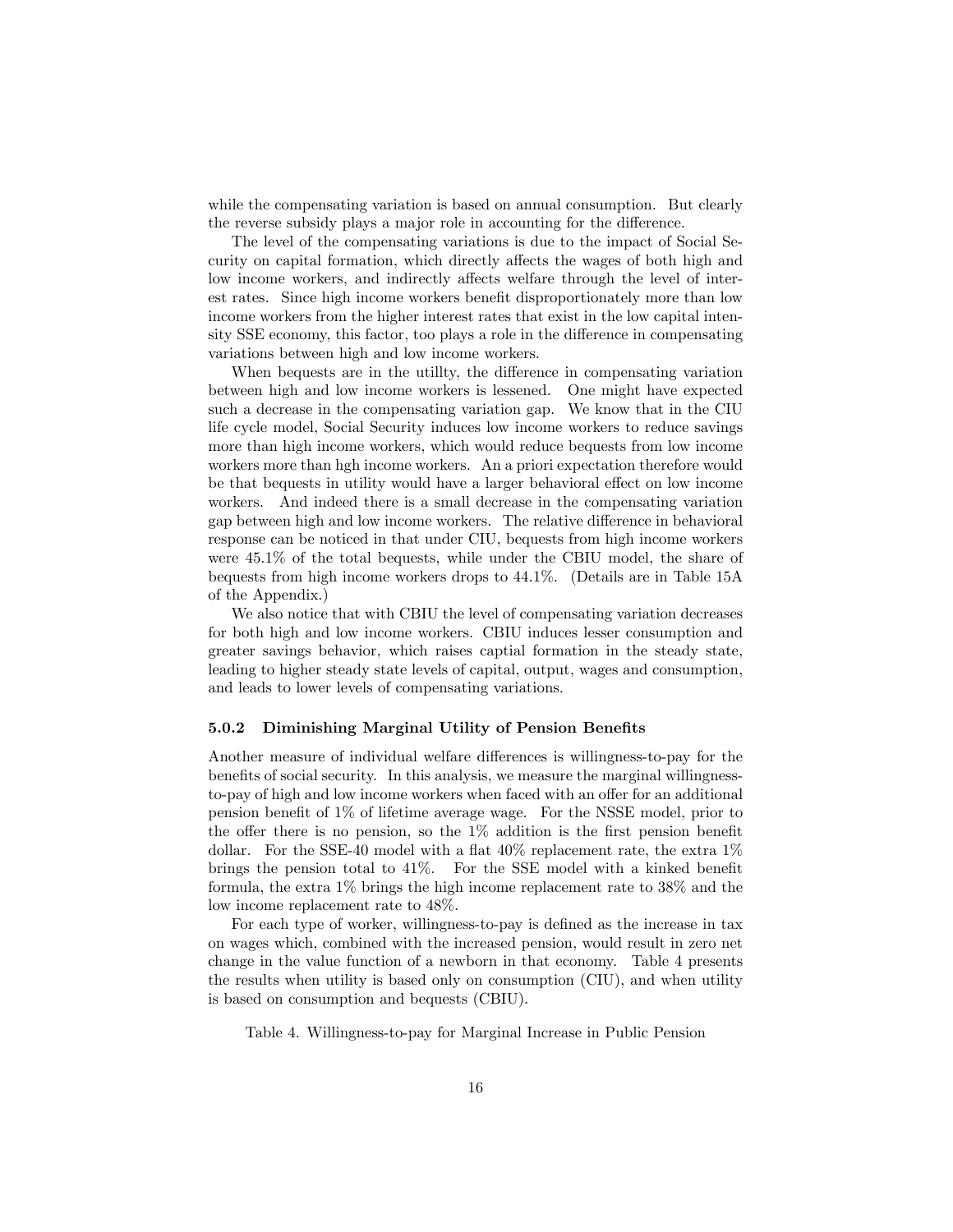while the compensating variation is based on annual consumption. But clearly the reverse subsidy plays a major role in accounting for the difference.

The level of the compensating variations is due to the impact of Social Security on capital formation, which directly affects the wages of both high and low income workers, and indirectly affects welfare through the level of interest rates. Since high income workers benefit disproportionately more than low income workers from the higher interest rates that exist in the low capital intensity SSE economy, this factor, too plays a role in the difference in compensating variations between high and low income workers.

When bequests are in the utility, the difference in compensating variation between high and low income workers is lessened. One might have expected such a decrease in the compensating variation gap. We know that in the CIU life cycle model, Social Security induces low income workers to reduce savings more than high income workers, which would reduce bequests from low income workers more than hgh income workers. An a priori expectation therefore would be that bequests in utility would have a larger behavioral effect on low income workers. And indeed there is a small decrease in the compensating variation gap between high and low income workers. The relative difference in behavioral response can be noticed in that under CIU, bequests from high income workers were 45:1% of the total bequests, while under the CBIU model, the share of bequests from high income workers drops to 44:1%. (Details are in Table 15A of the Appendix.)

We also notice that with CBIU the level of compensating variation decreases for both high and low income workers. CBIU induces lesser consumption and greater savings behavior, which raises captial formation in the steady state, leading to higher steady state levels of capital, output, wages and consumption, and leads to lower levels of compensating variations.

#### 5.0.2 Diminishing Marginal Utility of Pension Benefits

Another measure of individual welfare differences is willingness-to-pay for the benefits of social security. In this analysis, we measure the marginal willingnessto-pay of high and low income workers when faced with an offer for an additional pension benefit of  $1\%$  of lifetime average wage. For the NSSE model, prior to the offer there is no pension, so the  $1\%$  addition is the first pension benefit dollar. For the SSE-40 model with a flat  $40\%$  replacement rate, the extra  $1\%$ brings the pension total to  $41\%$ . For the SSE model with a kinked benefit formula, the extra 1% brings the high income replacement rate to 38% and the low income replacement rate to 48%.

For each type of worker, willingness-to-pay is defined as the increase in tax on wages which, combined with the increased pension, would result in zero net change in the value function of a newborn in that economy. Table 4 presents the results when utility is based only on consumption (CIU), and when utility is based on consumption and bequests (CBIU).

Table 4. Willingness-to-pay for Marginal Increase in Public Pension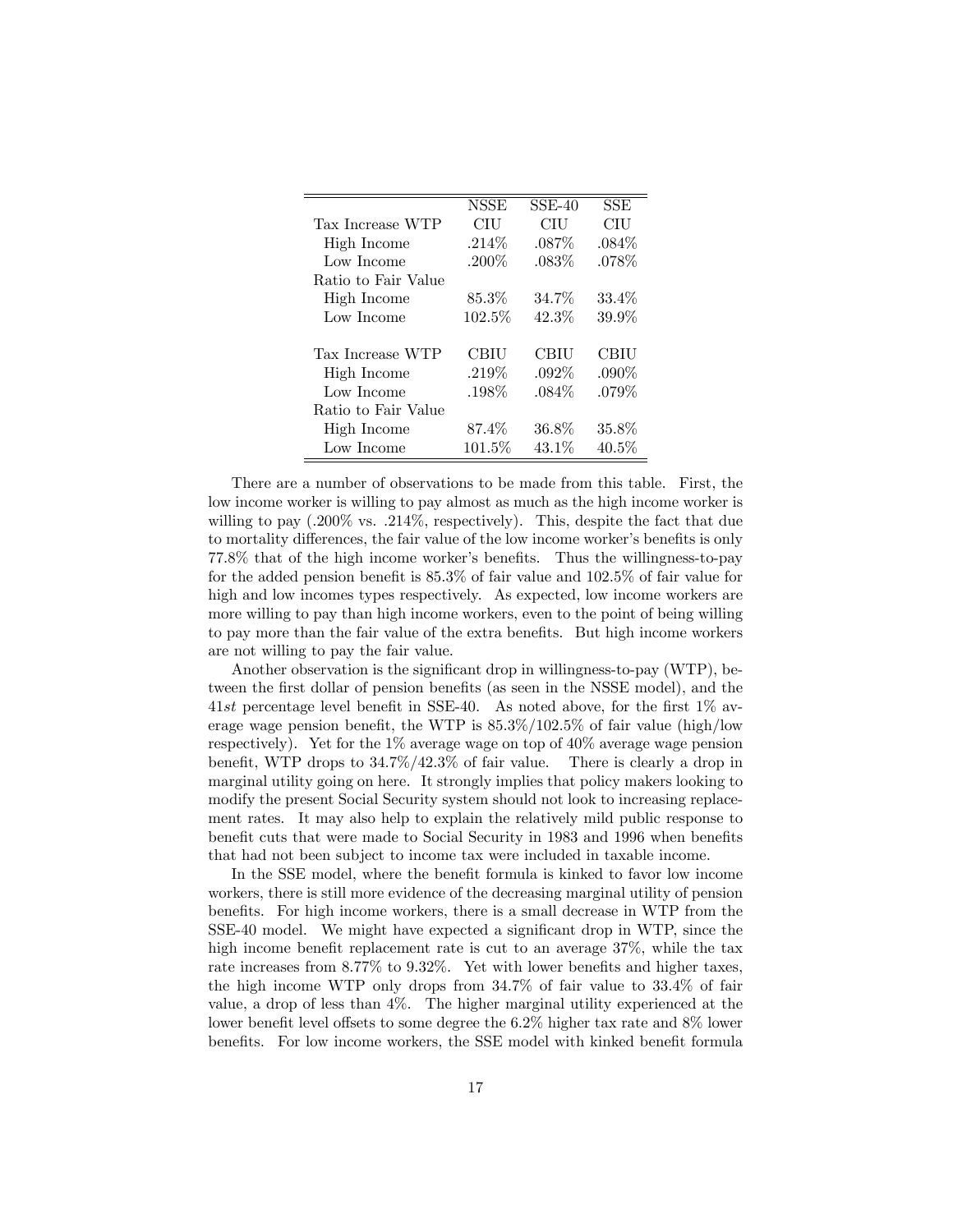|                     | <b>NSSE</b> | $SSE-40$ | SSE      |
|---------------------|-------------|----------|----------|
| Tax Increase WTP    | CIU         | CIU      | CIU      |
| High Income         | $.214\%$    | $.087\%$ | $.084\%$ |
| Low Income          | $.200\%$    | .083\%   | .078\%   |
| Ratio to Fair Value |             |          |          |
| High Income         | $85.3\%$    | 34.7%    | 33.4%    |
| Low Income          | 102.5%      | 42.3%    | 39.9%    |
|                     |             |          |          |
| Tax Increase WTP    | CBIU        | CBIU     | CBIU     |
| High Income         | .219\%      | $.092\%$ | $.090\%$ |
| Low Income          | .198%       | $.084\%$ | $.079\%$ |
| Ratio to Fair Value |             |          |          |
| High Income         | 87.4%       | 36.8%    | $35.8\%$ |
| Low Income          | $101.5\%$   | 43.1\%   | 40.5%    |

There are a number of observations to be made from this table. First, the low income worker is willing to pay almost as much as the high income worker is willing to pay  $(.200\% \text{ vs. } .214\%$ , respectively). This, despite the fact that due to mortality differences, the fair value of the low income worker's benefits is only 77.8% that of the high income worker's benefits. Thus the willingness-to-pay for the added pension benefit is  $85.3\%$  of fair value and  $102.5\%$  of fair value for high and low incomes types respectively. As expected, low income workers are more willing to pay than high income workers, even to the point of being willing to pay more than the fair value of the extra benefits. But high income workers are not willing to pay the fair value.

Another observation is the significant drop in willingness-to-pay (WTP), between the first dollar of pension benefits (as seen in the NSSE model), and the 41st percentage level benefit in SSE-40. As noted above, for the first  $1\%$  average wage pension benefit, the WTP is  $85.3\%/102.5\%$  of fair value (high/low respectively). Yet for the 1% average wage on top of 40% average wage pension benefit, WTP drops to  $34.7\%/42.3\%$  of fair value. There is clearly a drop in marginal utility going on here. It strongly implies that policy makers looking to modify the present Social Security system should not look to increasing replacement rates. It may also help to explain the relatively mild public response to benefit cuts that were made to Social Security in 1983 and 1996 when benefits that had not been subject to income tax were included in taxable income.

In the SSE model, where the benefit formula is kinked to favor low income workers, there is still more evidence of the decreasing marginal utility of pension benefits. For high income workers, there is a small decrease in WTP from the SSE-40 model. We might have expected a significant drop in WTP, since the high income benefit replacement rate is cut to an average  $37\%$ , while the tax rate increases from  $8.77\%$  to  $9.32\%$ . Yet with lower benefits and higher taxes, the high income WTP only drops from 34:7% of fair value to 33:4% of fair value, a drop of less than 4%. The higher marginal utility experienced at the lower benefit level offsets to some degree the  $6.2\%$  higher tax rate and  $8\%$  lower benefits. For low income workers, the SSE model with kinked benefit formula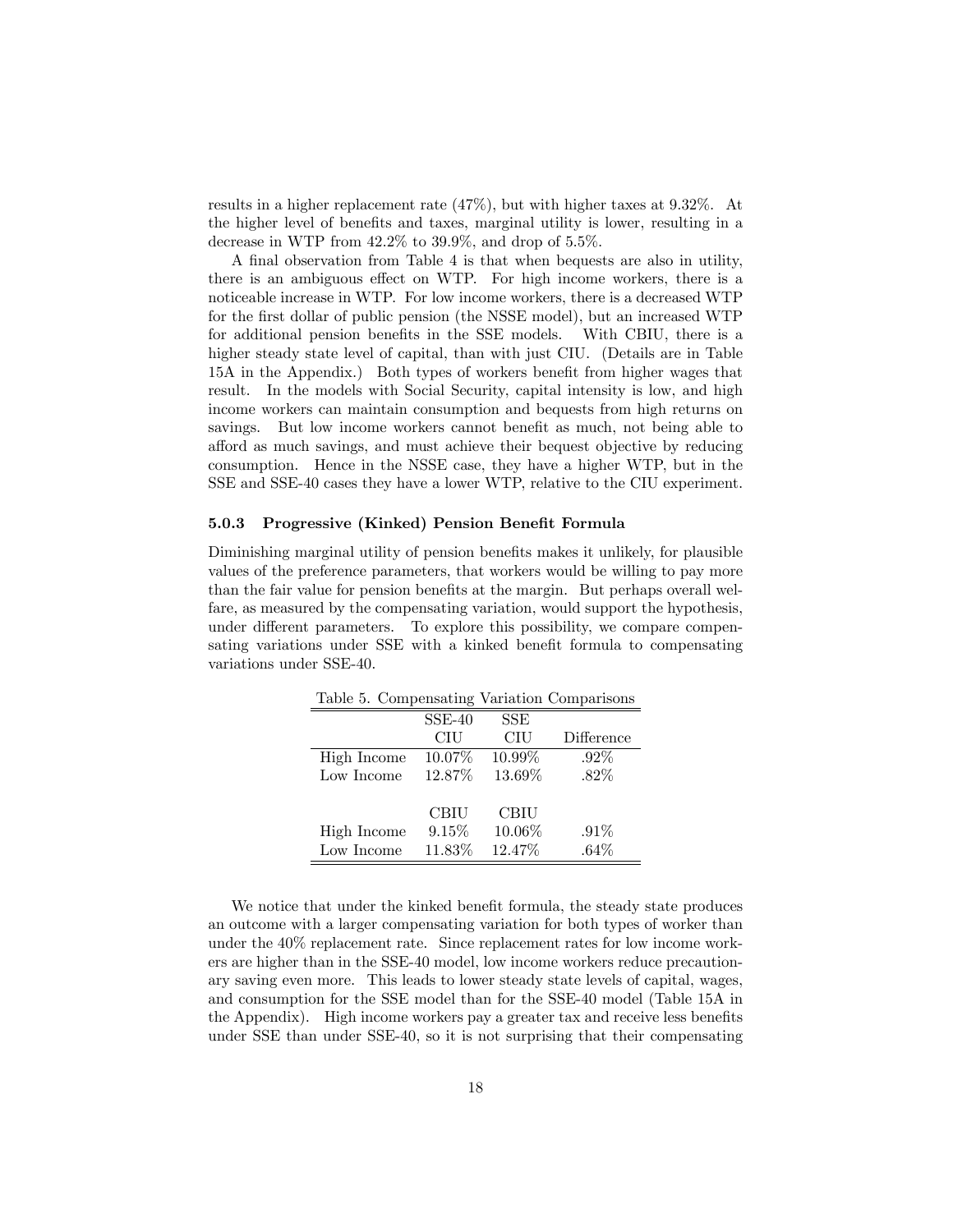results in a higher replacement rate (47%), but with higher taxes at 9:32%. At the higher level of benefits and taxes, marginal utility is lower, resulting in a decrease in WTP from  $42.2\%$  to  $39.9\%$ , and drop of  $5.5\%$ .

A final observation from Table 4 is that when bequests are also in utility, there is an ambiguous effect on WTP. For high income workers, there is a noticeable increase in WTP. For low income workers, there is a decreased WTP for the first dollar of public pension (the NSSE model), but an increased WTP for additional pension benefits in the SSE models. With CBIU, there is a higher steady state level of capital, than with just CIU. (Details are in Table 15A in the Appendix.) Both types of workers benefit from higher wages that result. In the models with Social Security, capital intensity is low, and high income workers can maintain consumption and bequests from high returns on savings. But low income workers cannot benefit as much, not being able to a§ord as much savings, and must achieve their bequest objective by reducing consumption. Hence in the NSSE case, they have a higher WTP, but in the SSE and SSE-40 cases they have a lower WTP, relative to the CIU experiment.

#### 5.0.3 Progressive (Kinked) Pension Benefit Formula

Diminishing marginal utility of pension benefits makes it unlikely, for plausible values of the preference parameters, that workers would be willing to pay more than the fair value for pension benefits at the margin. But perhaps overall welfare, as measured by the compensating variation, would support the hypothesis, under different parameters. To explore this possibility, we compare compensating variations under SSE with a kinked benefit formula to compensating variations under SSE-40.

| Table 5. Compensating Variation Comparisons |             |             |            |
|---------------------------------------------|-------------|-------------|------------|
|                                             | $SSE-40$    | <b>SSE</b>  |            |
|                                             | CIU         | CIU         | Difference |
| High Income                                 | 10.07%      | 10.99%      | $.92\%$    |
| Low Income                                  | 12.87%      | 13.69%      | $.82\%$    |
|                                             | <b>CBIU</b> | <b>CBIU</b> |            |
| High Income                                 | 9.15%       | 10.06%      | $.91\%$    |
| Low Income                                  | 11.83%      | 12.47%      | $.64\%$    |

We notice that under the kinked benefit formula, the steady state produces an outcome with a larger compensating variation for both types of worker than under the 40% replacement rate. Since replacement rates for low income workers are higher than in the SSE-40 model, low income workers reduce precautionary saving even more. This leads to lower steady state levels of capital, wages, and consumption for the SSE model than for the SSE-40 model (Table 15A in the Appendix). High income workers pay a greater tax and receive less benefits under SSE than under SSE-40, so it is not surprising that their compensating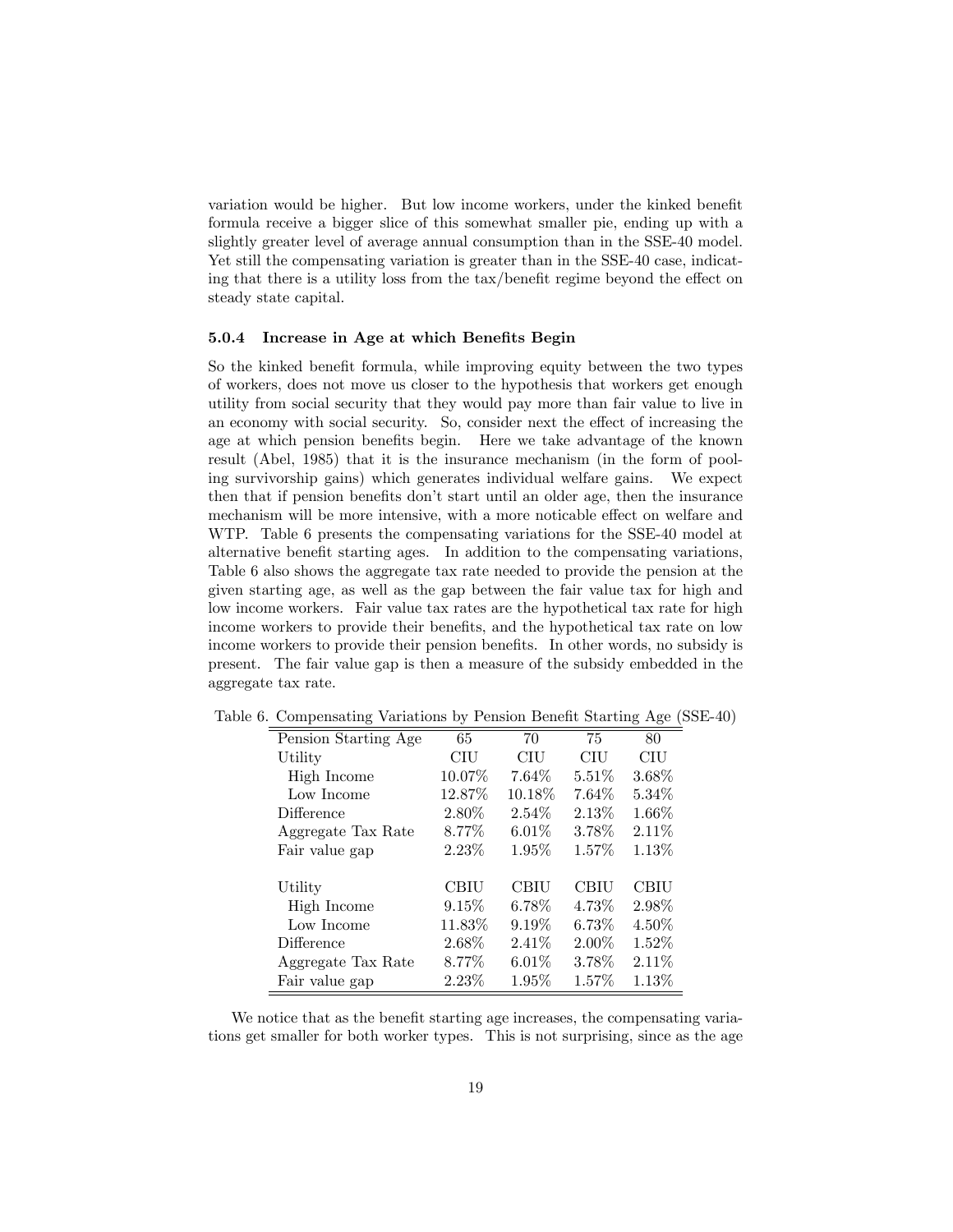variation would be higher. But low income workers, under the kinked benefit formula receive a bigger slice of this somewhat smaller pie, ending up with a slightly greater level of average annual consumption than in the SSE-40 model. Yet still the compensating variation is greater than in the SSE-40 case, indicating that there is a utility loss from the  $\text{tax}/\text{benefit}$  regime beyond the effect on steady state capital.

#### 5.0.4 Increase in Age at which Benefits Begin

So the kinked benefit formula, while improving equity between the two types of workers, does not move us closer to the hypothesis that workers get enough utility from social security that they would pay more than fair value to live in an economy with social security. So, consider next the effect of increasing the age at which pension benefits begin. Here we take advantage of the known result (Abel, 1985) that it is the insurance mechanism (in the form of pooling survivorship gains) which generates individual welfare gains. We expect then that if pension benefits don't start until an older age, then the insurance mechanism will be more intensive, with a more noticable effect on welfare and WTP. Table 6 presents the compensating variations for the SSE-40 model at alternative benefit starting ages. In addition to the compensating variations, Table 6 also shows the aggregate tax rate needed to provide the pension at the given starting age, as well as the gap between the fair value tax for high and low income workers. Fair value tax rates are the hypothetical tax rate for high income workers to provide their benefits, and the hypothetical tax rate on low income workers to provide their pension benefits. In other words, no subsidy is present. The fair value gap is then a measure of the subsidy embedded in the aggregate tax rate.

| Pension Starting Age | 65     | 70          | 75          | 80       |
|----------------------|--------|-------------|-------------|----------|
| Utility              | CIU    | <b>CIU</b>  | CIU         | CIU      |
| High Income          | 10.07% | 7.64%       | $5.51\%$    | 3.68%    |
| Low Income           | 12.87% | 10.18\%     | 7.64\%      | 5.34\%   |
| Difference           | 2.80%  | 2.54\%      | 2.13\%      | 1.66%    |
| Aggregate Tax Rate   | 8.77%  | $6.01\%$    | 3.78%       | 2.11%    |
| Fair value gap       | 2.23%  | $1.95\%$    | 1.57%       | 1.13%    |
|                      |        |             |             |          |
| Utility              | CBIU   | <b>CBIU</b> | <b>CBIU</b> | CBIU     |
| High Income          | 9.15%  | $6.78\%$    | 4.73%       | 2.98%    |
| Low Income           | 11.83% | 9.19%       | $6.73\%$    | 4.50%    |
| Difference           | 2.68%  | 2.41%       | $2.00\%$    | $1.52\%$ |
| Aggregate Tax Rate   | 8.77%  | $6.01\%$    | 3.78%       | $2.11\%$ |
| Fair value gap       | 2.23%  | $1.95\%$    | $1.57\%$    | 1.13%    |

Table 6. Compensating Variations by Pension Benefit Starting Age (SSE-40)

We notice that as the benefit starting age increases, the compensating variations get smaller for both worker types. This is not surprising, since as the age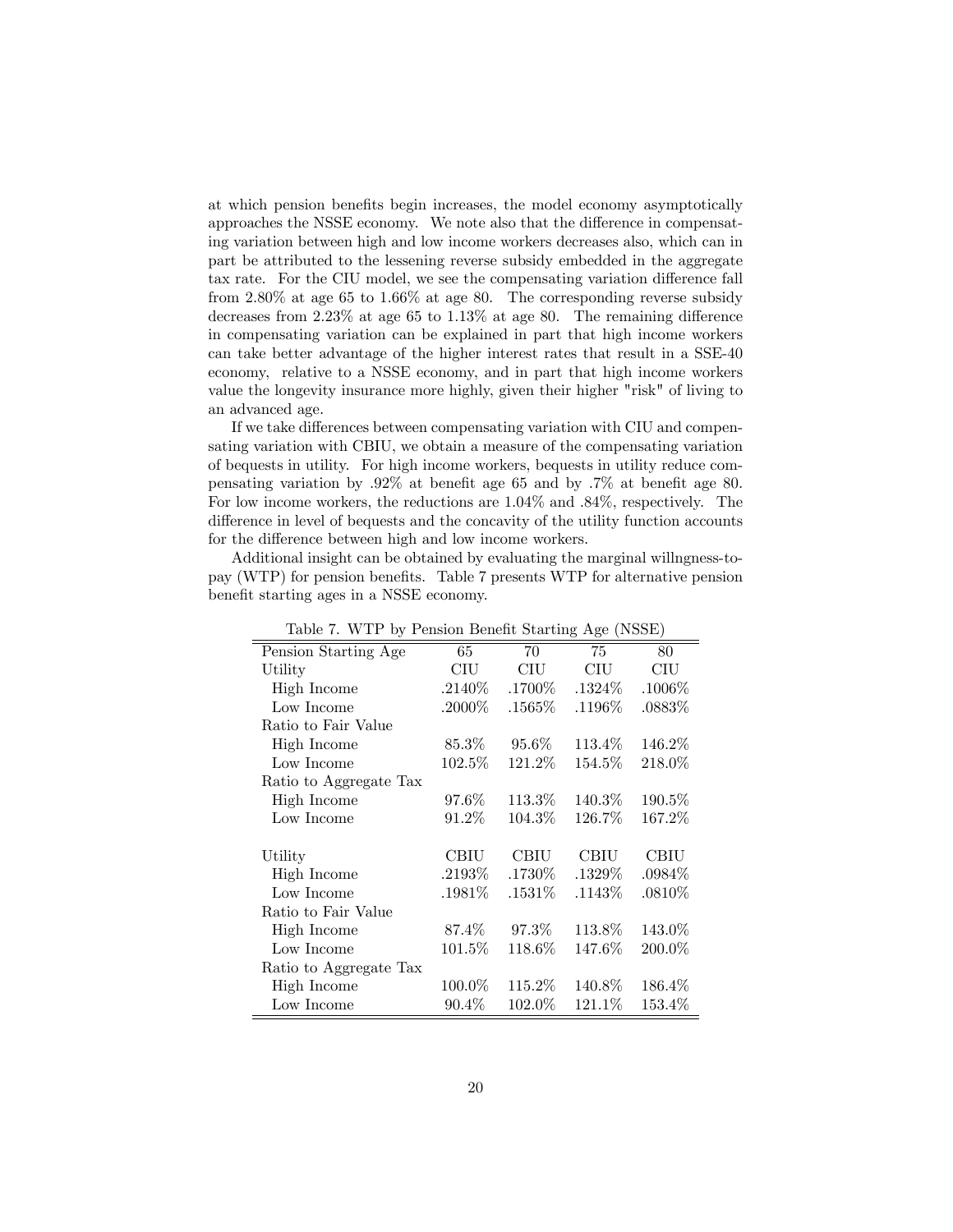at which pension benefits begin increases, the model economy asymptotically approaches the NSSE economy. We note also that the difference in compensating variation between high and low income workers decreases also, which can in part be attributed to the lessening reverse subsidy embedded in the aggregate tax rate. For the CIU model, we see the compensating variation difference fall from 2:80% at age 65 to 1:66% at age 80. The corresponding reverse subsidy decreases from  $2.23\%$  at age 65 to  $1.13\%$  at age 80. The remaining difference in compensating variation can be explained in part that high income workers can take better advantage of the higher interest rates that result in a SSE-40 economy, relative to a NSSE economy, and in part that high income workers value the longevity insurance more highly, given their higher "risk" of living to an advanced age.

If we take differences between compensating variation with CIU and compensating variation with CBIU, we obtain a measure of the compensating variation of bequests in utility. For high income workers, bequests in utility reduce compensating variation by  $.92\%$  at benefit age 65 and by  $.7\%$  at benefit age 80. For low income workers, the reductions are  $1.04\%$  and  $.84\%$ , respectively. The difference in level of bequests and the concavity of the utility function accounts for the difference between high and low income workers.

Additional insight can be obtained by evaluating the marginal willngness-topay (WTP) for pension benefits. Table 7 presents WTP for alternative pension benefit starting ages in a NSSE economy.

| Table 7. WTP by Pension Benefit Starting Age (NSSE) |            |           |           |           |  |
|-----------------------------------------------------|------------|-----------|-----------|-----------|--|
| Pension Starting Age                                | 65         | 70        | 75        | 80        |  |
| Utility                                             | <b>CIU</b> | CIU       | CIU       | CIU       |  |
| High Income                                         | $.2140\%$  | .1700%    | .1324\%   | $.1006\%$ |  |
| Low Income                                          | $.2000\%$  | $.1565\%$ | $.1196\%$ | .0883\%   |  |
| Ratio to Fair Value                                 |            |           |           |           |  |
| High Income                                         | $85.3\%$   | $95.6\%$  | 113.4%    | 146.2%    |  |
| Low Income                                          | $102.5\%$  | 121.2%    | 154.5%    | 218.0%    |  |
| Ratio to Aggregate Tax                              |            |           |           |           |  |
| High Income                                         | 97.6%      | $113.3\%$ | 140.3%    | $190.5\%$ |  |
| Low Income                                          | $91.2\%$   | 104.3\%   | 126.7%    | 167.2%    |  |
|                                                     |            |           |           |           |  |
| Utility                                             | CBIU       | CBIU      | CBIU      | CBIU      |  |
| High Income                                         | .2193%     | $.1730\%$ | $.1329\%$ | $.0984\%$ |  |
| Low Income                                          | $.1981\%$  | .1531\%   | $.1143\%$ | $.0810\%$ |  |
| Ratio to Fair Value                                 |            |           |           |           |  |
| High Income                                         | 87.4%      | $97.3\%$  | 113.8%    | 143.0%    |  |
| Low Income                                          | $101.5\%$  | 118.6%    | 147.6%    | $200.0\%$ |  |
| Ratio to Aggregate Tax                              |            |           |           |           |  |
| High Income                                         | 100.0%     | $115.2\%$ | 140.8%    | 186.4%    |  |
| Low Income                                          | $90.4\%$   | 102.0%    | 121.1\%   | 153.4\%   |  |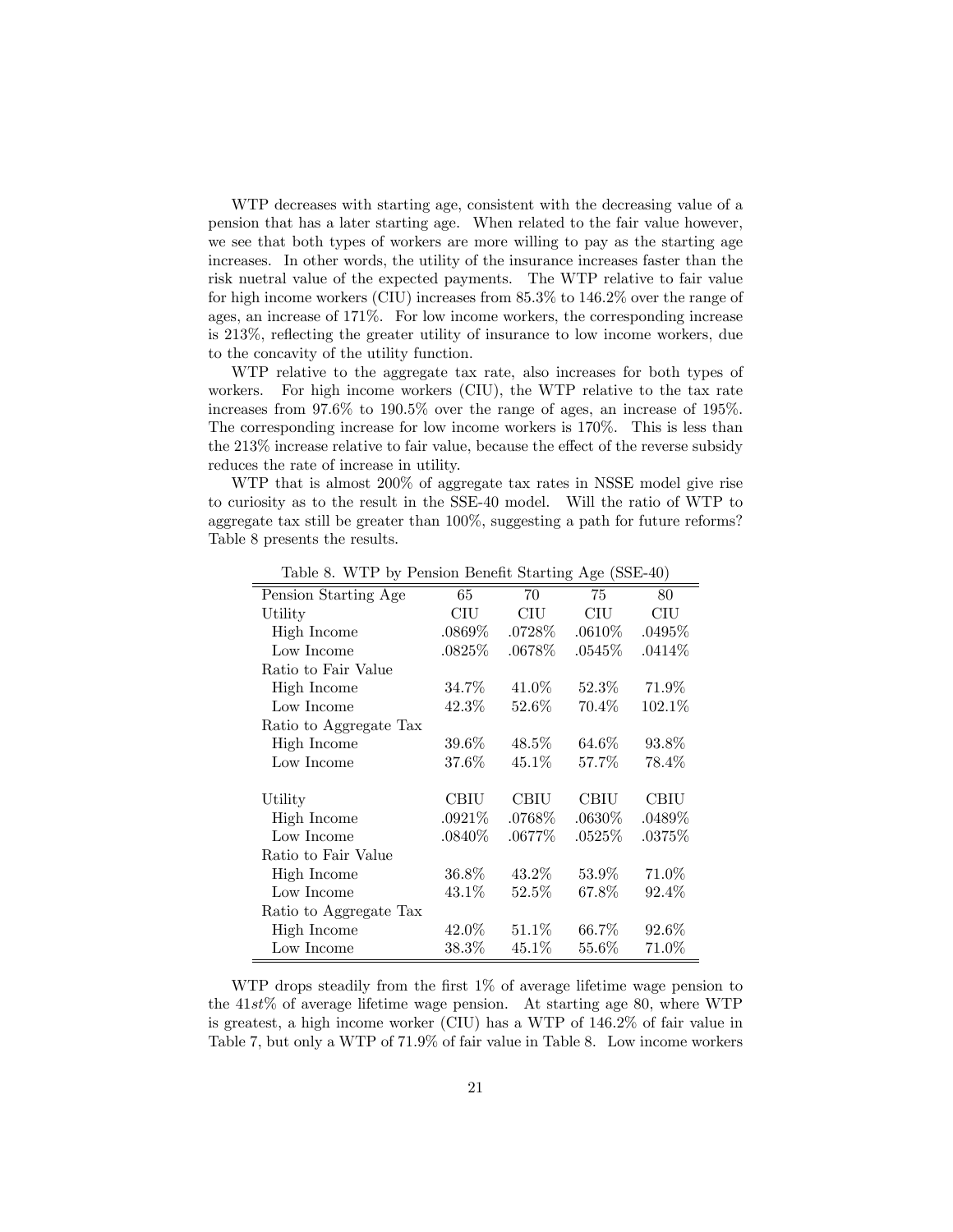WTP decreases with starting age, consistent with the decreasing value of a pension that has a later starting age. When related to the fair value however, we see that both types of workers are more willing to pay as the starting age increases. In other words, the utility of the insurance increases faster than the risk nuetral value of the expected payments. The WTP relative to fair value for high income workers (CIU) increases from 85:3% to 146:2% over the range of ages, an increase of 171%. For low income workers, the corresponding increase is 213%, reflecting the greater utility of insurance to low income workers, due to the concavity of the utility function.

WTP relative to the aggregate tax rate, also increases for both types of workers. For high income workers (CIU), the WTP relative to the tax rate increases from 97:6% to 190:5% over the range of ages, an increase of 195%. The corresponding increase for low income workers is 170%. This is less than the  $213\%$  increase relative to fair value, because the effect of the reverse subsidy reduces the rate of increase in utility.

WTP that is almost 200% of aggregate tax rates in NSSE model give rise to curiosity as to the result in the SSE-40 model. Will the ratio of WTP to aggregate tax still be greater than 100%, suggesting a path for future reforms? Table 8 presents the results.

|                        |           |             | $\circ$ $\sim$ | -- 1      |
|------------------------|-----------|-------------|----------------|-----------|
| Pension Starting Age   | 65        | 70          | 75             | 80        |
| Utility                | CIU       | CIU         | CIU            | $\rm CIU$ |
| High Income            | $.0869\%$ | $.0728\%$   | $.0610\%$      | $.0495\%$ |
| Low Income             | .0825\%   | $.0678\%$   | .0545%         | .0414%    |
| Ratio to Fair Value    |           |             |                |           |
| High Income            | 34.7%     | $41.0\%$    | $52.3\%$       | 71.9%     |
| Low Income             | $42.3\%$  | $52.6\%$    | 70.4\%         | $102.1\%$ |
| Ratio to Aggregate Tax |           |             |                |           |
| High Income            | $39.6\%$  | $48.5\%$    | $64.6\%$       | 93.8%     |
| Low Income             | 37.6%     | $45.1\%$    | 57.7%          | 78.4%     |
|                        |           |             |                |           |
| Utility                | CBIU      | <b>CBIU</b> | CBIU           | CBIU      |
| High Income            | .0921%    | .0768\%     | $.0630\%$      | .0489%    |
| Low Income             | $.0840\%$ | $.0677\%$   | $.0525\%$      | $.0375\%$ |
| Ratio to Fair Value    |           |             |                |           |
| High Income            | 36.8%     | $43.2\%$    | $53.9\%$       | 71.0%     |
| Low Income             | 43.1%     | $52.5\%$    | 67.8%          | 92.4%     |
| Ratio to Aggregate Tax |           |             |                |           |
| High Income            | $42.0\%$  | $51.1\%$    | 66.7%          | 92.6%     |
| Low Income             | 38.3%     | $45.1\%$    | 55.6%          | 71.0%     |

Table 8. WTP by Pension Benefit Starting Age (SSE-40)

WTP drops steadily from the first  $1\%$  of average lifetime wage pension to the  $41st\%$  of average lifetime wage pension. At starting age 80, where WTP is greatest, a high income worker (CIU) has a WTP of 146:2% of fair value in Table 7, but only a WTP of 71:9% of fair value in Table 8. Low income workers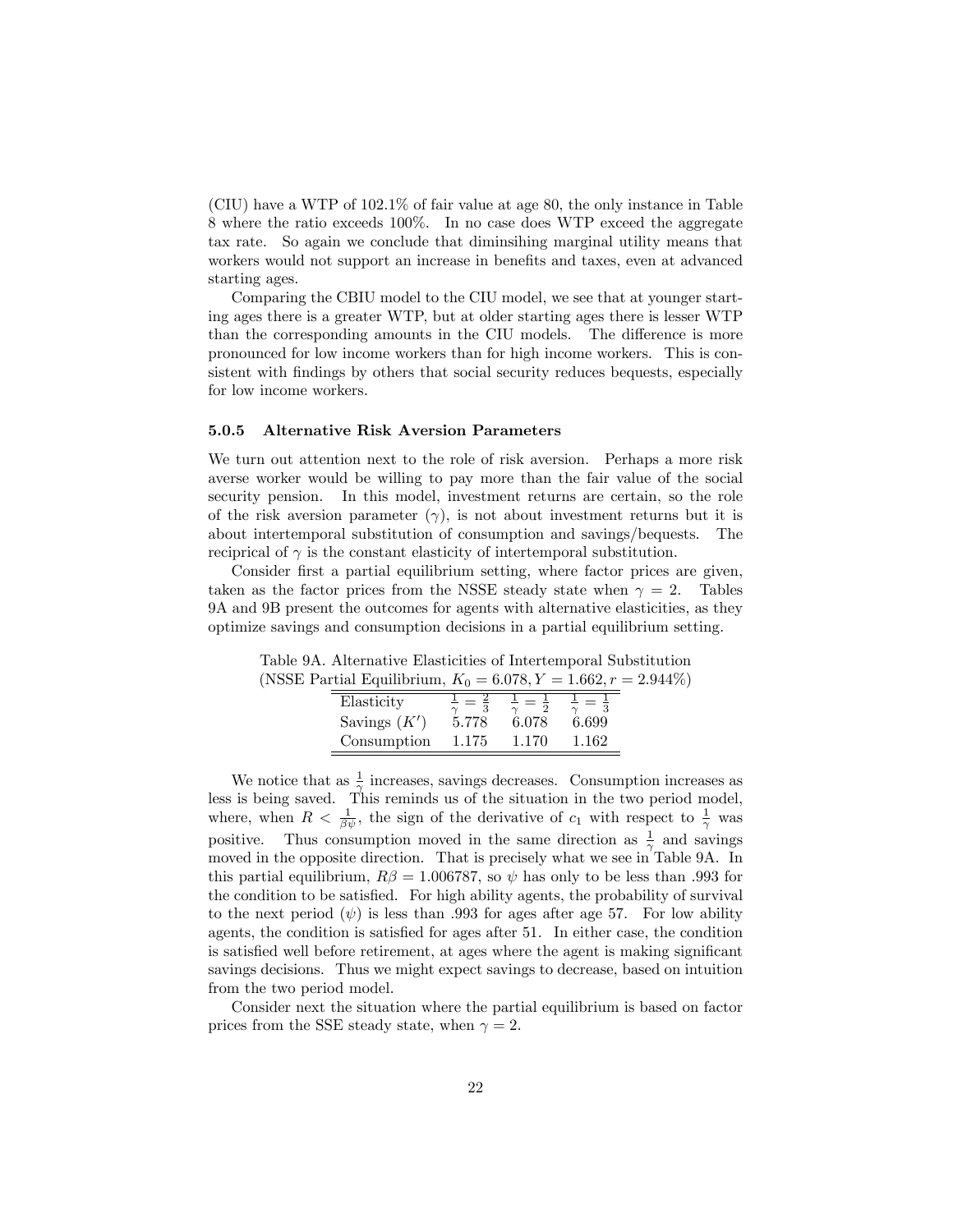(CIU) have a WTP of 102:1% of fair value at age 80, the only instance in Table 8 where the ratio exceeds 100%. In no case does WTP exceed the aggregate tax rate. So again we conclude that diminsihing marginal utility means that workers would not support an increase in benefits and taxes, even at advanced starting ages.

Comparing the CBIU model to the CIU model, we see that at younger starting ages there is a greater WTP, but at older starting ages there is lesser WTP than the corresponding amounts in the CIU models. The difference is more pronounced for low income workers than for high income workers. This is consistent with findings by others that social security reduces bequests, especially for low income workers.

#### 5.0.5 Alternative Risk Aversion Parameters

We turn out attention next to the role of risk aversion. Perhaps a more risk averse worker would be willing to pay more than the fair value of the social security pension. In this model, investment returns are certain, so the role of the risk aversion parameter  $(\gamma)$ , is not about investment returns but it is about intertemporal substitution of consumption and savings/bequests. The reciprical of  $\gamma$  is the constant elasticity of intertemporal substitution.

Consider first a partial equilibrium setting, where factor prices are given, taken as the factor prices from the NSSE steady state when  $\gamma = 2$ . Tables 9A and 9B present the outcomes for agents with alternative elasticities, as they optimize savings and consumption decisions in a partial equilibrium setting.

Table 9A. Alternative Elasticities of Intertemporal Substitution (NSSE Partial Equilibrium,  $K_0 = 6.078, Y = 1.662, r = 2.944\%)$ Elasticity <sup>1</sup>  $\frac{1}{\gamma}=\frac{2}{3}$  $\frac{1}{\gamma}=\frac{1}{2}$  $\frac{1}{\gamma}=\frac{1}{3}$ Savings  $(K')$ ) 5:778 6:078 6:699

Consumption 1.175 1.170 1.162

| We notice that as $\frac{1}{2}$ increases, savings decreases. Consumption increases as                              |
|---------------------------------------------------------------------------------------------------------------------|
| less is being saved. This reminds us of the situation in the two period model,                                      |
| where, when $R < \frac{1}{\beta \psi}$ , the sign of the derivative of $c_1$ with respect to $\frac{1}{\gamma}$ was |
| positive. Thus consumption moved in the same direction as $\frac{1}{\gamma}$ and savings                            |
| moved in the opposite direction. That is precisely what we see in Table 9A. In                                      |
| this partial equilibrium, $R\beta = 1.006787$ , so $\psi$ has only to be less than 0.993 for                        |
| the condition to be satisfied. For high ability agents, the probability of survival                                 |
| to the next period $(\psi)$ is less than .993 for ages after age 57. For low ability                                |
| agents, the condition is satisfied for ages after 51. In either case, the condition                                 |
| is satisfied well before retirement, at ages where the agent is making significant                                  |
| savings decisions. Thus we might expect savings to decrease, based on intuition                                     |
| from the two period model.                                                                                          |

Consider next the situation where the partial equilibrium is based on factor prices from the SSE steady state, when  $\gamma = 2$ .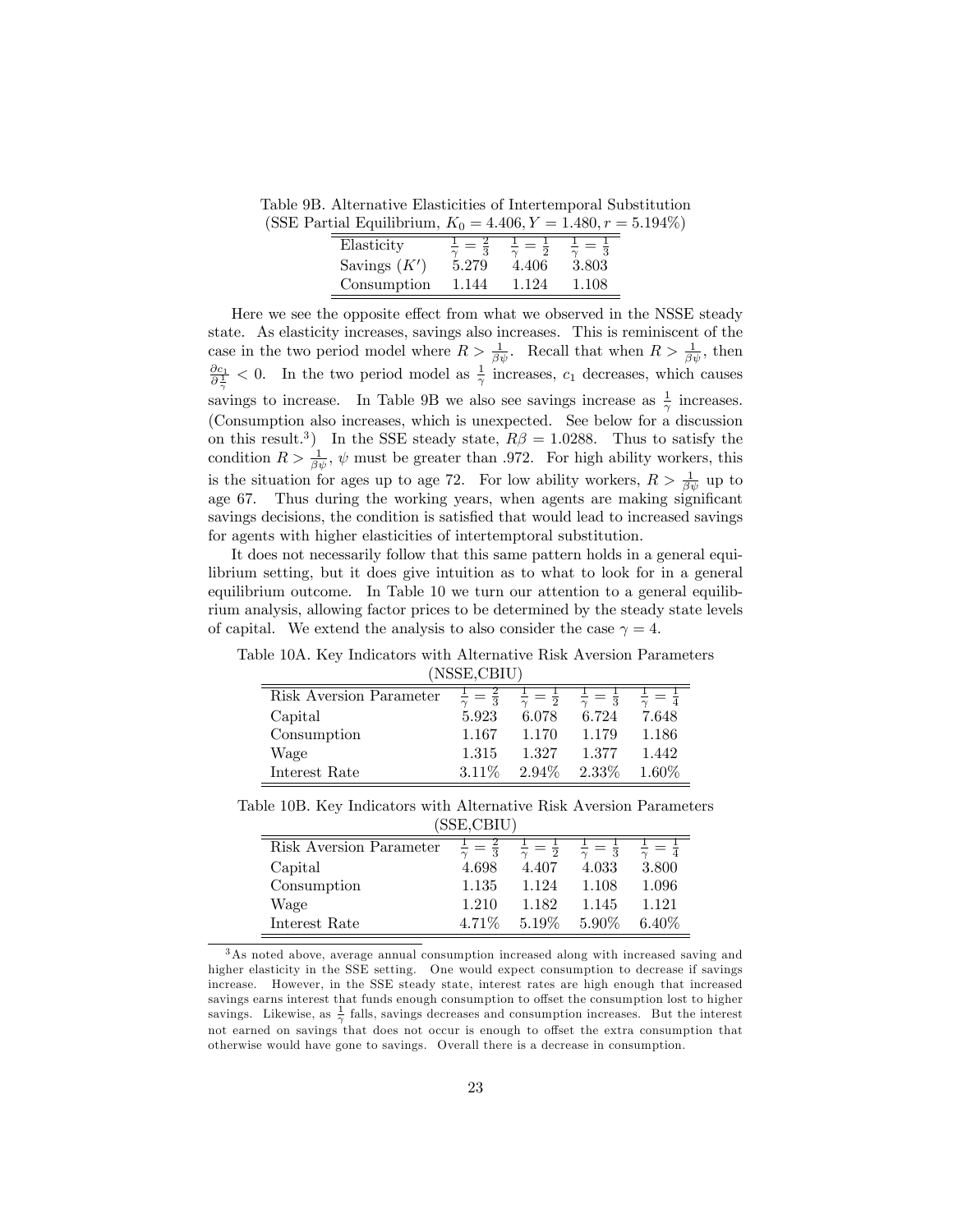Table 9B. Alternative Elasticities of Intertemporal Substitution

| (SSE Partial Equilibrium, $K_0 = 4.406, Y = 1.480, r = 5.194\%)$ |       |       |       |  |
|------------------------------------------------------------------|-------|-------|-------|--|
| Elasticity                                                       |       |       |       |  |
| Savings $(K')$                                                   | 5.279 | 4.406 | 3.803 |  |
| Consumption                                                      | 1.144 | 1.124 | 1.108 |  |

Here we see the opposite effect from what we observed in the NSSE steady state. As elasticity increases, savings also increases. This is reminiscent of the case in the two period model where  $R > \frac{1}{\beta \psi}$ . Recall that when  $R > \frac{1}{\beta \psi}$ , then  $\frac{\partial c_1}{\partial \frac{1}{\gamma}}$  < 0. In the two period model as  $\frac{1}{\gamma}$  increases,  $c_1$  decreases, which causes savings to increase. In Table 9B we also see savings increase as  $\frac{1}{\gamma}$  increases. (Consumption also increases, which is unexpected. See below for a discussion on this result.<sup>3</sup>) In the SSE steady state,  $R\beta = 1.0288$ . Thus to satisfy the condition  $R > \frac{1}{\beta \psi}$ ,  $\psi$  must be greater than .972. For high ability workers, this is the situation for ages up to age 72. For low ability workers,  $R > \frac{1}{\beta \psi}$  up to age 67. Thus during the working years, when agents are making significant savings decisions, the condition is satisfied that would lead to increased savings for agents with higher elasticities of intertemptoral substitution.

It does not necessarily follow that this same pattern holds in a general equilibrium setting, but it does give intuition as to what to look for in a general equilibrium outcome. In Table 10 we turn our attention to a general equilibrium analysis, allowing factor prices to be determined by the steady state levels of capital. We extend the analysis to also consider the case  $\gamma = 4$ .

| 1100L,0110H             |        |                    |              |          |  |
|-------------------------|--------|--------------------|--------------|----------|--|
| Risk Aversion Parameter |        | $=$ $\overline{2}$ | $\mathbf{Q}$ |          |  |
| Capital                 | 5.923  | 6.078              | 6.724        | 7.648    |  |
| Consumption             | 1.167  | 1.170              | 1.179        | 1.186    |  |
| Wage                    | 1.315  | 1.327              | 1.377        | 1.442    |  |
| Interest Rate           | 3.11\% | 2.94%              | $2.33\%$     | $1.60\%$ |  |

Table 10A. Key Indicators with Alternative Risk Aversion Parameters (NSSE,CBIU)

Table 10B. Key Indicators with Alternative Risk Aversion Parameters (SSE,CBIU)

|                         | $v_{\rm max}$ |                          |          |         |
|-------------------------|---------------|--------------------------|----------|---------|
| Risk Aversion Parameter | $\Omega$      | $\overline{2}$<br>$\sim$ | $\Omega$ |         |
| Capital                 | 4.698         | 4.407                    | 4.033    | 3.800   |
| Consumption             | 1.135         | 1.124                    | 1.108    | 1.096   |
| Wage                    | 1.210         | 1.182                    | 1.145    | 1 1 2 1 |
| Interest Rate           | 4.71%         | 5.19%                    | $5.90\%$ | 6.40\%  |

<sup>3</sup>As noted above, average annual consumption increased along with increased saving and higher elasticity in the SSE setting. One would expect consumption to decrease if savings increase. However, in the SSE steady state, interest rates are high enough that increased savings earns interest that funds enough consumption to offset the consumption lost to higher savings. Likewise, as  $\frac{1}{\gamma}$  falls, savings decreases and consumption increases. But the interest not earned on savings that does not occur is enough to offset the extra consumption that otherwise would have gone to savings. Overall there is a decrease in consumption.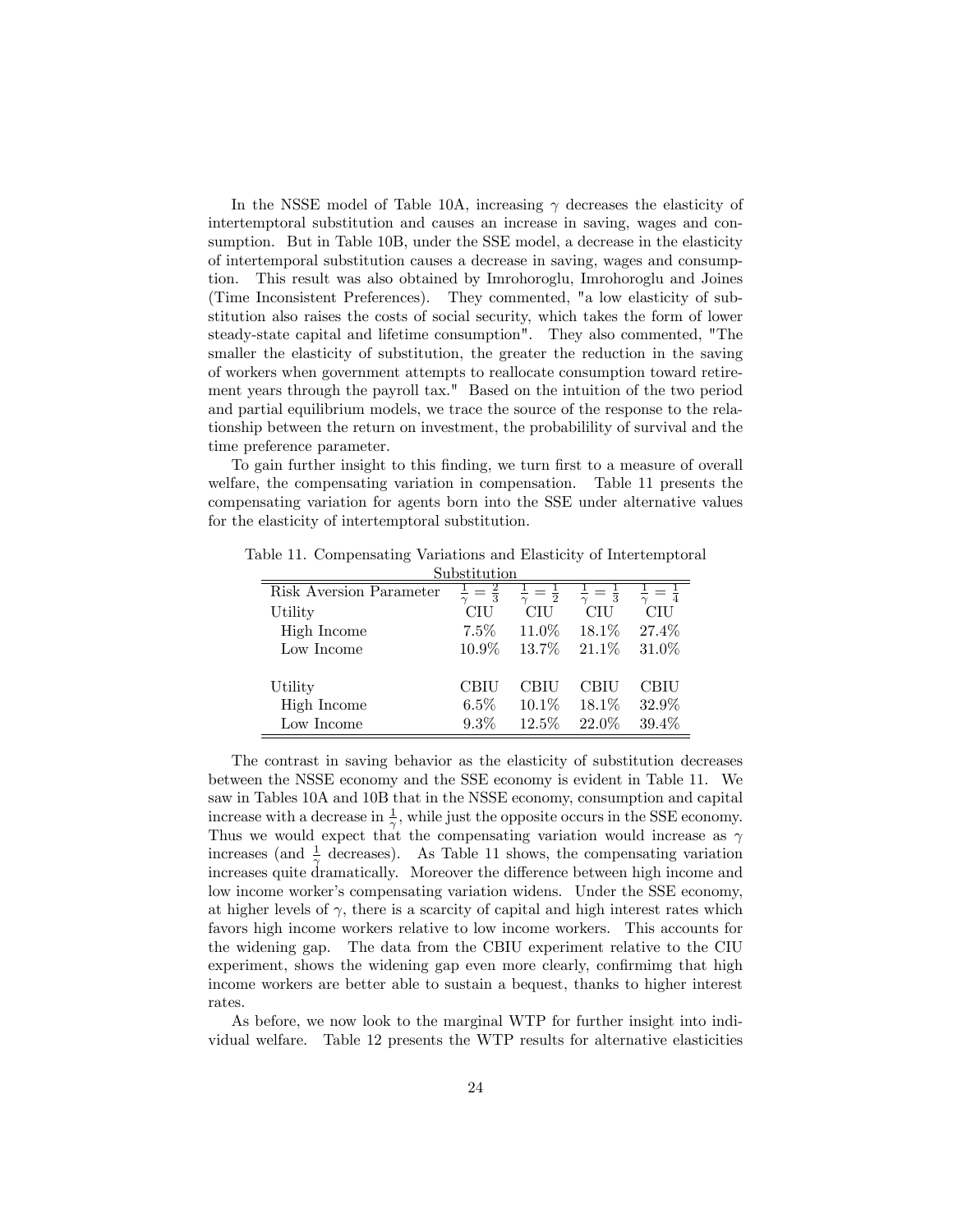In the NSSE model of Table 10A, increasing  $\gamma$  decreases the elasticity of intertemptoral substitution and causes an increase in saving, wages and consumption. But in Table 10B, under the SSE model, a decrease in the elasticity of intertemporal substitution causes a decrease in saving, wages and consumption. This result was also obtained by Imrohoroglu, Imrohoroglu and Joines (Time Inconsistent Preferences). They commented, "a low elasticity of substitution also raises the costs of social security, which takes the form of lower steady-state capital and lifetime consumption". They also commented, "The smaller the elasticity of substitution, the greater the reduction in the saving of workers when government attempts to reallocate consumption toward retirement years through the payroll tax." Based on the intuition of the two period and partial equilibrium models, we trace the source of the response to the relationship between the return on investment, the probabilility of survival and the time preference parameter.

To gain further insight to this finding, we turn first to a measure of overall welfare, the compensating variation in compensation. Table 11 presents the compensating variation for agents born into the SSE under alternative values for the elasticity of intertemptoral substitution.

Table 11. Compensating Variations and Elasticity of Intertemptoral

| Substitution            |               |                |                |       |  |  |  |  |  |
|-------------------------|---------------|----------------|----------------|-------|--|--|--|--|--|
| Risk Aversion Parameter | $\frac{2}{3}$ | $\overline{2}$ | $\overline{3}$ |       |  |  |  |  |  |
| Utility                 | CIU           | CIU            | CIU            | CIU   |  |  |  |  |  |
| High Income             | $7.5\%$       | $11.0\%$       | $18.1\%$       | 27.4% |  |  |  |  |  |
| Low Income              | $10.9\%$      | $13.7\%$       | 21.1\%         | 31.0% |  |  |  |  |  |
|                         |               |                |                |       |  |  |  |  |  |
| Utility                 | CBIU          | CBIU           | CBIU           | CBIU  |  |  |  |  |  |
| High Income             | $6.5\%$       | $10.1\%$       | 18.1%          | 32.9% |  |  |  |  |  |
| Low Income              | $9.3\%$       | 12.5%          | $22.0\%$       | 39.4% |  |  |  |  |  |

The contrast in saving behavior as the elasticity of substitution decreases between the NSSE economy and the SSE economy is evident in Table 11. We saw in Tables 10A and 10B that in the NSSE economy, consumption and capital increase with a decrease in  $\frac{1}{\gamma}$ , while just the opposite occurs in the SSE economy. Thus we would expect that the compensating variation would increase as  $\gamma$ increases (and  $\frac{1}{\gamma}$  decreases). As Table 11 shows, the compensating variation increases quite dramatically. Moreover the difference between high income and low income worker's compensating variation widens. Under the SSE economy, at higher levels of  $\gamma$ , there is a scarcity of capital and high interest rates which favors high income workers relative to low income workers. This accounts for the widening gap. The data from the CBIU experiment relative to the CIU experiment, shows the widening gap even more clearly, confirming that high income workers are better able to sustain a bequest, thanks to higher interest rates.

As before, we now look to the marginal WTP for further insight into individual welfare. Table 12 presents the WTP results for alternative elasticities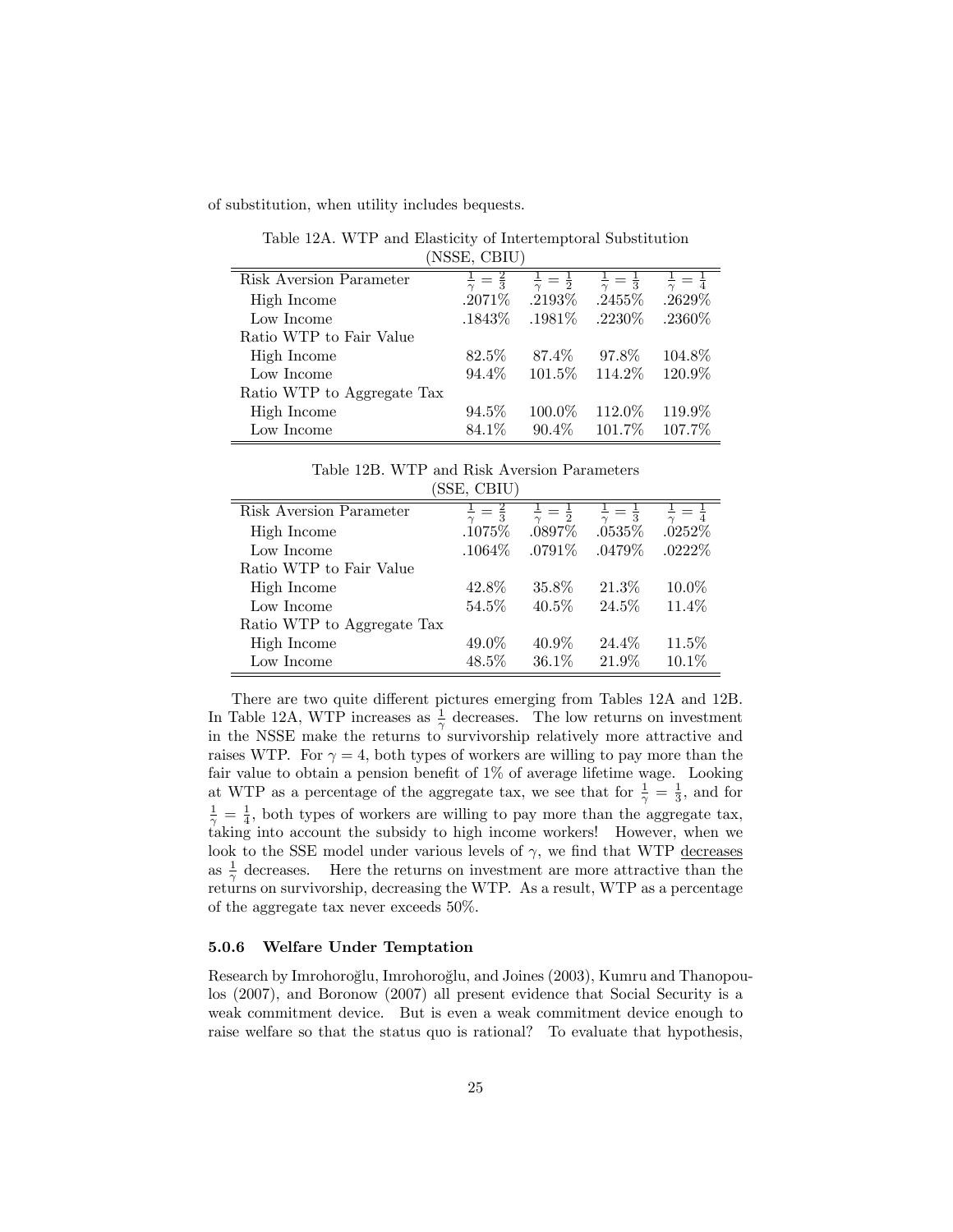of substitution, when utility includes bequests.

(NSSE, CBIU) Risk Aversion Parameter <sup>1</sup>  $\frac{1}{\gamma}=\frac{2}{3}$  $\frac{1}{\gamma}=\frac{1}{2}$  $\frac{1}{\gamma}$  $\frac{1}{\gamma}=\frac{1}{3}$  $\frac{1}{\gamma}=\frac{1}{4}$ High Income  $.2071\%$   $.2193\%$   $.2455\%$   $.2629\%$ Low Income :1843\% :1981\% :2230\% :2360\% Ratio WTP to Fair Value High Income 82:5% 87:4% 97:8% 104:8% Low Income 94.4% 101.5% 114.2% 120.9% Ratio WTP to Aggregate Tax High Income 94.5% 100.0% 112.0% 119.9% Low Income 84.1% 90.4% 101.7% 107.7%

Table 12A. WTP and Elasticity of Intertemptoral Substitution

Table 12B. WTP and Risk Aversion Parameters (SSE, CBIU)

|                            | DUL, ODIVI    |                |                               |                   |
|----------------------------|---------------|----------------|-------------------------------|-------------------|
| Risk Aversion Parameter    | $\frac{2}{3}$ | $\overline{2}$ | $\overline{z} = \overline{3}$ | $=$ $\frac{1}{4}$ |
| High Income                | .1075%        | .0897\%        | $.0535\%$                     | $.0252\%$         |
| Low Income                 | $.1064\%$     | $.0791\%$      | $.0479\%$                     | $.0222\%$         |
| Ratio WTP to Fair Value    |               |                |                               |                   |
| High Income                | 42.8%         | 35.8%          | 21.3%                         | 10.0%             |
| Low Income                 | 54.5%         | $40.5\%$       | 24.5%                         | 11.4%             |
| Ratio WTP to Aggregate Tax |               |                |                               |                   |
| High Income                | 49.0%         | $40.9\%$       | 24.4%                         | 11.5%             |
| Low Income                 | 48.5%         | $36.1\%$       | 21.9%                         | 10.1%             |

There are two quite different pictures emerging from Tables 12A and 12B. In Table 12A, WTP increases as  $\frac{1}{\gamma}$  decreases. The low returns on investment in the NSSE make the returns to survivorship relatively more attractive and raises WTP. For  $\gamma = 4$ , both types of workers are willing to pay more than the fair value to obtain a pension benefit of  $1\%$  of average lifetime wage. Looking at WTP as a percentage of the aggregate tax, we see that for  $\frac{1}{\gamma} = \frac{1}{3}$ , and for  $\frac{1}{\gamma} = \frac{1}{4}$ , both types of workers are willing to pay more than the aggregate tax, taking into account the subsidy to high income workers! However, when we look to the SSE model under various levels of  $\gamma$ , we find that WTP decreases as  $\frac{1}{\gamma}$  decreases. Here the returns on investment are more attractive than the returns on survivorship, decreasing the WTP. As a result, WTP as a percentage of the aggregate tax never exceeds 50%.

#### 5.0.6 Welfare Under Temptation

Research by Imrohoroğlu, Imrohoroğlu, and Joines (2003), Kumru and Thanopoulos (2007), and Boronow (2007) all present evidence that Social Security is a weak commitment device. But is even a weak commitment device enough to raise welfare so that the status quo is rational? To evaluate that hypothesis,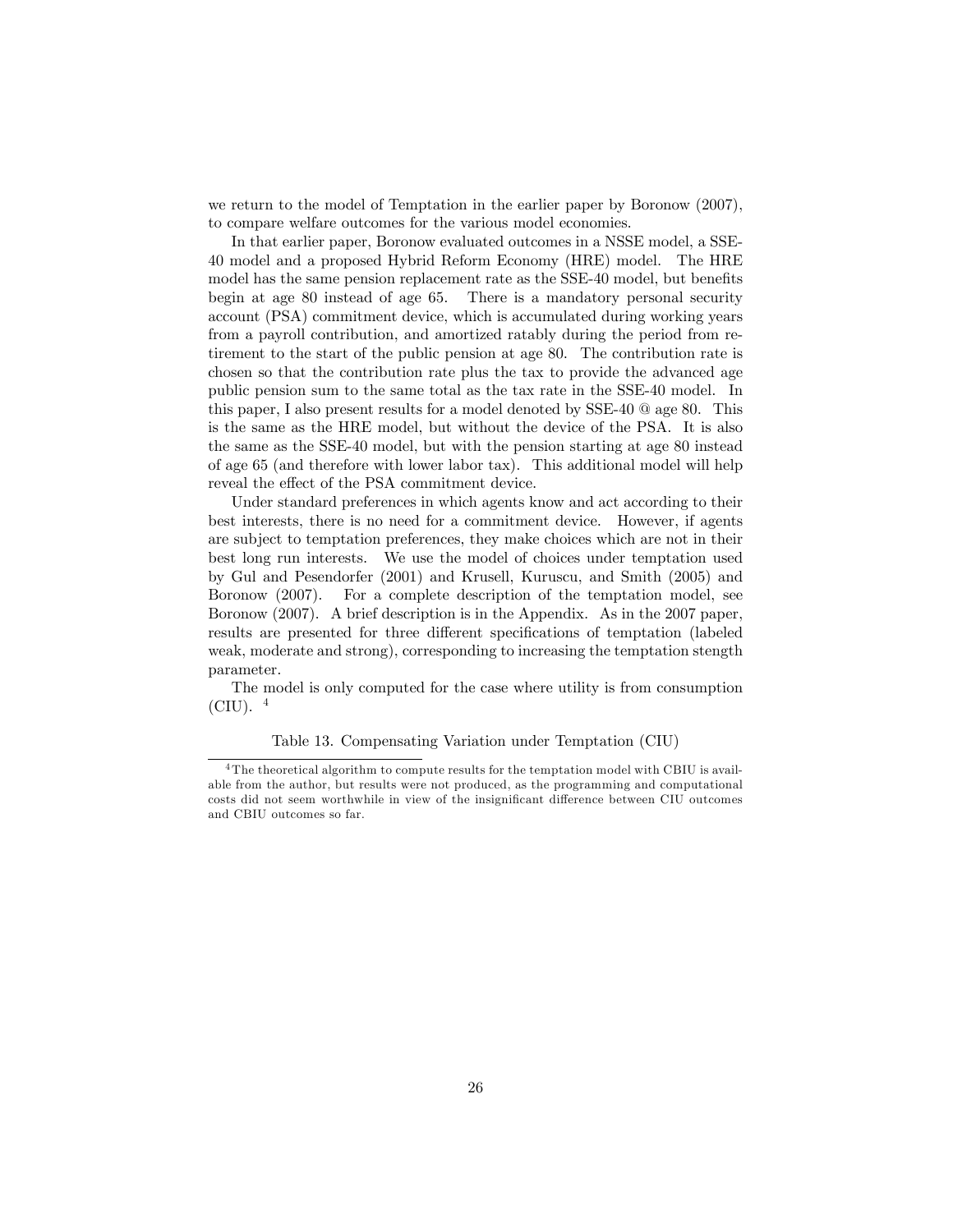we return to the model of Temptation in the earlier paper by Boronow (2007), to compare welfare outcomes for the various model economies.

In that earlier paper, Boronow evaluated outcomes in a NSSE model, a SSE-40 model and a proposed Hybrid Reform Economy (HRE) model. The HRE model has the same pension replacement rate as the SSE-40 model, but benefits begin at age 80 instead of age 65. There is a mandatory personal security account (PSA) commitment device, which is accumulated during working years from a payroll contribution, and amortized ratably during the period from retirement to the start of the public pension at age 80. The contribution rate is chosen so that the contribution rate plus the tax to provide the advanced age public pension sum to the same total as the tax rate in the SSE-40 model. In this paper, I also present results for a model denoted by SSE-40 @ age 80. This is the same as the HRE model, but without the device of the PSA. It is also the same as the SSE-40 model, but with the pension starting at age 80 instead of age 65 (and therefore with lower labor tax). This additional model will help reveal the effect of the PSA commitment device.

Under standard preferences in which agents know and act according to their best interests, there is no need for a commitment device. However, if agents are subject to temptation preferences, they make choices which are not in their best long run interests. We use the model of choices under temptation used by Gul and Pesendorfer (2001) and Krusell, Kuruscu, and Smith (2005) and Boronow (2007). For a complete description of the temptation model, see Boronow (2007). A brief description is in the Appendix. As in the 2007 paper, results are presented for three different specifications of temptation (labeled weak, moderate and strong), corresponding to increasing the temptation stength parameter.

The model is only computed for the case where utility is from consumption  $(CIU)$ .  $4$ 

#### Table 13. Compensating Variation under Temptation (CIU)

<sup>&</sup>lt;sup>4</sup>The theoretical algorithm to compute results for the temptation model with CBIU is available from the author, but results were not produced, as the programming and computational costs did not seem worthwhile in view of the insignificant difference between CIU outcomes and CBIU outcomes so far.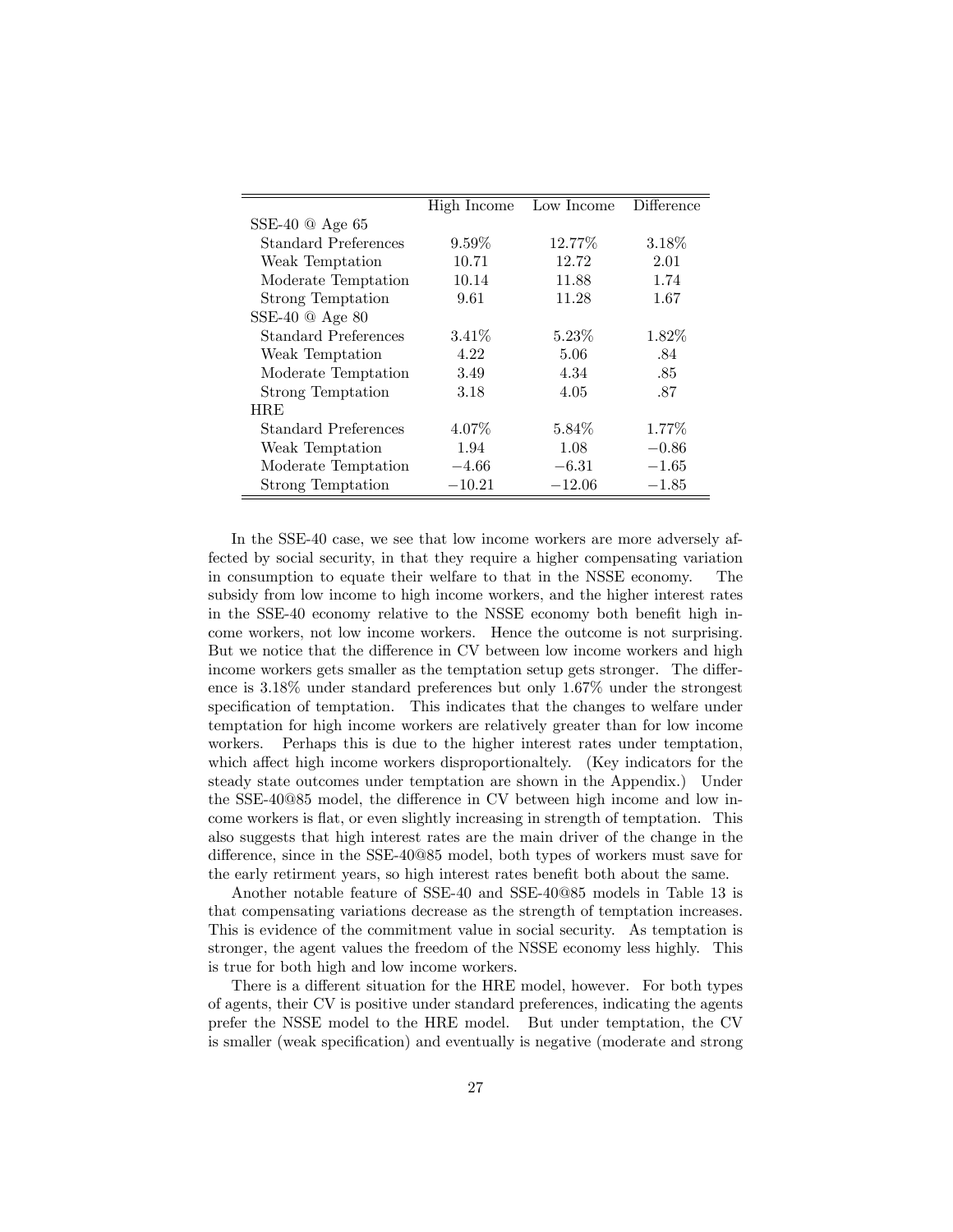|                        | High Income | Low Income | Difference |
|------------------------|-------------|------------|------------|
| SSE-40 $@$ Age 65      |             |            |            |
| Standard Preferences   | $9.59\%$    | 12.77%     | $3.18\%$   |
| Weak Temptation        | 10.71       | 12.72      | 2.01       |
| Moderate Temptation    | 10.14       | 11.88      | 1.74       |
| Strong Temptation      | 9.61        | 11.28      | 1.67       |
| SSE-40 $\omega$ Age 80 |             |            |            |
| Standard Preferences   | $3.41\%$    | $5.23\%$   | $1.82\%$   |
| Weak Temptation        | 4.22        | 5.06       | .84        |
| Moderate Temptation    | 3.49        | 4.34       | .85        |
| Strong Temptation      | 3.18        | 4.05       | .87        |
| <b>HRE</b>             |             |            |            |
| Standard Preferences   | 4.07\%      | 5.84\%     | $1.77\%$   |
| Weak Temptation        | 1.94        | 1.08       | $-0.86$    |
| Moderate Temptation    | $-4.66$     | $-6.31$    | $-1.65$    |
| Strong Temptation      | $-10.21$    | $-12.06$   | $-1.85$    |

In the SSE-40 case, we see that low income workers are more adversely affected by social security, in that they require a higher compensating variation in consumption to equate their welfare to that in the NSSE economy. The subsidy from low income to high income workers, and the higher interest rates in the SSE-40 economy relative to the NSSE economy both benefit high income workers, not low income workers. Hence the outcome is not surprising. But we notice that the difference in CV between low income workers and high income workers gets smaller as the temptation setup gets stronger. The difference is 3:18% under standard preferences but only 1:67% under the strongest specification of temptation. This indicates that the changes to welfare under temptation for high income workers are relatively greater than for low income workers. Perhaps this is due to the higher interest rates under temptation, which affect high income workers disproportionaltely. (Key indicators for the steady state outcomes under temptation are shown in the Appendix.) Under the SSE-40 $@85$  model, the difference in CV between high income and low income workers is flat, or even slightly increasing in strength of temptation. This also suggests that high interest rates are the main driver of the change in the difference, since in the SSE-40@85 model, both types of workers must save for the early retirment years, so high interest rates benefit both about the same.

Another notable feature of SSE-40 and SSE-40@85 models in Table 13 is that compensating variations decrease as the strength of temptation increases. This is evidence of the commitment value in social security. As temptation is stronger, the agent values the freedom of the NSSE economy less highly. This is true for both high and low income workers.

There is a different situation for the HRE model, however. For both types of agents, their CV is positive under standard preferences, indicating the agents prefer the NSSE model to the HRE model. But under temptation, the CV is smaller (weak specification) and eventually is negative (moderate and strong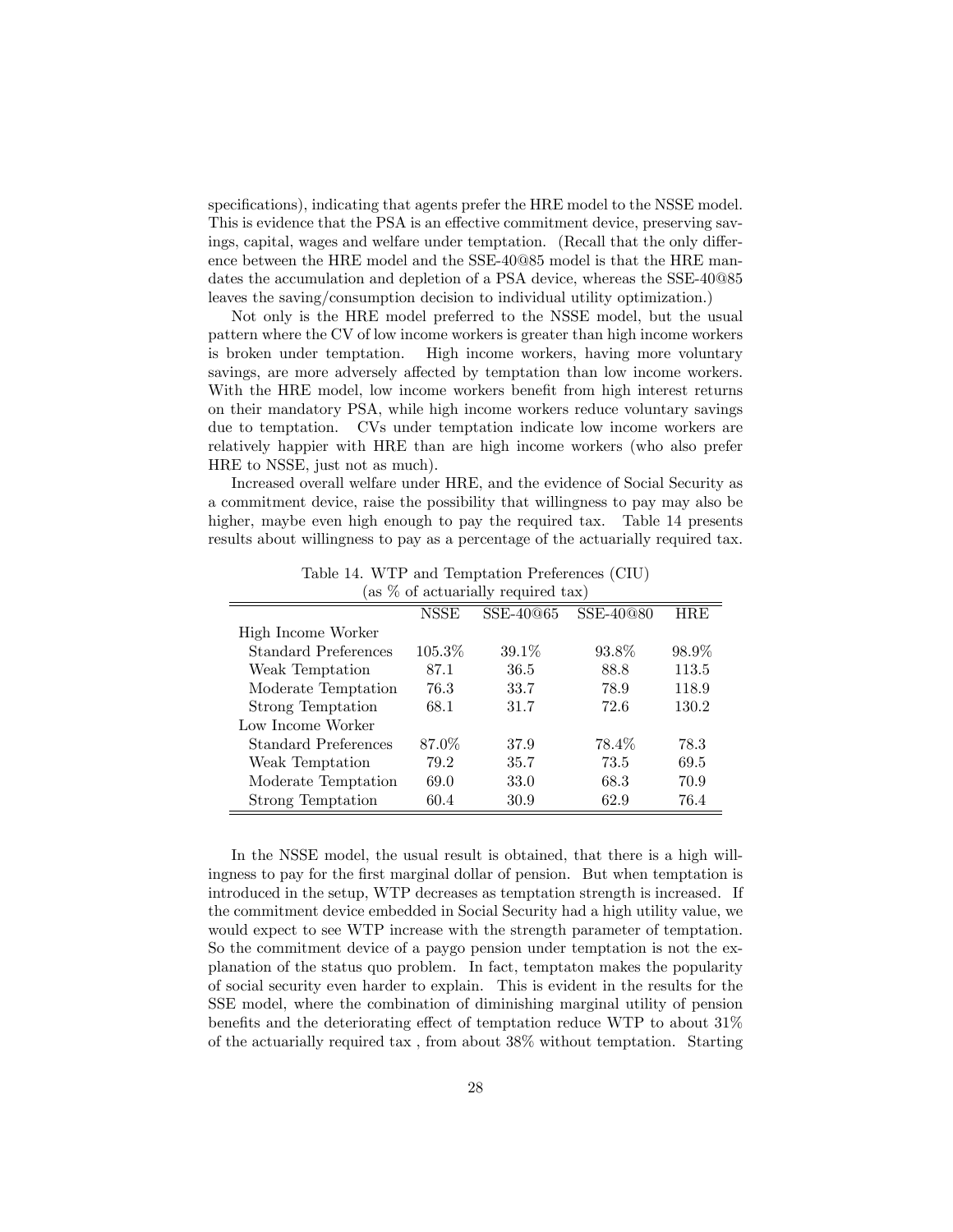specifications), indicating that agents prefer the HRE model to the NSSE model. This is evidence that the PSA is an effective commitment device, preserving savings, capital, wages and welfare under temptation. (Recall that the only difference between the HRE model and the SSE-40@85 model is that the HRE mandates the accumulation and depletion of a PSA device, whereas the SSE-40@85 leaves the saving/consumption decision to individual utility optimization.)

Not only is the HRE model preferred to the NSSE model, but the usual pattern where the CV of low income workers is greater than high income workers is broken under temptation. High income workers, having more voluntary savings, are more adversely affected by temptation than low income workers. With the HRE model, low income workers benefit from high interest returns on their mandatory PSA, while high income workers reduce voluntary savings due to temptation. CVs under temptation indicate low income workers are relatively happier with HRE than are high income workers (who also prefer HRE to NSSE, just not as much).

Increased overall welfare under HRE, and the evidence of Social Security as a commitment device, raise the possibility that willingness to pay may also be higher, maybe even high enough to pay the required tax. Table 14 presents results about willingness to pay as a percentage of the actuarially required tax.

| as 70 or actuariany required tax) |             |           |           |            |  |  |  |
|-----------------------------------|-------------|-----------|-----------|------------|--|--|--|
|                                   | <b>NSSE</b> | SSE-40@65 | SSE-40@80 | <b>HRE</b> |  |  |  |
| High Income Worker                |             |           |           |            |  |  |  |
| Standard Preferences              | $105.3\%$   | $39.1\%$  | 93.8%     | 98.9%      |  |  |  |
| Weak Temptation                   | 87.1        | 36.5      | 88.8      | 113.5      |  |  |  |
| Moderate Temptation               | 76.3        | 33.7      | 78.9      | 118.9      |  |  |  |
| <b>Strong Temptation</b>          | 68.1        | 31.7      | 72.6      | 130.2      |  |  |  |
| Low Income Worker                 |             |           |           |            |  |  |  |
| Standard Preferences              | 87.0%       | 37.9      | 78.4\%    | 78.3       |  |  |  |
| Weak Temptation                   | 79.2        | 35.7      | 73.5      | 69.5       |  |  |  |
| Moderate Temptation               | 69.0        | 33.0      | 68.3      | 70.9       |  |  |  |
| Strong Temptation                 | 60.4        | 30.9      | 62.9      | 76.4       |  |  |  |

Table 14. WTP and Temptation Preferences (CIU)  $\int$  as  $\mathbb{V}_{\alpha}$  of actuarially required tax)

In the NSSE model, the usual result is obtained, that there is a high willingness to pay for the first marginal dollar of pension. But when temptation is introduced in the setup, WTP decreases as temptation strength is increased. If the commitment device embedded in Social Security had a high utility value, we would expect to see WTP increase with the strength parameter of temptation. So the commitment device of a paygo pension under temptation is not the explanation of the status quo problem. In fact, temptaton makes the popularity of social security even harder to explain. This is evident in the results for the SSE model, where the combination of diminishing marginal utility of pension benefits and the deteriorating effect of temptation reduce WTP to about  $31\%$ of the actuarially required tax , from about 38% without temptation. Starting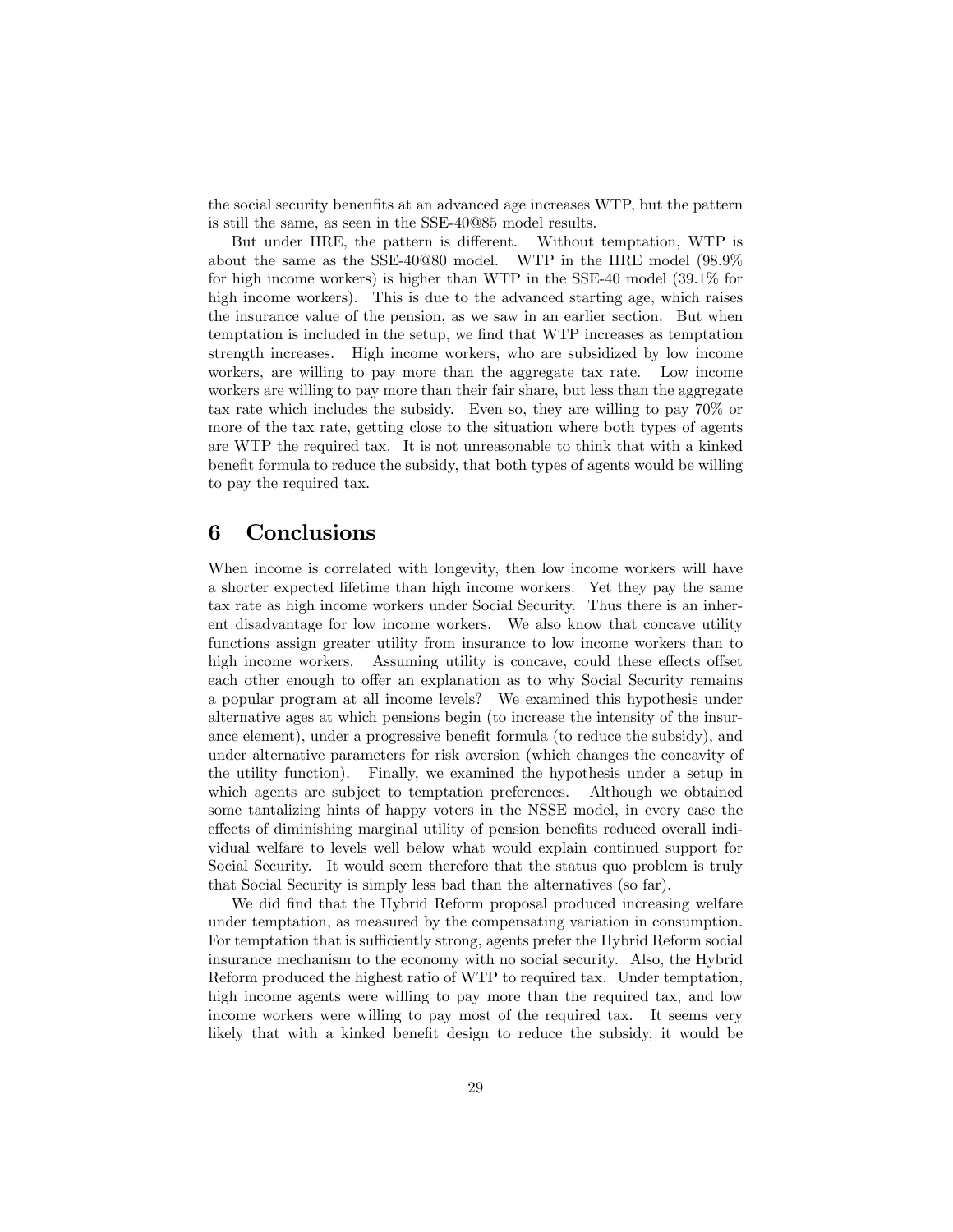the social security benenfits at an advanced age increases WTP, but the pattern is still the same, as seen in the SSE-40@85 model results.

But under HRE, the pattern is different. Without temptation, WTP is about the same as the SSE-40@80 model. WTP in the HRE model (98:9% for high income workers) is higher than WTP in the SSE-40 model (39:1% for high income workers). This is due to the advanced starting age, which raises the insurance value of the pension, as we saw in an earlier section. But when temptation is included in the setup, we find that WTP increases as temptation strength increases. High income workers, who are subsidized by low income workers, are willing to pay more than the aggregate tax rate. Low income workers are willing to pay more than their fair share, but less than the aggregate tax rate which includes the subsidy. Even so, they are willing to pay 70% or more of the tax rate, getting close to the situation where both types of agents are WTP the required tax. It is not unreasonable to think that with a kinked benefit formula to reduce the subsidy, that both types of agents would be willing to pay the required tax.

## 6 Conclusions

When income is correlated with longevity, then low income workers will have a shorter expected lifetime than high income workers. Yet they pay the same tax rate as high income workers under Social Security. Thus there is an inherent disadvantage for low income workers. We also know that concave utility functions assign greater utility from insurance to low income workers than to high income workers. Assuming utility is concave, could these effects offset each other enough to offer an explanation as to why Social Security remains a popular program at all income levels? We examined this hypothesis under alternative ages at which pensions begin (to increase the intensity of the insurance element), under a progressive benefit formula (to reduce the subsidy), and under alternative parameters for risk aversion (which changes the concavity of the utility function). Finally, we examined the hypothesis under a setup in which agents are subject to temptation preferences. Although we obtained some tantalizing hints of happy voters in the NSSE model, in every case the effects of diminishing marginal utility of pension benefits reduced overall individual welfare to levels well below what would explain continued support for Social Security. It would seem therefore that the status quo problem is truly that Social Security is simply less bad than the alternatives (so far).

We did find that the Hybrid Reform proposal produced increasing welfare under temptation, as measured by the compensating variation in consumption. For temptation that is sufficiently strong, agents prefer the Hybrid Reform social insurance mechanism to the economy with no social security. Also, the Hybrid Reform produced the highest ratio of WTP to required tax. Under temptation, high income agents were willing to pay more than the required tax, and low income workers were willing to pay most of the required tax. It seems very likely that with a kinked benefit design to reduce the subsidy, it would be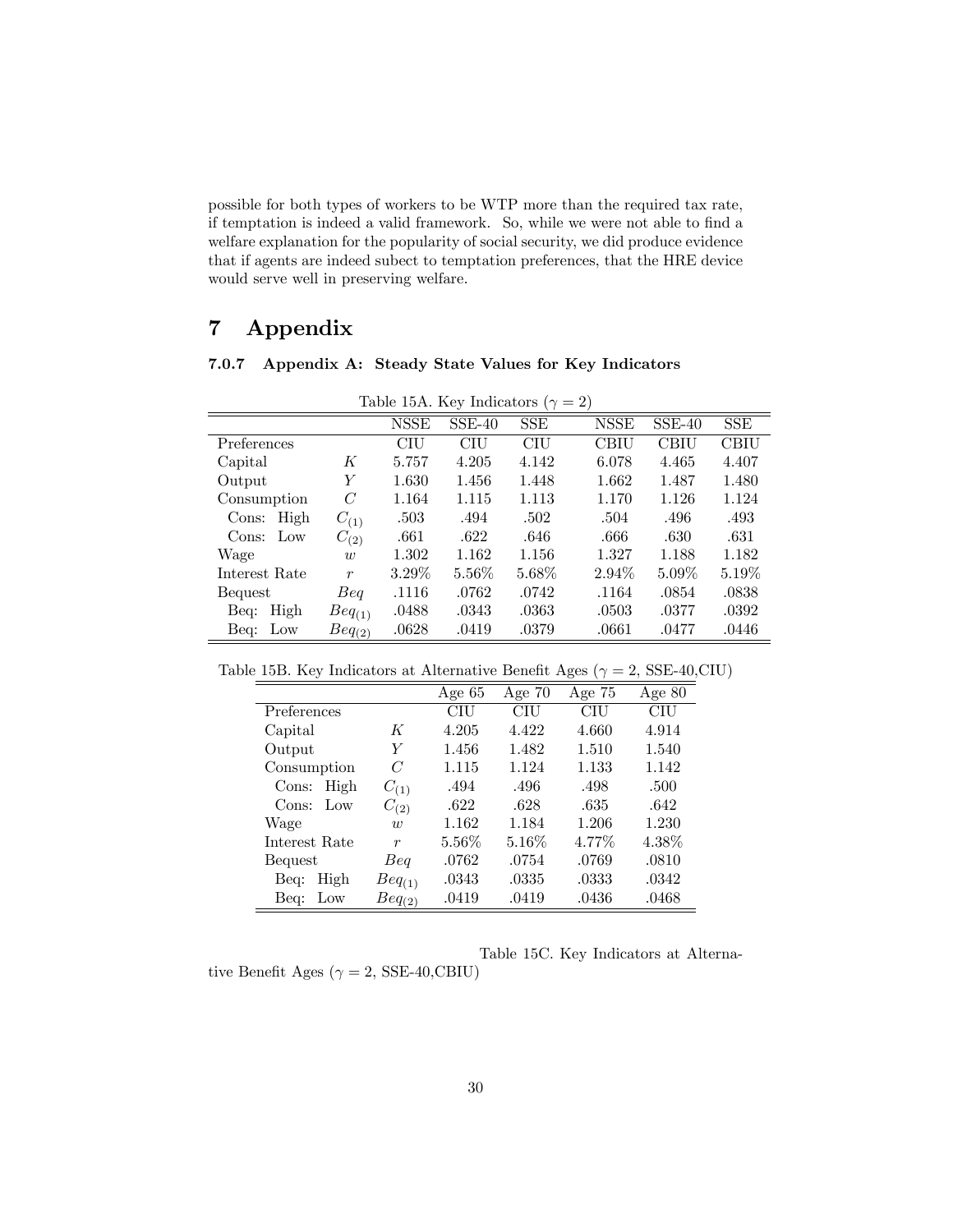possible for both types of workers to be WTP more than the required tax rate, if temptation is indeed a valid framework. So, while we were not able to find a welfare explanation for the popularity of social security, we did produce evidence that if agents are indeed subect to temptation preferences, that the HRE device would serve well in preserving welfare.

# 7 Appendix

## 7.0.7 Appendix A: Steady State Values for Key Indicators

| Table 15A. Key Indicators ( $\gamma = 2$ ) |                  |             |          |            |             |          |       |  |
|--------------------------------------------|------------------|-------------|----------|------------|-------------|----------|-------|--|
|                                            |                  | <b>NSSE</b> | $SSE-40$ | <b>SSE</b> | <b>NSSE</b> | $SSE-40$ | SSE.  |  |
| Preferences                                |                  | CIU         | CIU      | CIU        | CBIU        | CBIU     | CBIU  |  |
| Capital                                    | Κ                | 5.757       | 4.205    | 4.142      | 6.078       | 4.465    | 4.407 |  |
| Output                                     | Y                | 1.630       | 1.456    | 1.448      | 1.662       | 1.487    | 1.480 |  |
| Consumption                                | C                | 1.164       | 1.115    | 1.113      | 1.170       | 1.126    | 1.124 |  |
| Cons: High                                 | $C_{(1)}$        | .503        | .494     | .502       | .504        | .496     | .493  |  |
| Cons: Low                                  | $C_{(2)}$        | .661        | .622     | .646       | .666        | .630     | .631  |  |
| Wage                                       | $\overline{w}$   | 1.302       | 1.162    | 1.156      | 1.327       | 1.188    | 1.182 |  |
| Interest Rate                              | $\boldsymbol{r}$ | $3.29\%$    | $5.56\%$ | $5.68\%$   | 2.94\%      | $5.09\%$ | 5.19% |  |
| Bequest                                    | Beq              | .1116       | .0762    | .0742      | .1164       | .0854    | .0838 |  |
| Beq: High                                  | $Beq_{(1)}$      | .0488       | .0343    | .0363      | .0503       | .0377    | .0392 |  |
| Beq: Low                                   | $Beq_{(2)}$      | .0628       | .0419    | .0379      | .0661       | .0477    | .0446 |  |

Table 15B. Key Indicators at Alternative Benefit Ages ( $\gamma = 2$ , SSE-40,CIU)

|                          |                  |          |          | $\smash{\smash{\cup}}$<br>$\sqrt{ }$ | ,        |
|--------------------------|------------------|----------|----------|--------------------------------------|----------|
|                          |                  | Age $65$ | Age $70$ | Age $75$                             | Age $80$ |
| Preferences              |                  | CIU      | CIU      | CIU                                  | CIU      |
| Capital                  | К                | 4.205    | 4.422    | 4.660                                | 4.914    |
| Output                   | Y                | 1.456    | 1.482    | 1.510                                | 1.540    |
| Consumption              | C                | 1.115    | 1.124    | 1.133                                | 1.142    |
| High<br>Cons:            | $C_{(1)}$        | .494     | .496     | .498                                 | .500     |
| $_{\text{Low}}$<br>Cons: | $C_{(2)}$        | .622     | .628     | .635                                 | .642     |
| Wage                     | $\overline{w}$   | 1.162    | 1.184    | 1.206                                | 1.230    |
| Interest Rate            | $\boldsymbol{r}$ | $5.56\%$ | $5.16\%$ | 4.77\%                               | $4.38\%$ |
| Bequest                  | Beq              | .0762    | .0754    | .0769                                | .0810    |
| High<br>Beq:             | $Beq_{(1)}$      | .0343    | .0335    | .0333                                | .0342    |
| Beq:<br>Low              | $Beq_{(2)}$      | .0419    | .0419    | .0436                                | .0468    |
|                          |                  |          |          |                                      |          |

tive Benefit Ages ( $\gamma = 2$ , SSE-40,CBIU)

Table 15C. Key Indicators at Alterna-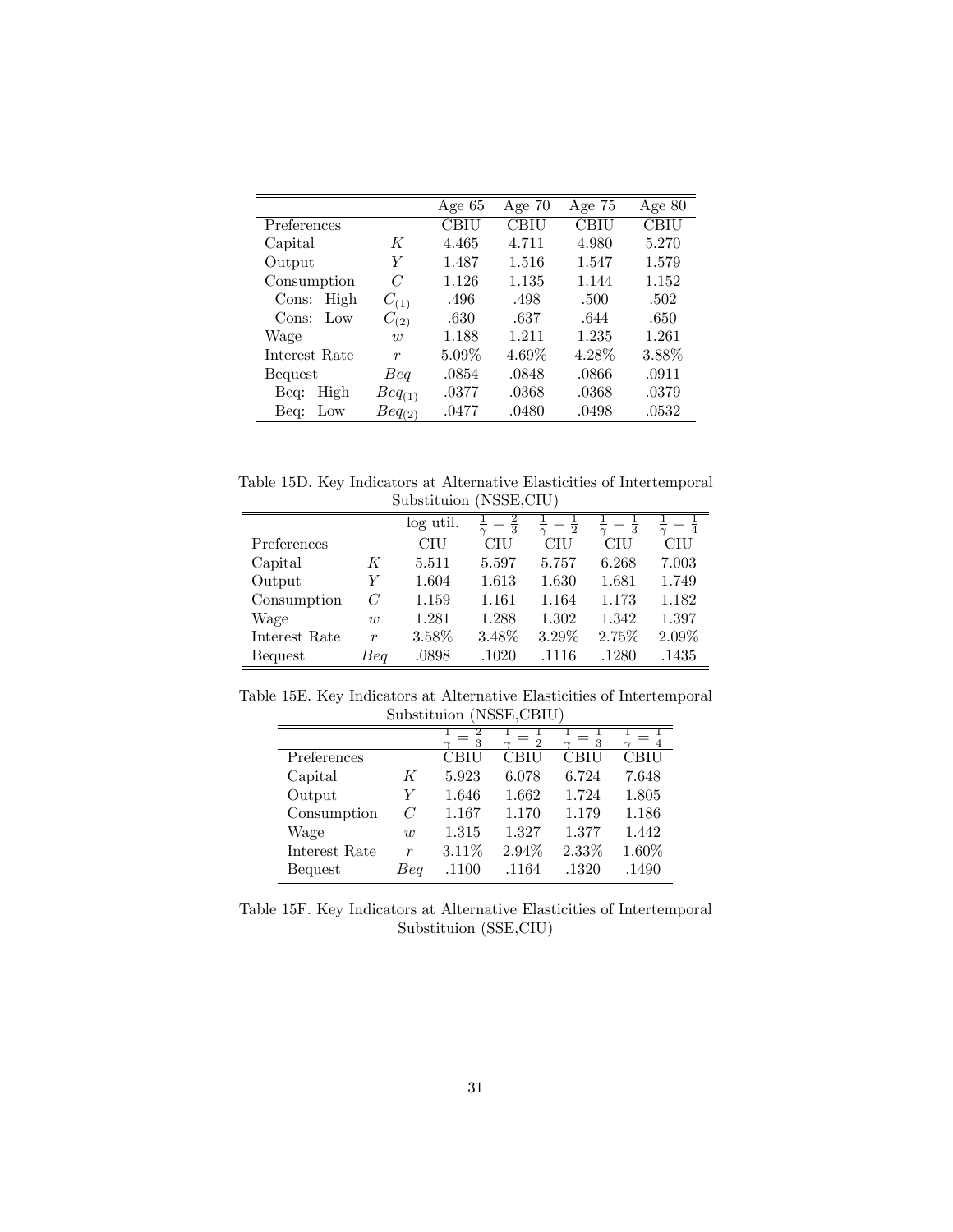|                          |                  | Age $65$ | Age $70$ | Age $75$ | Age $80$ |
|--------------------------|------------------|----------|----------|----------|----------|
| Preferences              |                  | CBIU     | CBIU     | CBIU     | CBIU     |
| Capital                  | К                | 4.465    | 4.711    | 4.980    | 5.270    |
| Output                   | Y                | 1.487    | 1.516    | 1.547    | 1.579    |
| Consumption              | C                | 1.126    | 1.135    | 1.144    | 1.152    |
| High<br>Cons:            | $C_{(1)}$        | .496     | .498     | .500     | .502     |
| $_{\text{Low}}$<br>Cons: | $C_{(2)}$        | .630     | .637     | .644     | .650     |
| Wage                     | $\overline{u}$   | 1.188    | 1.211    | 1.235    | 1.261    |
| Interest Rate            | $\boldsymbol{r}$ | $5.09\%$ | 4.69%    | $4.28\%$ | $3.88\%$ |
| Bequest                  | Beq              | .0854    | .0848    | .0866    | .0911    |
| High<br>Beq:             | $Beq_{(1)}$      | .0377    | .0368    | .0368    | .0379    |
| Beg:<br>$_{\text{Low}}$  | $Beq_{(2)}$      | .0477    | .0480    | .0498    | .0532    |

Table 15D. Key Indicators at Alternative Elasticities of Intertemporal Substituion (NSSE,CIU)

|                |                  | log util. | $\frac{2}{3}$ | $\overline{2}$ | $\frac{1}{3}$ |       |
|----------------|------------------|-----------|---------------|----------------|---------------|-------|
| $P$ references |                  | CIU       | CIU           | CIU            | CIU           | CIU   |
| Capital        | K                | 5.511     | 5.597         | 5.757          | 6.268         | 7.003 |
| Output         | Y                | 1.604     | 1.613         | 1.630          | 1.681         | 1.749 |
| Consumption    | C                | 1.159     | 1.161         | 1.164          | 1.173         | 1.182 |
| Wage           | $\overline{w}$   | 1.281     | 1.288         | 1.302          | 1.342         | 1.397 |
| Interest Rate  | $\boldsymbol{r}$ | $3.58\%$  | 3.48%         | 3.29%          | 2.75%         | 2.09% |
| Bequest        | Beg              | .0898     | .1020         | .1116          | .1280         | .1435 |

Table 15E. Key Indicators at Alternative Elasticities of Intertemporal Substituion (NSSE,CBIU)  $\equiv$ 

|                |                  |       | 2     | 3     |       |
|----------------|------------------|-------|-------|-------|-------|
| Preferences    |                  | CBIU  | CBIU  | CBIU  | CBIU  |
| Capital        | K                | 5.923 | 6.078 | 6.724 | 7.648 |
| Output         | Y                | 1.646 | 1.662 | 1.724 | 1.805 |
| Consumption    | C                | 1.167 | 1.170 | 1.179 | 1.186 |
| Wage           | $\overline{w}$   | 1.315 | 1.327 | 1.377 | 1.442 |
| Interest Rate  | $\boldsymbol{r}$ | 3.11% | 2.94% | 2.33% | 1.60% |
| <b>Bequest</b> | Beq              | .1100 | .1164 | .1320 | .1490 |

Table 15F. Key Indicators at Alternative Elasticities of Intertemporal Substituion (SSE,CIU)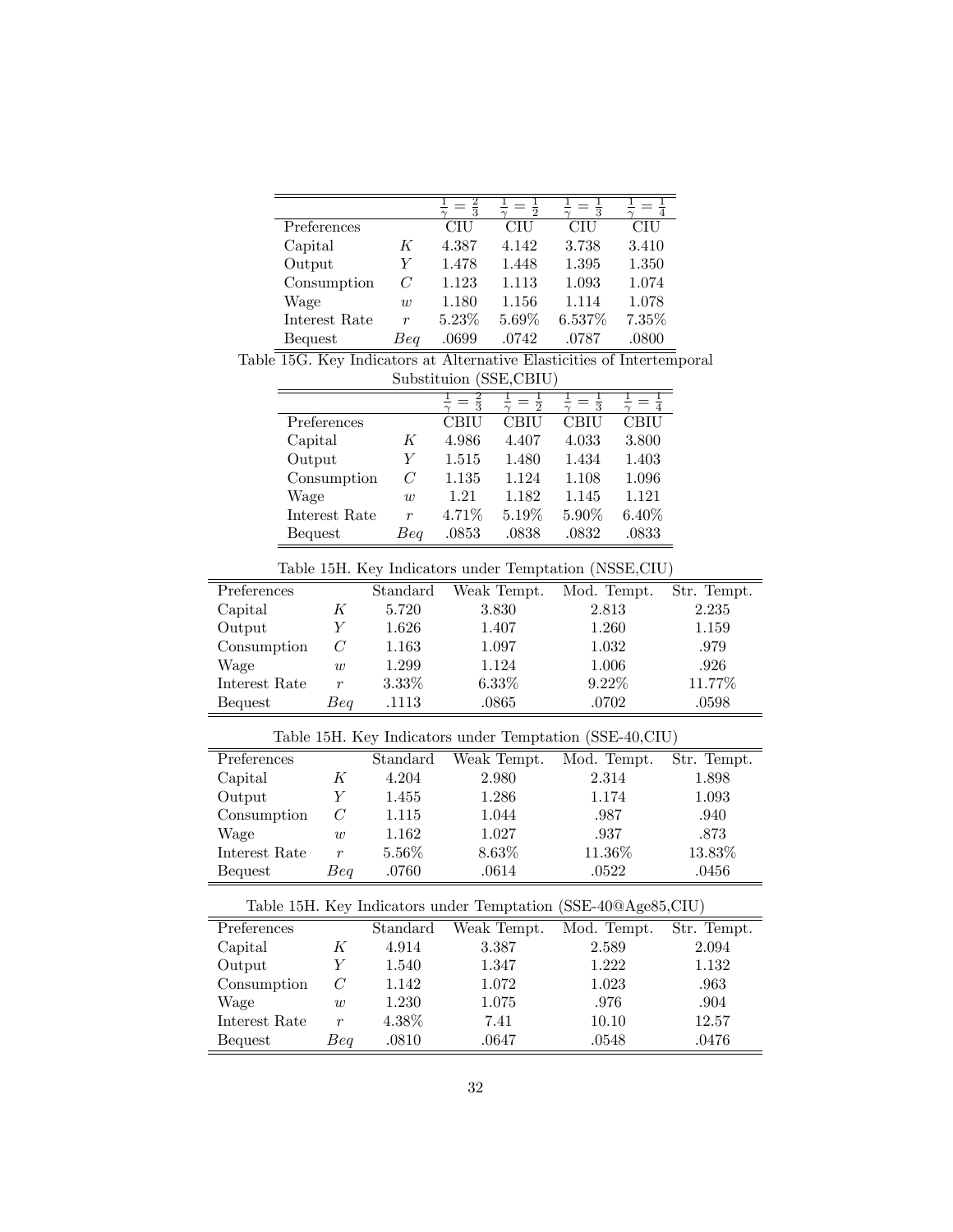| Preferences   |                | CIU   | <b>CIU</b> | CIU    | CIU   |
|---------------|----------------|-------|------------|--------|-------|
| Capital       | K              | 4.387 | 4.142      | 3.738  | 3.410 |
| Output        | V              | 1.478 | 1.448      | 1.395  | 1.350 |
| Consumption   | C              | 1.123 | 1.113      | 1.093  | 1.074 |
| Wage          | $\overline{w}$ | 1.180 | 1.156      | 1.114  | 1.078 |
| Interest Rate | r              | 5.23% | 5.69%      | 6.537% | 7.35% |
| Bequest       | Beq            | .0699 | .0742      | .0787  | .0800 |

Table 15G. Key Indicators at Alternative Elasticities of Intertemporal Substituion (SSE,CBIU)

|                |                  | 3     | 2        | 3     |             |
|----------------|------------------|-------|----------|-------|-------------|
| Preferences    |                  | CBIU  | CBIU     | CBIU  | <b>CBIU</b> |
| Capital        | K                | 4.986 | 4.407    | 4.033 | 3.800       |
| Output         | Y                | 1.515 | 1.480    | 1.434 | 1.403       |
| Consumption    | C                | 1.135 | 1.124    | 1.108 | 1.096       |
| Wage           | $\overline{w}$   | 1.21  | 1.182    | 1.145 | 1.121       |
| Interest Rate  | $\boldsymbol{r}$ | 4.71% | $5.19\%$ | 5.90% | $6.40\%$    |
| <b>Bequest</b> | Beq              | .0853 | .0838    | .0832 | .0833       |

|  |  | Table 15H. Key Indicators under Temptation (NSSE, CIU) |  |
|--|--|--------------------------------------------------------|--|
|  |  |                                                        |  |

| rable rom, new maleatole ander remptation (robbit, Cre |                  |           |             |             |             |
|--------------------------------------------------------|------------------|-----------|-------------|-------------|-------------|
| Preferences                                            |                  | Standard  | Weak Tempt. | Mod. Tempt. | Str. Tempt. |
| Capital                                                | K                | 5.720     | 3.830       | 2.813       | 2.235       |
| Output                                                 |                  | $1.626\,$ | 1.407       | 1.260       | 1.159       |
| Consumption                                            | C                | 1.163     | 1.097       | 1.032       | .979        |
| Wage                                                   | $\overline{w}$   | 1.299     | 1.124       | 1.006       | .926        |
| Interest Rate                                          | $\boldsymbol{r}$ | $3.33\%$  | $6.33\%$    | $9.22\%$    | 11.77%      |
| Bequest                                                | Beq              | .1113     | .0865       | .0702       | .0598       |

Table 15H. Key Indicators under Temptation (SSE-40,CIU)

| Preferences   |                  | Standard | Weak Tempt. | Mod. Tempt. | Str. Tempt. |
|---------------|------------------|----------|-------------|-------------|-------------|
| Capital       | K                | 4.204    | 2.980       | 2.314       | 1.898       |
| Output        |                  | 1.455    | 1.286       | 1.174       | 1.093       |
| Consumption   | C                | 1.115    | 1.044       | .987        | .940        |
| Wage          | $\overline{w}$   | 1.162    | 1.027       | .937        | .873        |
| Interest Rate | $\boldsymbol{r}$ | $5.56\%$ | 8.63%       | 11.36\%     | 13.83%      |
| Bequest       | Beq              | .0760    | .0614       | .0522       | .0456       |

| Table form, help indicated and the remptation (bold to strige of City) |                  |          |             |             |             |
|------------------------------------------------------------------------|------------------|----------|-------------|-------------|-------------|
| Preferences                                                            |                  | Standard | Weak Tempt. | Mod. Tempt. | Str. Tempt. |
| Capital                                                                | K                | 4.914    | 3.387       | 2.589       | 2.094       |
| Output                                                                 |                  | 1.540    | 1.347       | 1.222       | 1.132       |
| Consumption                                                            | C                | 1.142    | 1.072       | 1.023       | .963        |
| Wage                                                                   | w                | 1.230    | 1.075       | .976        | .904        |
| Interest Rate                                                          | $\boldsymbol{r}$ | $4.38\%$ | 7.41        | 10.10       | 12.57       |
| Bequest                                                                | Beq              | .0810    | .0647       | .0548       | .0476       |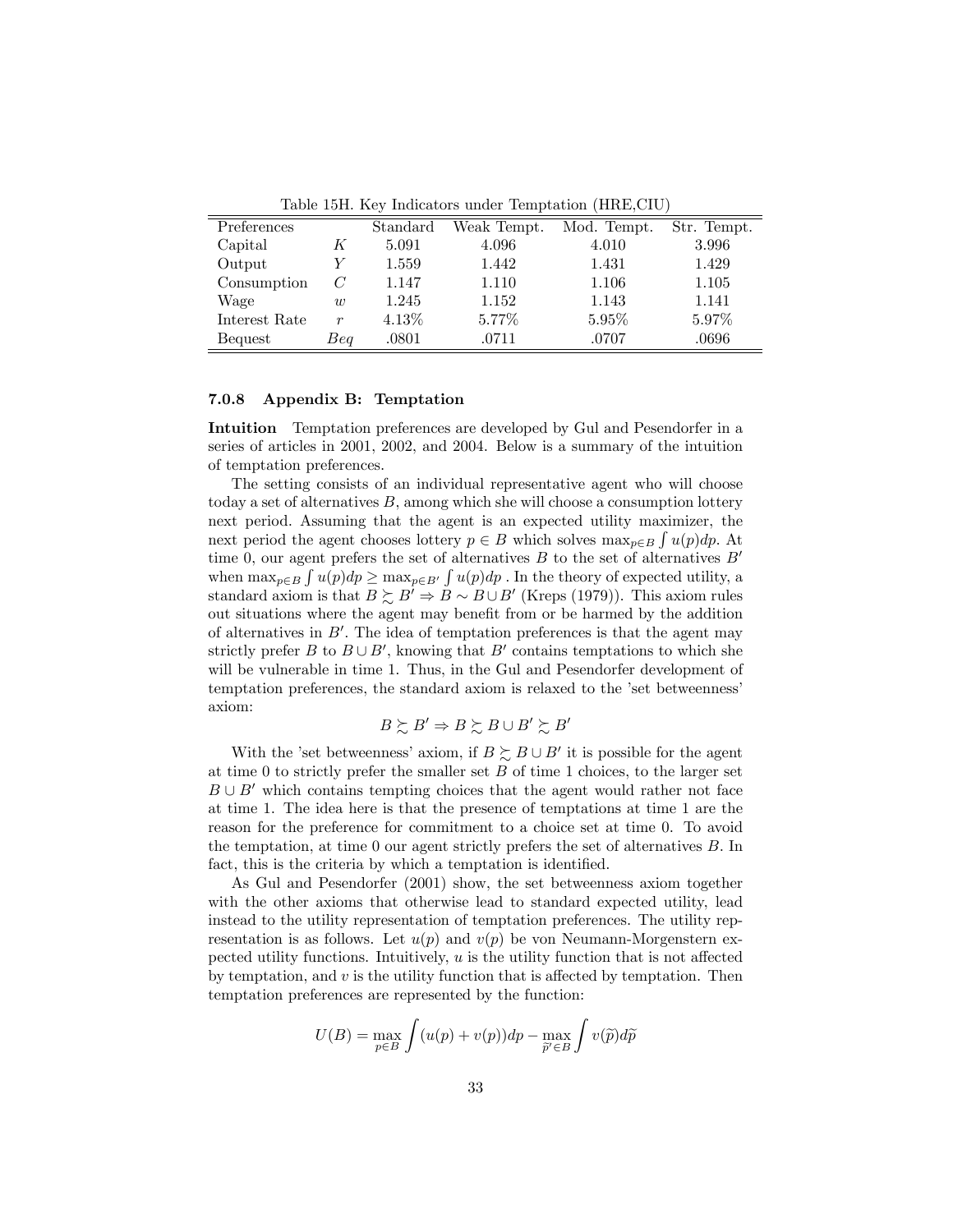| Preferences   |                  | Standard | Weak Tempt. | Mod. Tempt. | Str. Tempt. |
|---------------|------------------|----------|-------------|-------------|-------------|
| Capital       |                  | 5.091    | 4.096       | 4.010       | 3.996       |
| Output        |                  | 1.559    | 1.442       | 1.431       | 1.429       |
| Consumption   | C                | 1.147    | 1.110       | 1.106       | 1.105       |
| Wage          | $\overline{w}$   | 1.245    | 1.152       | 1.143       | 1.141       |
| Interest Rate | $\boldsymbol{r}$ | $4.13\%$ | 5.77%       | 5.95%       | 5.97%       |
| Bequest       | Beq              | .0801    | .0711       | .0707       | .0696       |

Table 15H. Key Indicators under Temptation (HRE,CIU)

#### 7.0.8 Appendix B: Temptation

Intuition Temptation preferences are developed by Gul and Pesendorfer in a series of articles in 2001, 2002, and 2004. Below is a summary of the intuition of temptation preferences.

The setting consists of an individual representative agent who will choose today a set of alternatives  $B$ , among which she will choose a consumption lottery next period. Assuming that the agent is an expected utility maximizer, the next period the agent chooses lottery  $p \in B$  which solves  $\max_{p \in B} \int u(p) dp$ . At time 0, our agent prefers the set of alternatives  $B$  to the set of alternatives  $B'$ when  $\max_{p\in B} \int u(p)dp \ge \max_{p\in B'} \int u(p)dp$ . In the theory of expected utility, a standard axiom is that  $B \succsim B' \Rightarrow B \sim B \cup B'$  (Kreps (1979)). This axiom rules out situations where the agent may benefit from or be harmed by the addition of alternatives in  $B'$ . The idea of temptation preferences is that the agent may strictly prefer B to  $B \cup B'$ , knowing that B' contains temptations to which she will be vulnerable in time 1. Thus, in the Gul and Pesendorfer development of temptation preferences, the standard axiom is relaxed to the 'set betweenness' axiom:

$$
B \succsim B' \Rightarrow B \succsim B \cup B' \succsim B'
$$

With the 'set betweenness' axiom, if  $B \succeq B \cup B'$  it is possible for the agent at time 0 to strictly prefer the smaller set  $B$  of time 1 choices, to the larger set  $B \cup B'$  which contains tempting choices that the agent would rather not face at time 1. The idea here is that the presence of temptations at time 1 are the reason for the preference for commitment to a choice set at time 0. To avoid the temptation, at time  $0$  our agent strictly prefers the set of alternatives  $B$ . In fact, this is the criteria by which a temptation is identified.

As Gul and Pesendorfer (2001) show, the set betweenness axiom together with the other axioms that otherwise lead to standard expected utility, lead instead to the utility representation of temptation preferences. The utility representation is as follows. Let  $u(p)$  and  $v(p)$  be von Neumann-Morgenstern expected utility functions. Intuitively,  $u$  is the utility function that is not affected by temptation, and  $v$  is the utility function that is affected by temptation. Then temptation preferences are represented by the function:

$$
U(B) = \max_{p \in B} \int (u(p) + v(p))dp - \max_{\widetilde{p}' \in B} \int v(\widetilde{p})d\widetilde{p}
$$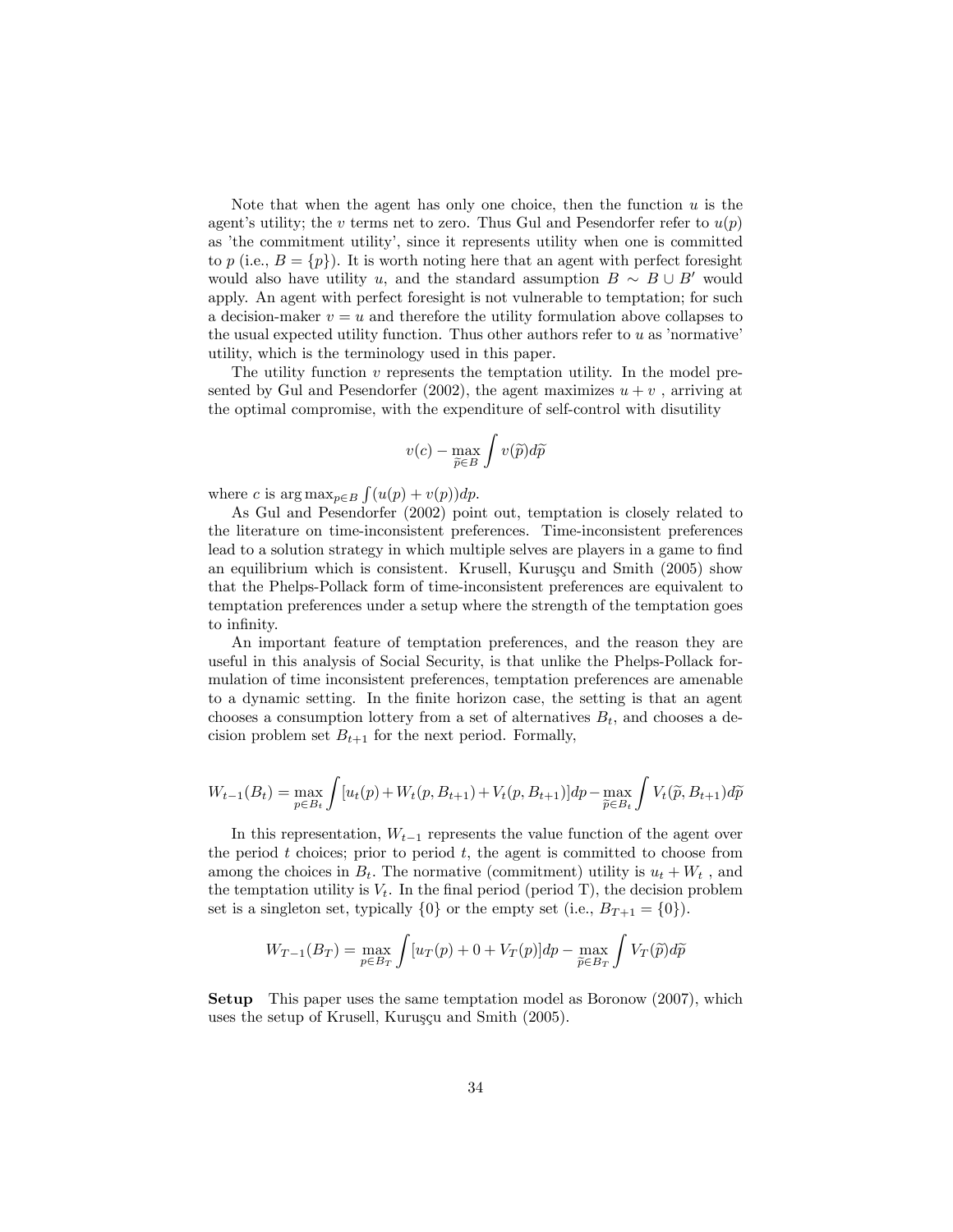Note that when the agent has only one choice, then the function  $u$  is the agent's utility; the v terms net to zero. Thus Gul and Pesendorfer refer to  $u(p)$ as 'the commitment utility', since it represents utility when one is committed to p (i.e.,  $B = \{p\}$ ). It is worth noting here that an agent with perfect foresight would also have utility u, and the standard assumption  $B \sim B \cup B'$  would apply. An agent with perfect foresight is not vulnerable to temptation; for such a decision-maker  $v = u$  and therefore the utility formulation above collapses to the usual expected utility function. Thus other authors refer to  $u$  as 'normative' utility, which is the terminology used in this paper.

The utility function v represents the temptation utility. In the model presented by Gul and Pesendorfer (2002), the agent maximizes  $u + v$ , arriving at the optimal compromise, with the expenditure of self-control with disutility

$$
v(c) - \max_{\widetilde{p} \in B} \int v(\widetilde{p}) d\widetilde{p}
$$

where c is  $\arg \max_{p \in B} \int (u(p) + v(p)) dp$ .

As Gul and Pesendorfer (2002) point out, temptation is closely related to the literature on time-inconsistent preferences. Time-inconsistent preferences lead to a solution strategy in which multiple selves are players in a game to find an equilibrium which is consistent. Krusell, Kuruşçu and Smith  $(2005)$  show that the Phelps-Pollack form of time-inconsistent preferences are equivalent to temptation preferences under a setup where the strength of the temptation goes to infinity.

An important feature of temptation preferences, and the reason they are useful in this analysis of Social Security, is that unlike the Phelps-Pollack formulation of time inconsistent preferences, temptation preferences are amenable to a dynamic setting. In the finite horizon case, the setting is that an agent chooses a consumption lottery from a set of alternatives  $B_t$ , and chooses a decision problem set  $B_{t+1}$  for the next period. Formally,

$$
W_{t-1}(B_t) = \max_{p \in B_t} \int [u_t(p) + W_t(p, B_{t+1}) + V_t(p, B_{t+1})] dp - \max_{\tilde{p} \in B_t} \int V_t(\tilde{p}, B_{t+1}) d\tilde{p}
$$

In this representation,  $W_{t-1}$  represents the value function of the agent over the period  $t$  choices; prior to period  $t$ , the agent is committed to choose from among the choices in  $B_t$ . The normative (commitment) utility is  $u_t + W_t$ , and the temptation utility is  $V_t$ . In the final period (period T), the decision problem set is a singleton set, typically  $\{0\}$  or the empty set (i.e.,  $B_{T+1} = \{0\}$ ).

$$
W_{T-1}(B_T) = \max_{p \in B_T} \int [u_T(p) + 0 + V_T(p)]dp - \max_{\tilde{p} \in B_T} \int V_T(\tilde{p})d\tilde{p}
$$

Setup This paper uses the same temptation model as Boronow (2007), which uses the setup of Krusell, Kuruşçu and Smith (2005).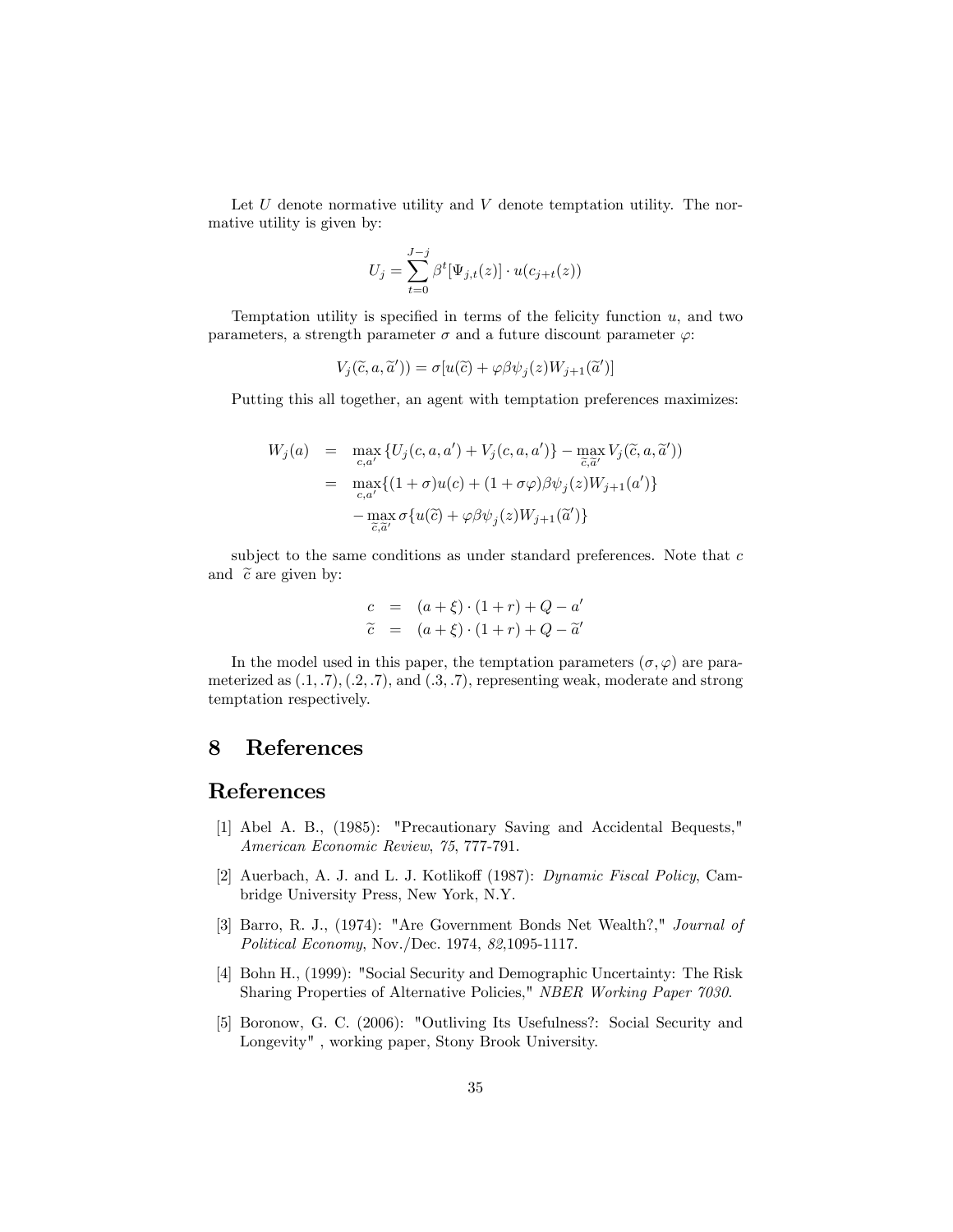Let  $U$  denote normative utility and  $V$  denote temptation utility. The normative utility is given by:

$$
U_j = \sum_{t=0}^{J-j} \beta^t [\Psi_{j,t}(z)] \cdot u(c_{j+t}(z))
$$

Temptation utility is specified in terms of the felicity function  $u$ , and two parameters, a strength parameter  $\sigma$  and a future discount parameter  $\varphi$ :

$$
V_j(\widetilde{c}, a, \widetilde{a}')) = \sigma[u(\widetilde{c}) + \varphi \beta \psi_j(z) W_{j+1}(\widetilde{a}')] \,
$$

Putting this all together, an agent with temptation preferences maximizes:

$$
W_j(a) = \max_{c,a'} \{ U_j(c,a,a') + V_j(c,a,a') \} - \max_{\tilde{c},\tilde{a}'} V_j(\tilde{c},a,\tilde{a}'))
$$
  

$$
= \max_{c,a'} \{ (1+\sigma)u(c) + (1+\sigma\varphi)\beta\psi_j(z)W_{j+1}(a') \}
$$
  

$$
- \max_{\tilde{c},\tilde{a}'} \sigma\{ u(\tilde{c}) + \varphi\beta\psi_j(z)W_{j+1}(\tilde{a}') \}
$$

subject to the same conditions as under standard preferences. Note that  $c$ and  $\tilde{c}$  are given by:

$$
c = (a + \xi) \cdot (1 + r) + Q - a'
$$
  

$$
\tilde{c} = (a + \xi) \cdot (1 + r) + Q - \tilde{a}'
$$

In the model used in this paper, the temptation parameters  $(\sigma, \varphi)$  are parameterized as  $(0.1, 0.7)$ ,  $(0.2, 0.7)$ , and  $(0.3, 0.7)$ , representing weak, moderate and strong temptation respectively.

## 8 References

## References

- [1] Abel A. B., (1985): "Precautionary Saving and Accidental Bequests," American Economic Review, 75, 777-791.
- [2] Auerbach, A. J. and L. J. Kotlikoff (1987): Dynamic Fiscal Policy, Cambridge University Press, New York, N.Y.
- [3] Barro, R. J., (1974): "Are Government Bonds Net Wealth?," Journal of Political Economy, Nov./Dec. 1974, 82,1095-1117.
- [4] Bohn H., (1999): "Social Security and Demographic Uncertainty: The Risk Sharing Properties of Alternative Policies," NBER Working Paper 7030.
- [5] Boronow, G. C. (2006): "Outliving Its Usefulness?: Social Security and Longevity" , working paper, Stony Brook University.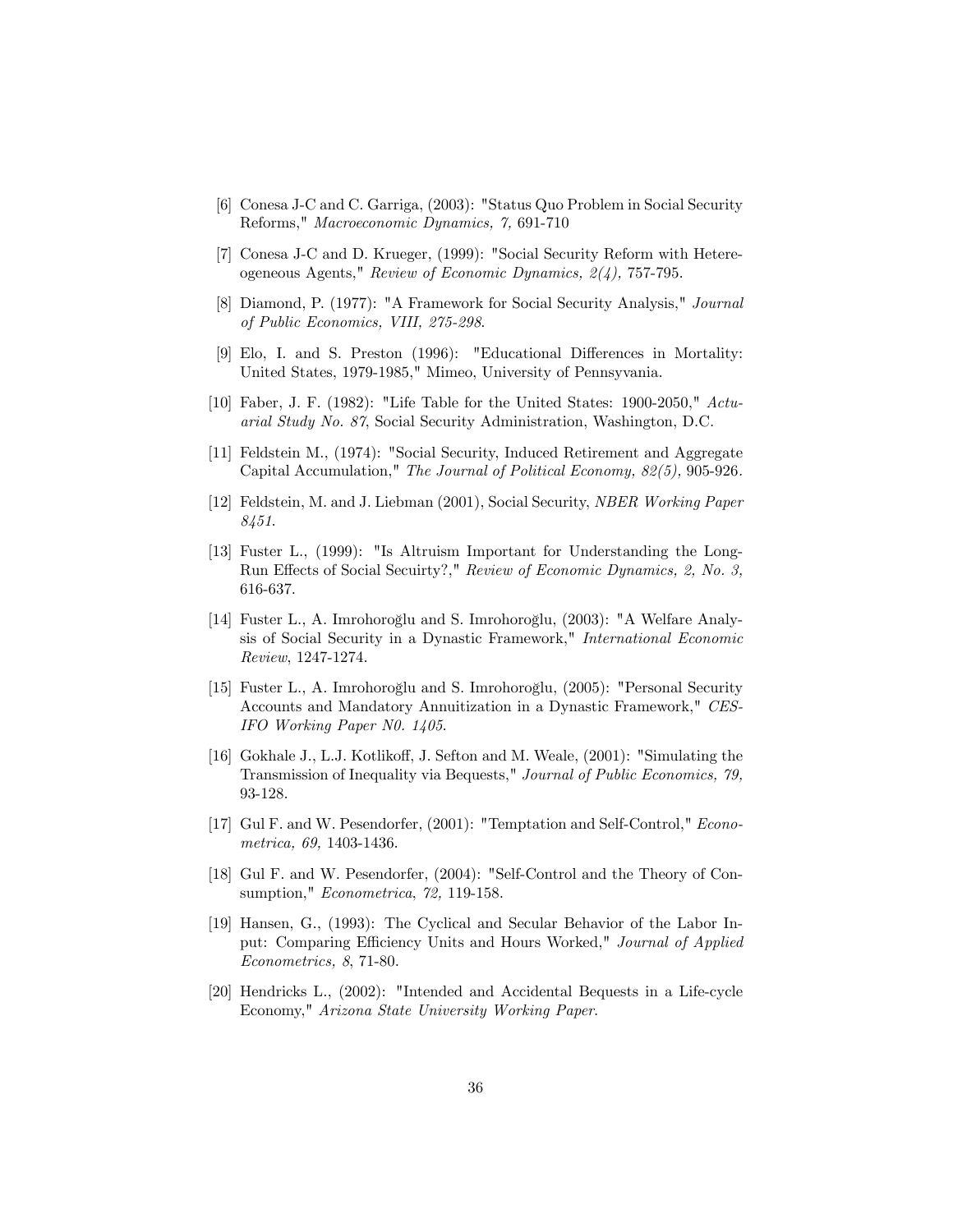- [6] Conesa J-C and C. Garriga, (2003): "Status Quo Problem in Social Security Reforms," Macroeconomic Dynamics, 7, 691-710
- [7] Conesa J-C and D. Krueger, (1999): "Social Security Reform with Hetereogeneous Agents," Review of Economic Dynamics, 2(4), 757-795.
- [8] Diamond, P. (1977): "A Framework for Social Security Analysis," Journal of Public Economics, VIII, 275-298.
- [9] Elo, I. and S. Preston (1996): "Educational Differences in Mortality: United States, 1979-1985," Mimeo, University of Pennsyvania.
- [10] Faber, J. F. (1982): "Life Table for the United States: 1900-2050," Actuarial Study No. 87, Social Security Administration, Washington, D.C.
- [11] Feldstein M., (1974): "Social Security, Induced Retirement and Aggregate Capital Accumulation," The Journal of Political Economy, 82(5), 905-926.
- [12] Feldstein, M. and J. Liebman (2001), Social Security, NBER Working Paper 8451.
- [13] Fuster L., (1999): "Is Altruism Important for Understanding the Long-Run Effects of Social Secuirty?," Review of Economic Dynamics, 2, No. 3, 616-637.
- [14] Fuster L., A. Imrohoroğlu and S. Imrohoroğlu,  $(2003)$ : "A Welfare Analysis of Social Security in a Dynastic Framework," International Economic Review, 1247-1274.
- [15] Fuster L., A. Imrohoroğlu and S. Imrohoroğlu,  $(2005)$ : "Personal Security Accounts and Mandatory Annuitization in a Dynastic Framework," CES-IFO Working Paper N0. 1405.
- [16] Gokhale J., L.J. Kotlikoff, J. Sefton and M. Weale, (2001): "Simulating the Transmission of Inequality via Bequests," Journal of Public Economics, 79, 93-128.
- [17] Gul F. and W. Pesendorfer, (2001): "Temptation and Self-Control," Econometrica, 69, 1403-1436.
- [18] Gul F. and W. Pesendorfer, (2004): "Self-Control and the Theory of Consumption," Econometrica, 72, 119-158.
- [19] Hansen, G., (1993): The Cyclical and Secular Behavior of the Labor Input: Comparing Efficiency Units and Hours Worked," Journal of Applied Econometrics, 8, 71-80.
- [20] Hendricks L., (2002): "Intended and Accidental Bequests in a Life-cycle Economy," Arizona State University Working Paper.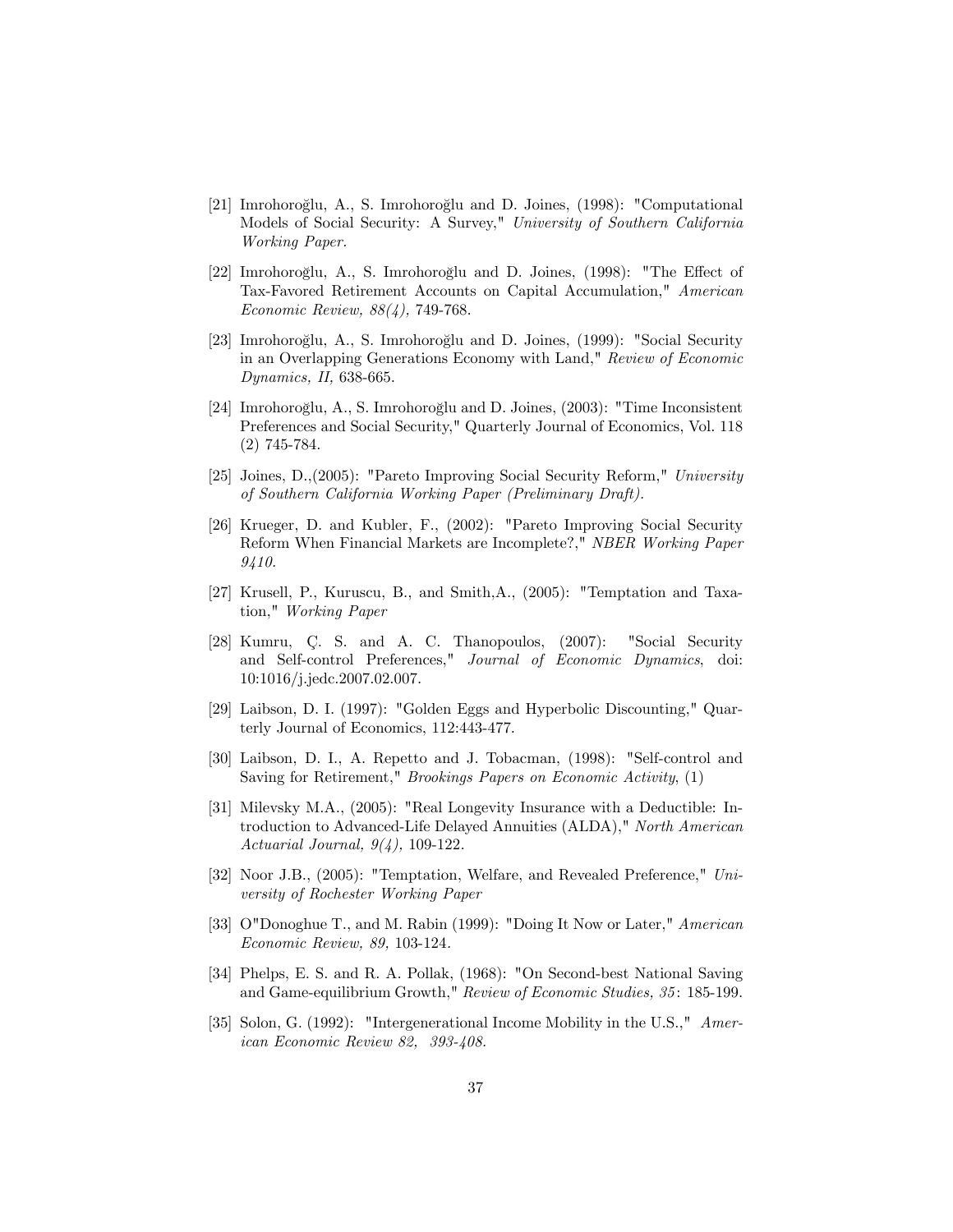- [21] Imrohoroğlu, A., S. Imrohoroğlu and D. Joines,  $(1998)$ : "Computational Models of Social Security: A Survey," University of Southern California Working Paper.
- [22] Imrohoroğlu, A., S. Imrohoroğlu and D. Joines, (1998): "The Effect of Tax-Favored Retirement Accounts on Capital Accumulation," American Economic Review, 88(4), 749-768.
- [23] Imrohoroğlu, A., S. Imrohoroğlu and D. Joines,  $(1999)$ : "Social Security in an Overlapping Generations Economy with Land," Review of Economic Dynamics, II, 638-665.
- [24] Imrohoroğlu, A., S. Imrohoroğlu and D. Joines, (2003): "Time Inconsistent Preferences and Social Security," Quarterly Journal of Economics, Vol. 118 (2) 745-784.
- [25] Joines, D.,(2005): "Pareto Improving Social Security Reform," University of Southern California Working Paper (Preliminary Draft).
- [26] Krueger, D. and Kubler, F., (2002): "Pareto Improving Social Security Reform When Financial Markets are Incomplete?," NBER Working Paper 9410.
- [27] Krusell, P., Kuruscu, B., and Smith,A., (2005): "Temptation and Taxation," Working Paper
- [28] Kumru, C. S. and A. C. Thanopoulos, (2007): "Social Security and Self-control Preferences," Journal of Economic Dynamics, doi: 10:1016/j.jedc.2007.02.007.
- [29] Laibson, D. I. (1997): "Golden Eggs and Hyperbolic Discounting," Quarterly Journal of Economics, 112:443-477.
- [30] Laibson, D. I., A. Repetto and J. Tobacman, (1998): "Self-control and Saving for Retirement," Brookings Papers on Economic Activity, (1)
- [31] Milevsky M.A., (2005): "Real Longevity Insurance with a Deductible: Introduction to Advanced-Life Delayed Annuities (ALDA)," North American Actuarial Journal, 9(4), 109-122.
- [32] Noor J.B., (2005): "Temptation, Welfare, and Revealed Preference," University of Rochester Working Paper
- [33] O"Donoghue T., and M. Rabin (1999): "Doing It Now or Later," American Economic Review, 89, 103-124.
- [34] Phelps, E. S. and R. A. Pollak, (1968): "On Second-best National Saving and Game-equilibrium Growth," Review of Economic Studies, 35: 185-199.
- [35] Solon, G. (1992): "Intergenerational Income Mobility in the U.S.," American Economic Review 82, 393-408.